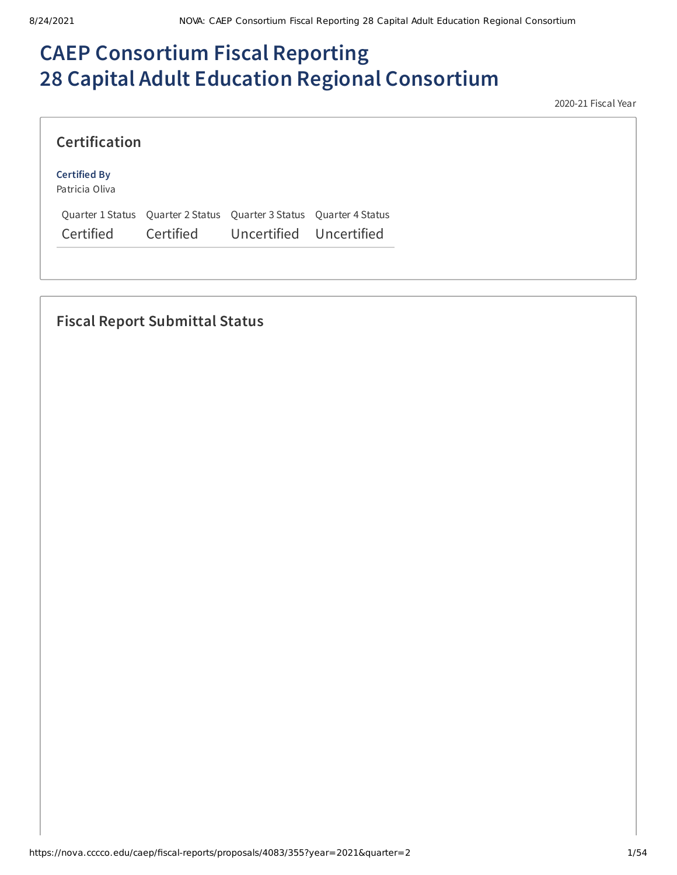# **CAEP Consortium Fiscal Reporting 28 Capital Adult Education Regional Consortium**

2020-21 Fiscal Year

| <b>Certification</b>                  |  |                                                                     |  |
|---------------------------------------|--|---------------------------------------------------------------------|--|
| <b>Certified By</b><br>Patricia Oliva |  |                                                                     |  |
|                                       |  | Quarter 1 Status Quarter 2 Status Quarter 3 Status Quarter 4 Status |  |
| Certified                             |  | Certified Uncertified Uncertified                                   |  |

# **Fiscal Report Submittal Status**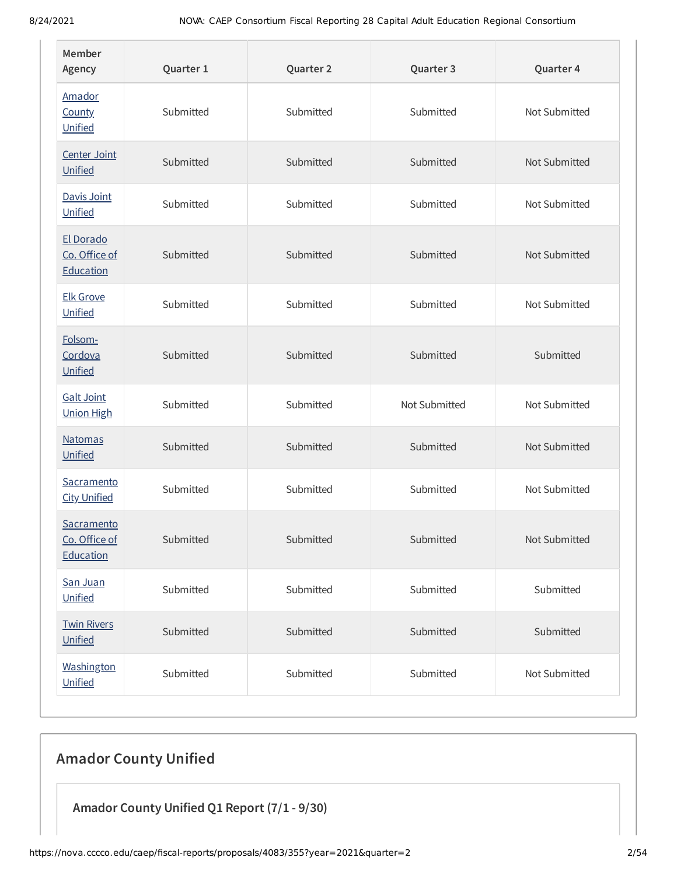| Member<br>Agency                         | Quarter 1 | Quarter 2 | Quarter 3     | Quarter 4     |
|------------------------------------------|-----------|-----------|---------------|---------------|
| Amador<br><b>County</b><br>Unified       | Submitted | Submitted | Submitted     | Not Submitted |
| Center Joint<br>Unified                  | Submitted | Submitted | Submitted     | Not Submitted |
| Davis Joint<br>Unified                   | Submitted | Submitted | Submitted     | Not Submitted |
| El Dorado<br>Co. Office of<br>Education  | Submitted | Submitted | Submitted     | Not Submitted |
| <b>Elk Grove</b><br>Unified              | Submitted | Submitted | Submitted     | Not Submitted |
| Folsom-<br>Cordova<br>Unified            | Submitted | Submitted | Submitted     | Submitted     |
| <b>Galt Joint</b><br><b>Union High</b>   | Submitted | Submitted | Not Submitted | Not Submitted |
| <b>Natomas</b><br>Unified                | Submitted | Submitted | Submitted     | Not Submitted |
| Sacramento<br><b>City Unified</b>        | Submitted | Submitted | Submitted     | Not Submitted |
| Sacramento<br>Co. Office of<br>Education | Submitted | Submitted | Submitted     | Not Submitted |
| San Juan<br>Unified                      | Submitted | Submitted | Submitted     | Submitted     |
| <b>Twin Rivers</b><br>Unified            | Submitted | Submitted | Submitted     | Submitted     |
| Washington<br>Unified                    | Submitted | Submitted | Submitted     | Not Submitted |

# **Amador County Unified**

**Amador County Unified Q1 Report (7/1 - 9/30)**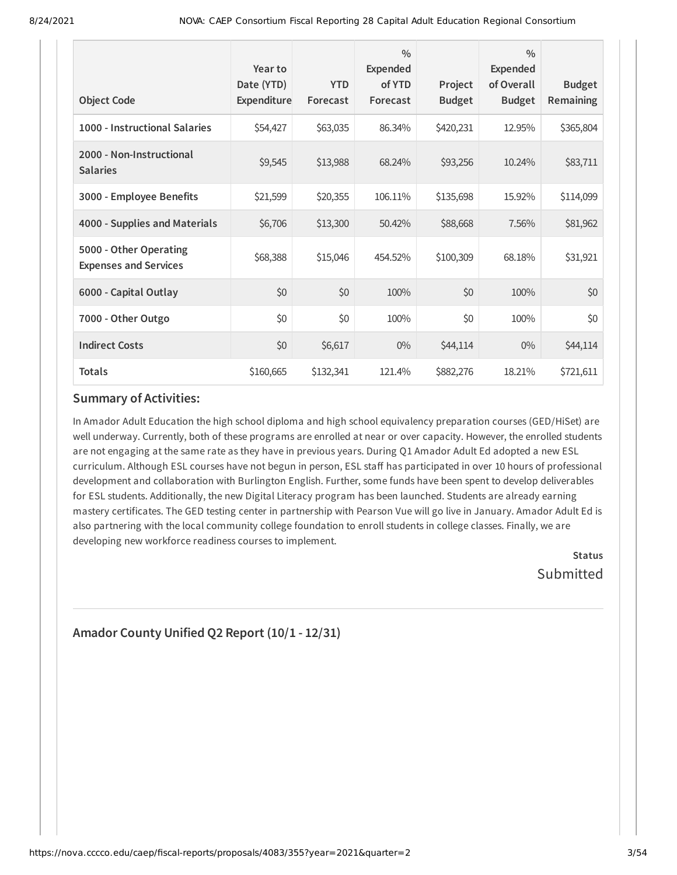| <b>Object Code</b>                                     | Year to<br>Date (YTD)<br>Expenditure | <b>YTD</b><br>Forecast | $\frac{0}{0}$<br>Expended<br>of YTD<br>Forecast | Project<br><b>Budget</b> | $\frac{0}{0}$<br><b>Expended</b><br>of Overall<br><b>Budget</b> | <b>Budget</b><br>Remaining |
|--------------------------------------------------------|--------------------------------------|------------------------|-------------------------------------------------|--------------------------|-----------------------------------------------------------------|----------------------------|
| 1000 - Instructional Salaries                          | \$54,427                             | \$63,035               | 86.34%                                          | \$420,231                | 12.95%                                                          | \$365,804                  |
| 2000 - Non-Instructional<br><b>Salaries</b>            | \$9,545                              | \$13,988               | 68.24%                                          | \$93,256                 | 10.24%                                                          | \$83,711                   |
| 3000 - Employee Benefits                               | \$21,599                             | \$20,355               | 106.11%                                         | \$135,698                | 15.92%                                                          | \$114,099                  |
| 4000 - Supplies and Materials                          | \$6,706                              | \$13,300               | 50.42%                                          | \$88,668                 | 7.56%                                                           | \$81,962                   |
| 5000 - Other Operating<br><b>Expenses and Services</b> | \$68,388                             | \$15,046               | 454.52%                                         | \$100,309                | 68.18%                                                          | \$31,921                   |
| 6000 - Capital Outlay                                  | \$0                                  | \$0                    | 100%                                            | \$0                      | 100%                                                            | \$0                        |
| 7000 - Other Outgo                                     | \$0                                  | \$0                    | 100%                                            | \$0                      | 100%                                                            | \$0                        |
| <b>Indirect Costs</b>                                  | \$0                                  | \$6,617                | $0\%$                                           | \$44,114                 | $0\%$                                                           | \$44,114                   |
| <b>Totals</b>                                          | \$160,665                            | \$132,341              | 121.4%                                          | \$882,276                | 18.21%                                                          | \$721,611                  |

In Amador Adult Education the high school diploma and high school equivalency preparation courses (GED/HiSet) are well underway. Currently, both of these programs are enrolled at near or over capacity. However, the enrolled students are not engaging at the same rate as they have in previous years. During Q1 Amador Adult Ed adopted a new ESL curriculum. Although ESL courses have not begun in person, ESL staff has participated in over 10 hours of professional development and collaboration with Burlington English. Further, some funds have been spent to develop deliverables for ESL students. Additionally, the new Digital Literacy program has been launched. Students are already earning mastery certificates. The GED testing center in partnership with Pearson Vue will go live in January. Amador Adult Ed is also partnering with the local community college foundation to enroll students in college classes. Finally, we are developing new workforce readiness courses to implement.

**Status** Submitted

# **Amador County Unified Q2 Report (10/1 - 12/31)**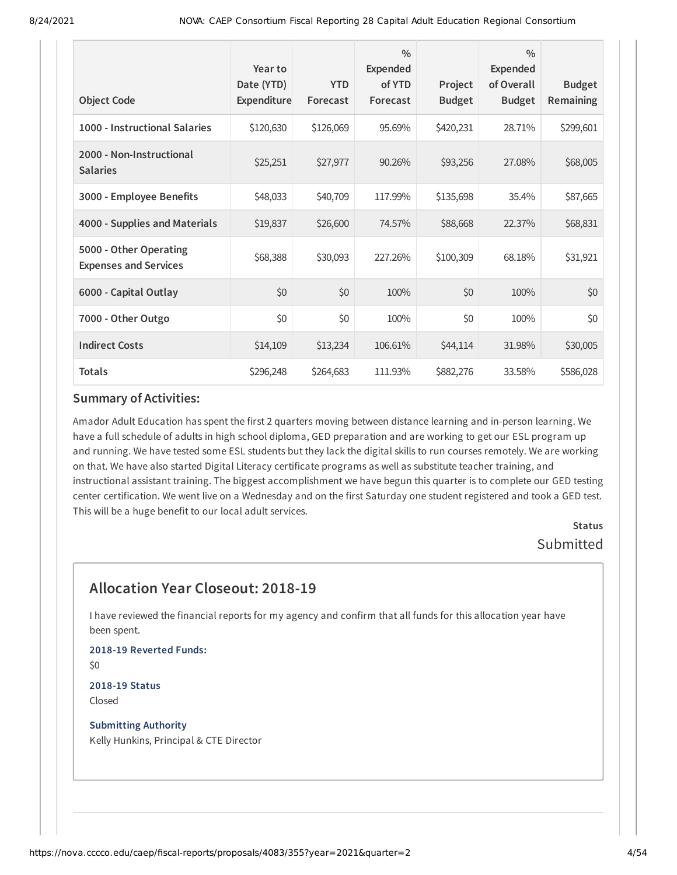| <b>Object Code</b>                                     | Year to<br>Date (YTD)<br>Expenditure | <b>YTD</b><br>Forecast | $\frac{0}{0}$<br><b>Expended</b><br>of YTD<br>Forecast | Project<br><b>Budget</b> | $\frac{0}{0}$<br><b>Expended</b><br>of Overall<br><b>Budget</b> | <b>Budget</b><br><b>Remaining</b> |
|--------------------------------------------------------|--------------------------------------|------------------------|--------------------------------------------------------|--------------------------|-----------------------------------------------------------------|-----------------------------------|
| 1000 - Instructional Salaries                          | \$120,630                            | \$126,069              | 95.69%                                                 | \$420,231                | 28.71%                                                          | \$299,601                         |
| 2000 - Non-Instructional<br><b>Salaries</b>            | \$25,251                             | \$27,977               | 90.26%                                                 | \$93,256                 | 27.08%                                                          | \$68,005                          |
| 3000 - Employee Benefits                               | \$48,033                             | \$40,709               | 117.99%                                                | \$135,698                | 35.4%                                                           | \$87,665                          |
| 4000 - Supplies and Materials                          | \$19,837                             | \$26,600               | 74.57%                                                 | \$88,668                 | 22.37%                                                          | \$68,831                          |
| 5000 - Other Operating<br><b>Expenses and Services</b> | \$68,388                             | \$30,093               | 227.26%                                                | \$100,309                | 68.18%                                                          | \$31,921                          |
| 6000 - Capital Outlay                                  | \$0                                  | \$0                    | 100%                                                   | \$0                      | 100%                                                            | \$0                               |
| 7000 - Other Outgo                                     | \$0                                  | \$0                    | 100%                                                   | \$0                      | 100%                                                            | \$0                               |
| <b>Indirect Costs</b>                                  | \$14,109                             | \$13,234               | 106.61%                                                | \$44,114                 | 31.98%                                                          | \$30,005                          |
| <b>Totals</b>                                          | \$296,248                            | \$264,683              | 111.93%                                                | \$882,276                | 33.58%                                                          | \$586,028                         |

Amador Adult Education has spent the first 2 quarters moving between distance learning and in-person learning. We have a full schedule of adults in high school diploma, GED preparation and are working to get our ESL program up and running. We have tested some ESL students but they lack the digital skills to run courses remotely. We are working on that. We have also started Digital Literacy certificate programs as well as substitute teacher training, and instructional assistant training. The biggest accomplishment we have begun this quarter is to complete our GED testing center certification. We went live on a Wednesday and on the first Saturday one student registered and took a GED test. This will be a huge benefit to our local adult services.

> **Status** Submitted

# **Allocation Year Closeout: 2018-19**

I have reviewed the financial reports for my agency and confirm that all funds for this allocation year have been spent.

**2018-19 Reverted Funds:** \$0

**2018-19 Status** Closed

**Submitting Authority** Kelly Hunkins, Principal & CTE Director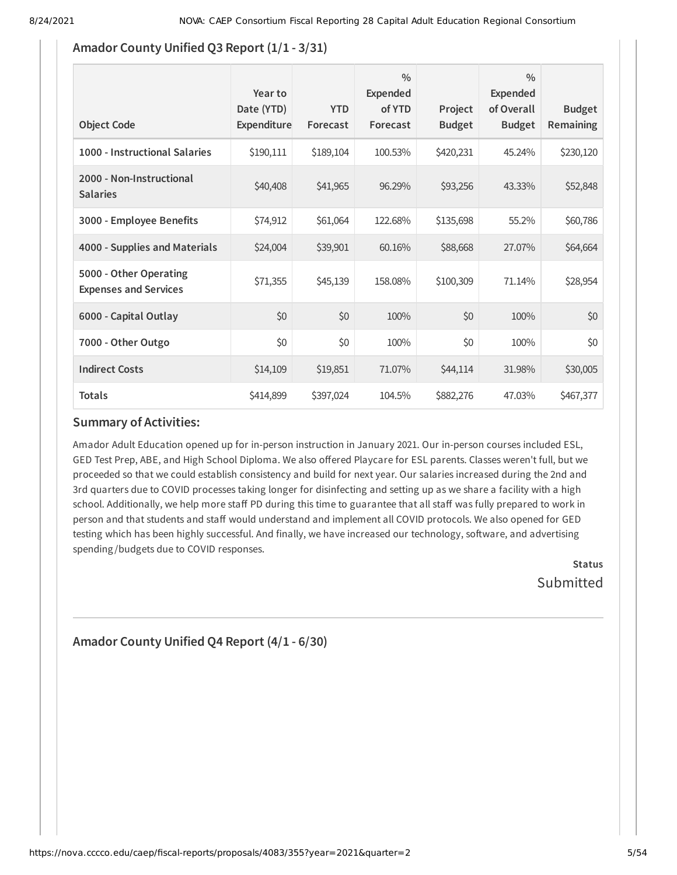### **Amador County Unified Q3 Report (1/1 - 3/31)**

| <b>Object Code</b>                                     | Year to<br>Date (YTD)<br>Expenditure | <b>YTD</b><br>Forecast | $\frac{0}{0}$<br>Expended<br>of YTD<br>Forecast | Project<br><b>Budget</b> | $\frac{0}{0}$<br>Expended<br>of Overall<br><b>Budget</b> | <b>Budget</b><br>Remaining |
|--------------------------------------------------------|--------------------------------------|------------------------|-------------------------------------------------|--------------------------|----------------------------------------------------------|----------------------------|
| 1000 - Instructional Salaries                          | \$190,111                            | \$189,104              | 100.53%                                         | \$420,231                | 45.24%                                                   | \$230,120                  |
| 2000 - Non-Instructional<br><b>Salaries</b>            | \$40,408                             | \$41,965               | 96.29%                                          | \$93,256                 | 43.33%                                                   | \$52,848                   |
| 3000 - Employee Benefits                               | \$74,912                             | \$61,064               | 122.68%                                         | \$135,698                | 55.2%                                                    | \$60,786                   |
| 4000 - Supplies and Materials                          | \$24,004                             | \$39,901               | 60.16%                                          | \$88,668                 | 27.07%                                                   | \$64,664                   |
| 5000 - Other Operating<br><b>Expenses and Services</b> | \$71,355                             | \$45,139               | 158.08%                                         | \$100,309                | 71.14%                                                   | \$28,954                   |
| 6000 - Capital Outlay                                  | \$0                                  | \$0                    | 100%                                            | \$0                      | 100%                                                     | \$0                        |
| 7000 - Other Outgo                                     | \$0                                  | \$0                    | 100%                                            | \$0                      | 100%                                                     | \$0                        |
| <b>Indirect Costs</b>                                  | \$14,109                             | \$19,851               | 71.07%                                          | \$44,114                 | 31.98%                                                   | \$30,005                   |
| <b>Totals</b>                                          | \$414,899                            | \$397,024              | 104.5%                                          | \$882,276                | 47.03%                                                   | \$467,377                  |

### **Summary of Activities:**

Amador Adult Education opened up for in-person instruction in January 2021. Our in-person courses included ESL, GED Test Prep, ABE, and High School Diploma. We also offered Playcare for ESL parents. Classes weren't full, but we proceeded so that we could establish consistency and build for next year. Our salaries increased during the 2nd and 3rd quarters due to COVID processes taking longer for disinfecting and setting up as we share a facility with a high school. Additionally, we help more staff PD during this time to guarantee that all staff was fully prepared to work in person and that students and staff would understand and implement all COVID protocols. We also opened for GED testing which has been highly successful. And finally, we have increased our technology, software, and advertising spending /budgets due to COVID responses.

> **Status Submitted**

# **Amador County Unified Q4 Report (4/1 - 6/30)**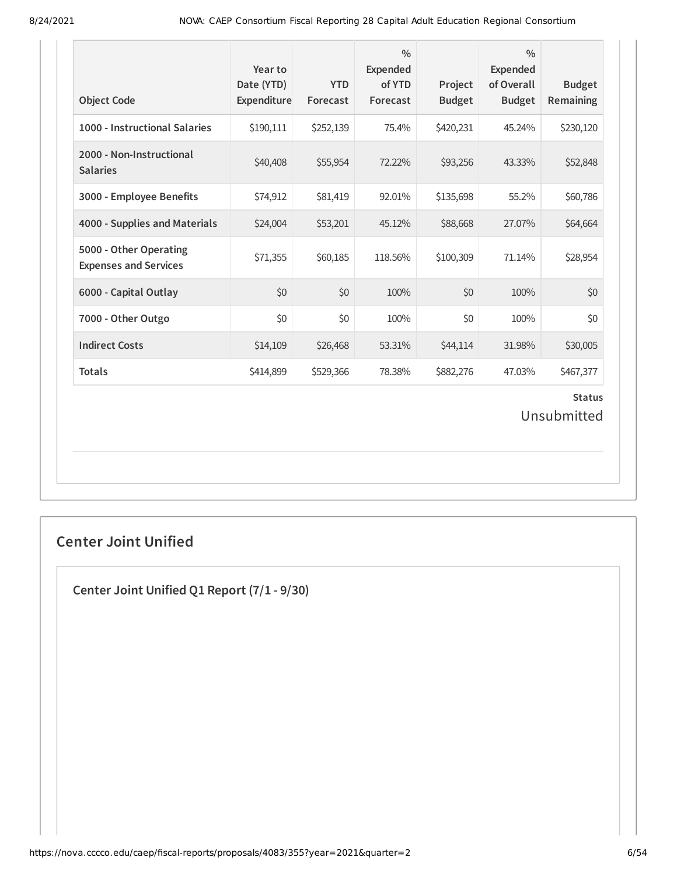| <b>Object Code</b>                                     | Year to<br>Date (YTD)<br>Expenditure | <b>YTD</b><br>Forecast | $\frac{0}{0}$<br><b>Expended</b><br>of YTD<br>Forecast | Project<br><b>Budget</b> | $\frac{0}{0}$<br><b>Expended</b><br>of Overall<br><b>Budget</b> | <b>Budget</b><br>Remaining   |
|--------------------------------------------------------|--------------------------------------|------------------------|--------------------------------------------------------|--------------------------|-----------------------------------------------------------------|------------------------------|
| 1000 - Instructional Salaries                          | \$190,111                            | \$252,139              | 75.4%                                                  | \$420,231                | 45.24%                                                          | \$230,120                    |
| 2000 - Non-Instructional<br><b>Salaries</b>            | \$40,408                             | \$55,954               | 72.22%                                                 | \$93,256                 | 43.33%                                                          | \$52,848                     |
| 3000 - Employee Benefits                               | \$74,912                             | \$81,419               | 92.01%                                                 | \$135,698                | 55.2%                                                           | \$60,786                     |
| 4000 - Supplies and Materials                          | \$24,004                             | \$53,201               | 45.12%                                                 | \$88,668                 | 27.07%                                                          | \$64,664                     |
| 5000 - Other Operating<br><b>Expenses and Services</b> | \$71,355                             | \$60,185               | 118.56%                                                | \$100,309                | 71.14%                                                          | \$28,954                     |
| 6000 - Capital Outlay                                  | \$0                                  | \$0                    | 100%                                                   | \$0                      | 100%                                                            | \$0                          |
| 7000 - Other Outgo                                     | \$0                                  | \$0                    | 100%                                                   | \$0                      | 100%                                                            | \$0                          |
| <b>Indirect Costs</b>                                  | \$14,109                             | \$26,468               | 53.31%                                                 | \$44,114                 | 31.98%                                                          | \$30,005                     |
| <b>Totals</b>                                          | \$414,899                            | \$529,366              | 78.38%                                                 | \$882,276                | 47.03%                                                          | \$467,377                    |
|                                                        |                                      |                        |                                                        |                          |                                                                 | <b>Status</b><br>Unsubmitted |

# **Center Joint Unified**

**Center Joint Unified Q1 Report (7/1 - 9/30)**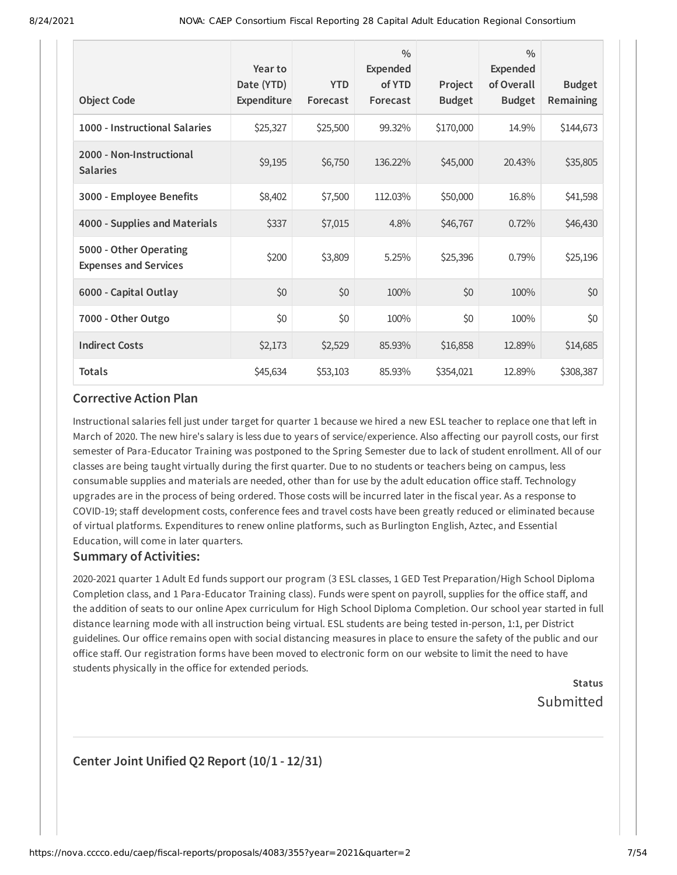| <b>Object Code</b>                                     | Year to<br>Date (YTD)<br>Expenditure | <b>YTD</b><br>Forecast | $\frac{0}{0}$<br>Expended<br>of YTD<br>Forecast | Project<br><b>Budget</b> | $\frac{0}{0}$<br>Expended<br>of Overall<br><b>Budget</b> | <b>Budget</b><br><b>Remaining</b> |
|--------------------------------------------------------|--------------------------------------|------------------------|-------------------------------------------------|--------------------------|----------------------------------------------------------|-----------------------------------|
| 1000 - Instructional Salaries                          | \$25,327                             | \$25,500               | 99.32%                                          | \$170,000                | 14.9%                                                    | \$144,673                         |
| 2000 - Non-Instructional<br><b>Salaries</b>            | \$9,195                              | \$6,750                | 136.22%                                         | \$45,000                 | 20.43%                                                   | \$35,805                          |
| 3000 - Employee Benefits                               | \$8,402                              | \$7,500                | 112.03%                                         | \$50,000                 | 16.8%                                                    | \$41,598                          |
| 4000 - Supplies and Materials                          | \$337                                | \$7,015                | 4.8%                                            | \$46,767                 | 0.72%                                                    | \$46,430                          |
| 5000 - Other Operating<br><b>Expenses and Services</b> | \$200                                | \$3,809                | 5.25%                                           | \$25,396                 | 0.79%                                                    | \$25,196                          |
| 6000 - Capital Outlay                                  | \$0                                  | \$0                    | 100%                                            | \$0                      | 100%                                                     | \$0                               |
| 7000 - Other Outgo                                     | \$0                                  | \$0                    | 100%                                            | \$0                      | 100%                                                     | \$0                               |
| <b>Indirect Costs</b>                                  | \$2,173                              | \$2,529                | 85.93%                                          | \$16,858                 | 12.89%                                                   | \$14,685                          |
| <b>Totals</b>                                          | \$45,634                             | \$53,103               | 85.93%                                          | \$354,021                | 12.89%                                                   | \$308,387                         |

Instructional salaries fell just under target for quarter 1 because we hired a new ESL teacher to replace one that left in March of 2020. The new hire's salary is less due to years of service/experience. Also affecting our payroll costs, our first semester of Para-Educator Training was postponed to the Spring Semester due to lack of student enrollment. All of our classes are being taught virtually during the first quarter. Due to no students or teachers being on campus, less consumable supplies and materials are needed, other than for use by the adult education office staff. Technology upgrades are in the process of being ordered. Those costs will be incurred later in the fiscal year. As a response to COVID-19; staff development costs, conference fees and travel costs have been greatly reduced or eliminated because of virtual platforms. Expenditures to renew online platforms, such as Burlington English, Aztec, and Essential Education, will come in later quarters.

#### **Summary of Activities:**

2020-2021 quarter 1 Adult Ed funds support our program (3 ESL classes, 1 GED Test Preparation/High School Diploma Completion class, and 1 Para-Educator Training class). Funds were spent on payroll, supplies for the office staff, and the addition of seats to our online Apex curriculum for High School Diploma Completion. Our school year started in full distance learning mode with all instruction being virtual. ESL students are being tested in-person, 1:1, per District guidelines. Our office remains open with social distancing measures in place to ensure the safety of the public and our office staff. Our registration forms have been moved to electronic form on our website to limit the need to have students physically in the office for extended periods.

> **Status** Submitted

### **Center Joint Unified Q2 Report (10/1 - 12/31)**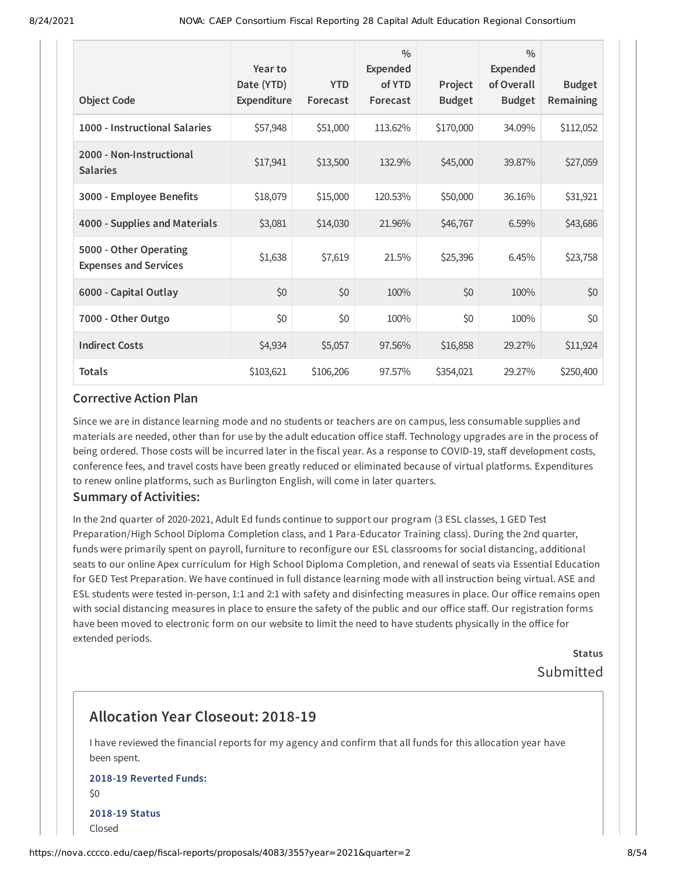| <b>Object Code</b>                                     | Year to<br>Date (YTD)<br>Expenditure | <b>YTD</b><br>Forecast | $\frac{0}{0}$<br><b>Expended</b><br>of YTD<br>Forecast | Project<br><b>Budget</b> | $\frac{0}{0}$<br><b>Expended</b><br>of Overall<br><b>Budget</b> | <b>Budget</b><br>Remaining |
|--------------------------------------------------------|--------------------------------------|------------------------|--------------------------------------------------------|--------------------------|-----------------------------------------------------------------|----------------------------|
| 1000 - Instructional Salaries                          | \$57,948                             | \$51,000               | 113.62%                                                | \$170,000                | 34.09%                                                          | \$112,052                  |
| 2000 - Non-Instructional<br><b>Salaries</b>            | \$17,941                             | \$13,500               | 132.9%                                                 | \$45,000                 | 39.87%                                                          | \$27,059                   |
| 3000 - Employee Benefits                               | \$18,079                             | \$15,000               | 120.53%                                                | \$50,000                 | 36.16%                                                          | \$31,921                   |
| 4000 - Supplies and Materials                          | \$3,081                              | \$14,030               | 21.96%                                                 | \$46,767                 | 6.59%                                                           | \$43,686                   |
| 5000 - Other Operating<br><b>Expenses and Services</b> | \$1,638                              | \$7,619                | 21.5%                                                  | \$25,396                 | 6.45%                                                           | \$23,758                   |
| 6000 - Capital Outlay                                  | \$0                                  | \$0                    | 100%                                                   | \$0                      | 100%                                                            | \$0                        |
| 7000 - Other Outgo                                     | \$0                                  | \$0                    | 100%                                                   | \$0                      | 100%                                                            | \$0                        |
| <b>Indirect Costs</b>                                  | \$4,934                              | \$5,057                | 97.56%                                                 | \$16,858                 | 29.27%                                                          | \$11,924                   |
| <b>Totals</b>                                          | \$103,621                            | \$106,206              | 97.57%                                                 | \$354,021                | 29.27%                                                          | \$250,400                  |

Since we are in distance learning mode and no students or teachers are on campus, less consumable supplies and materials are needed, other than for use by the adult education office staff. Technology upgrades are in the process of being ordered. Those costs will be incurred later in the fiscal year. As a response to COVID-19, staff development costs, conference fees, and travel costs have been greatly reduced or eliminated because of virtual platforms. Expenditures to renew online platforms, such as Burlington English, will come in later quarters.

#### **Summary of Activities:**

In the 2nd quarter of 2020-2021, Adult Ed funds continue to support our program (3 ESL classes, 1 GED Test Preparation/High School Diploma Completion class, and 1 Para-Educator Training class). During the 2nd quarter, funds were primarily spent on payroll, furniture to reconfigure our ESL classrooms for social distancing, additional seats to our online Apex curriculum for High School Diploma Completion, and renewal of seats via Essential Education for GED Test Preparation. We have continued in full distance learning mode with all instruction being virtual. ASE and ESL students were tested in-person, 1:1 and 2:1 with safety and disinfecting measures in place. Our office remains open with social distancing measures in place to ensure the safety of the public and our office staff. Our registration forms have been moved to electronic form on our website to limit the need to have students physically in the office for extended periods.

> **Status** Submitted

# **Allocation Year Closeout: 2018-19**

I have reviewed the financial reports for my agency and confirm that all funds for this allocation year have been spent.

### **2018-19 Reverted Funds:** \$0 **2018-19 Status** Closed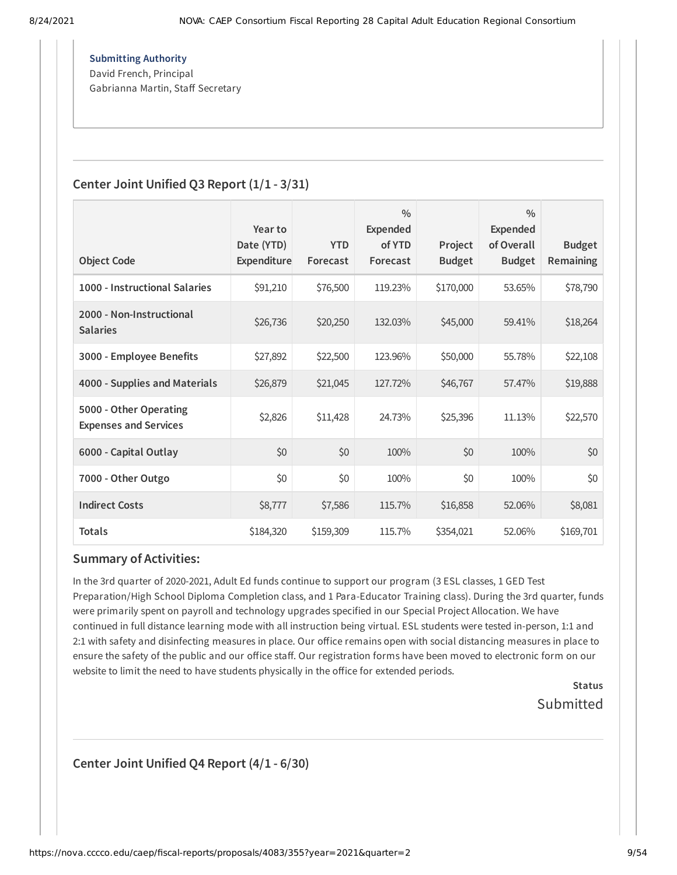**Submitting Authority** David French, Principal Gabrianna Martin, Staff Secretary

### **Center Joint Unified Q3 Report (1/1 - 3/31)**

| <b>Object Code</b>                                     | Year to<br>Date (YTD)<br>Expenditure | <b>YTD</b><br>Forecast | 0/0<br><b>Expended</b><br>of YTD<br>Forecast | Project<br><b>Budget</b> | $\frac{0}{0}$<br><b>Expended</b><br>of Overall<br><b>Budget</b> | <b>Budget</b><br><b>Remaining</b> |
|--------------------------------------------------------|--------------------------------------|------------------------|----------------------------------------------|--------------------------|-----------------------------------------------------------------|-----------------------------------|
| 1000 - Instructional Salaries                          | \$91,210                             | \$76,500               | 119.23%                                      | \$170,000                | 53.65%                                                          | \$78,790                          |
| 2000 - Non-Instructional<br><b>Salaries</b>            | \$26,736                             | \$20,250               | 132.03%                                      | \$45,000                 | 59.41%                                                          | \$18,264                          |
| 3000 - Employee Benefits                               | \$27,892                             | \$22,500               | 123.96%                                      | \$50,000                 | 55.78%                                                          | \$22,108                          |
| 4000 - Supplies and Materials                          | \$26,879                             | \$21,045               | 127.72%                                      | \$46,767                 | 57.47%                                                          | \$19,888                          |
| 5000 - Other Operating<br><b>Expenses and Services</b> | \$2,826                              | \$11,428               | 24.73%                                       | \$25,396                 | 11.13%                                                          | \$22,570                          |
| 6000 - Capital Outlay                                  | \$0                                  | \$0                    | 100%                                         | \$0                      | 100%                                                            | \$0                               |
| 7000 - Other Outgo                                     | \$0                                  | \$0                    | 100%                                         | \$0                      | 100%                                                            | \$0                               |
| <b>Indirect Costs</b>                                  | \$8,777                              | \$7,586                | 115.7%                                       | \$16,858                 | 52.06%                                                          | \$8,081                           |
| <b>Totals</b>                                          | \$184,320                            | \$159,309              | 115.7%                                       | \$354,021                | 52.06%                                                          | \$169,701                         |

### **Summary of Activities:**

In the 3rd quarter of 2020-2021, Adult Ed funds continue to support our program (3 ESL classes, 1 GED Test Preparation/High School Diploma Completion class, and 1 Para-Educator Training class). During the 3rd quarter, funds were primarily spent on payroll and technology upgrades specified in our Special Project Allocation. We have continued in full distance learning mode with all instruction being virtual. ESL students were tested in-person, 1:1 and 2:1 with safety and disinfecting measures in place. Our office remains open with social distancing measures in place to ensure the safety of the public and our office staff. Our registration forms have been moved to electronic form on our website to limit the need to have students physically in the office for extended periods.

> **Status** Submitted

**Center Joint Unified Q4 Report (4/1 - 6/30)**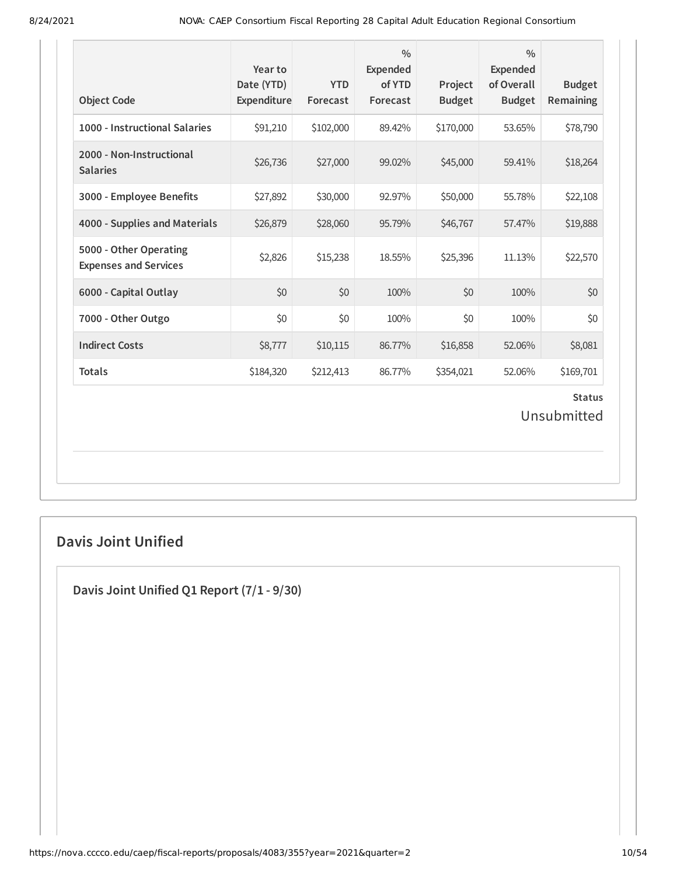| <b>Object Code</b>                                     | Year to<br>Date (YTD)<br>Expenditure | <b>YTD</b><br>Forecast | $\frac{0}{0}$<br>Expended<br>of YTD<br>Forecast | Project<br><b>Budget</b> | $\frac{0}{0}$<br><b>Expended</b><br>of Overall<br><b>Budget</b> | <b>Budget</b><br>Remaining   |
|--------------------------------------------------------|--------------------------------------|------------------------|-------------------------------------------------|--------------------------|-----------------------------------------------------------------|------------------------------|
| 1000 - Instructional Salaries                          | \$91,210                             | \$102,000              | 89.42%                                          | \$170,000                | 53.65%                                                          | \$78,790                     |
| 2000 - Non-Instructional<br><b>Salaries</b>            | \$26,736                             | \$27,000               | 99.02%                                          | \$45,000                 | 59.41%                                                          | \$18,264                     |
| 3000 - Employee Benefits                               | \$27,892                             | \$30,000               | 92.97%                                          | \$50,000                 | 55.78%                                                          | \$22,108                     |
| 4000 - Supplies and Materials                          | \$26,879                             | \$28,060               | 95.79%                                          | \$46,767                 | 57.47%                                                          | \$19,888                     |
| 5000 - Other Operating<br><b>Expenses and Services</b> | \$2,826                              | \$15,238               | 18.55%                                          | \$25,396                 | 11.13%                                                          | \$22,570                     |
| 6000 - Capital Outlay                                  | \$0                                  | \$0                    | 100%                                            | \$0                      | 100%                                                            | \$0                          |
| 7000 - Other Outgo                                     | \$0                                  | \$0                    | 100%                                            | \$0                      | 100%                                                            | \$0                          |
| <b>Indirect Costs</b>                                  | \$8,777                              | \$10,115               | 86.77%                                          | \$16,858                 | 52.06%                                                          | \$8,081                      |
| <b>Totals</b>                                          | \$184,320                            | \$212,413              | 86.77%                                          | \$354,021                | 52.06%                                                          | \$169,701                    |
|                                                        |                                      |                        |                                                 |                          |                                                                 | <b>Status</b><br>Unsubmitted |

# **Davis Joint Unified**

**Davis Joint Unified Q1 Report (7/1 - 9/30)**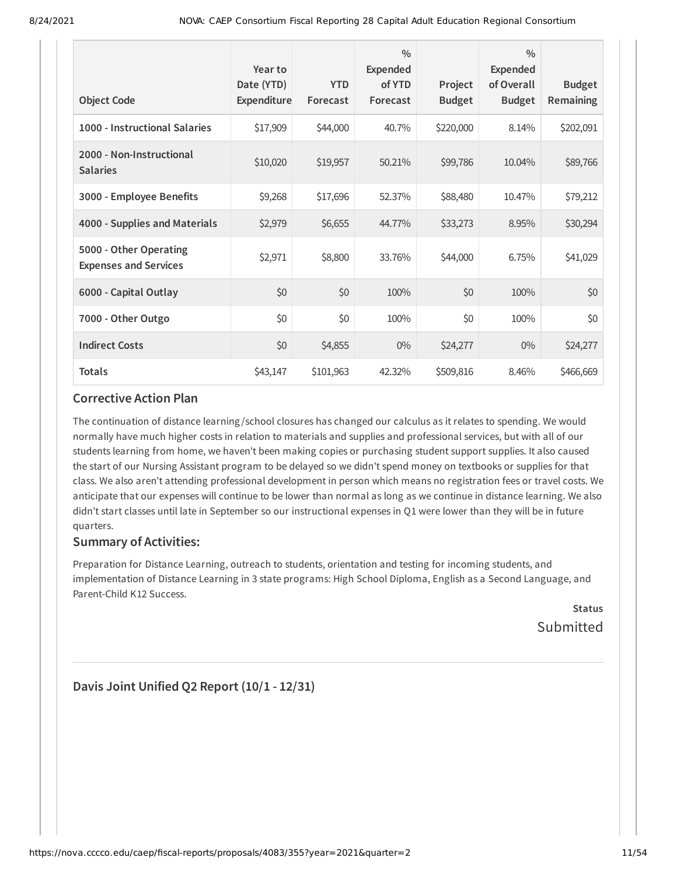| <b>Object Code</b>                                     | Year to<br>Date (YTD)<br>Expenditure | <b>YTD</b><br>Forecast | $\frac{0}{0}$<br><b>Expended</b><br>of YTD<br>Forecast | Project<br><b>Budget</b> | $\frac{0}{0}$<br><b>Expended</b><br>of Overall<br><b>Budget</b> | <b>Budget</b><br>Remaining |
|--------------------------------------------------------|--------------------------------------|------------------------|--------------------------------------------------------|--------------------------|-----------------------------------------------------------------|----------------------------|
| 1000 - Instructional Salaries                          | \$17,909                             | \$44,000               | 40.7%                                                  | \$220,000                | 8.14%                                                           | \$202,091                  |
| 2000 - Non-Instructional<br><b>Salaries</b>            | \$10,020                             | \$19,957               | 50.21%                                                 | \$99,786                 | 10.04%                                                          | \$89,766                   |
| 3000 - Employee Benefits                               | \$9,268                              | \$17,696               | 52.37%                                                 | \$88,480                 | 10.47%                                                          | \$79,212                   |
| 4000 - Supplies and Materials                          | \$2,979                              | \$6,655                | 44.77%                                                 | \$33,273                 | 8.95%                                                           | \$30,294                   |
| 5000 - Other Operating<br><b>Expenses and Services</b> | \$2,971                              | \$8,800                | 33.76%                                                 | \$44,000                 | 6.75%                                                           | \$41,029                   |
| 6000 - Capital Outlay                                  | \$0                                  | \$0                    | 100%                                                   | \$0                      | 100%                                                            | \$0                        |
| 7000 - Other Outgo                                     | \$0                                  | \$0                    | 100%                                                   | \$0                      | 100%                                                            | \$0                        |
| <b>Indirect Costs</b>                                  | \$0                                  | \$4,855                | $0\%$                                                  | \$24,277                 | $0\%$                                                           | \$24,277                   |
| <b>Totals</b>                                          | \$43,147                             | \$101,963              | 42.32%                                                 | \$509,816                | 8.46%                                                           | \$466,669                  |

The continuation of distance learning /school closures has changed our calculus as it relates to spending. We would normally have much higher costs in relation to materials and supplies and professional services, but with all of our students learning from home, we haven't been making copies or purchasing student support supplies. It also caused the start of our Nursing Assistant program to be delayed so we didn't spend money on textbooks or supplies for that class. We also aren't attending professional development in person which means no registration fees or travel costs. We anticipate that our expenses will continue to be lower than normal as long as we continue in distance learning. We also didn't start classes until late in September so our instructional expenses in Q1 were lower than they will be in future quarters.

### **Summary of Activities:**

Preparation for Distance Learning, outreach to students, orientation and testing for incoming students, and implementation of Distance Learning in 3 state programs: High School Diploma, English as a Second Language, and Parent-Child K12 Success.

**Status** Submitted

**Davis Joint Unified Q2 Report (10/1 - 12/31)**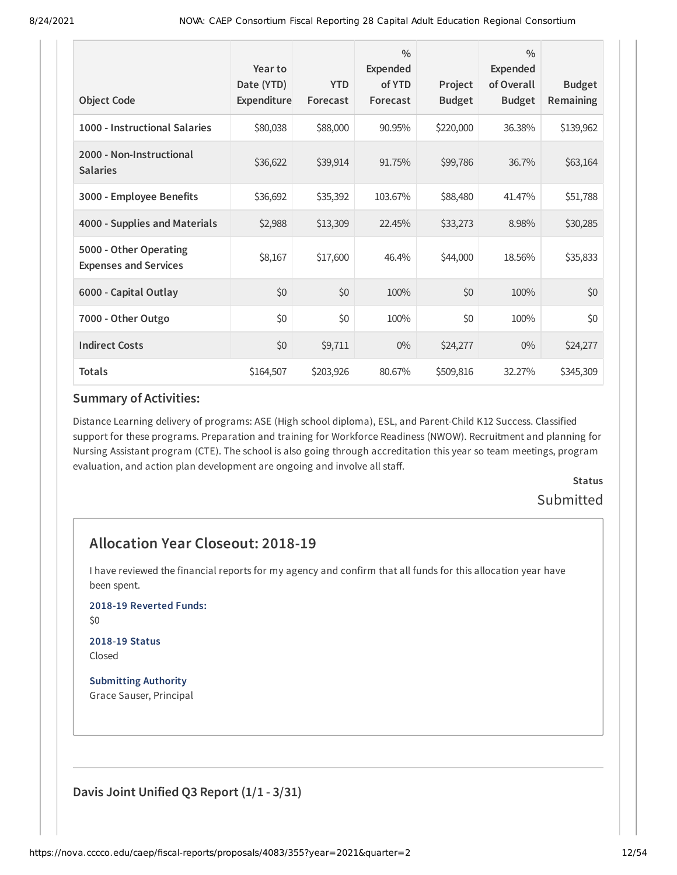| <b>Object Code</b>                                     | Year to<br>Date (YTD)<br>Expenditure | <b>YTD</b><br>Forecast | $\frac{0}{0}$<br><b>Expended</b><br>of YTD<br>Forecast | Project<br><b>Budget</b> | $\frac{0}{0}$<br><b>Expended</b><br>of Overall<br><b>Budget</b> | <b>Budget</b><br><b>Remaining</b> |
|--------------------------------------------------------|--------------------------------------|------------------------|--------------------------------------------------------|--------------------------|-----------------------------------------------------------------|-----------------------------------|
|                                                        |                                      |                        |                                                        |                          |                                                                 |                                   |
| 1000 - Instructional Salaries                          | \$80,038                             | \$88,000               | 90.95%                                                 | \$220,000                | 36.38%                                                          | \$139,962                         |
| 2000 - Non-Instructional<br><b>Salaries</b>            | \$36,622                             | \$39,914               | 91.75%                                                 | \$99,786                 | 36.7%                                                           | \$63,164                          |
| 3000 - Employee Benefits                               | \$36,692                             | \$35,392               | 103.67%                                                | \$88,480                 | 41.47%                                                          | \$51,788                          |
| 4000 - Supplies and Materials                          | \$2,988                              | \$13,309               | 22.45%                                                 | \$33,273                 | 8.98%                                                           | \$30,285                          |
| 5000 - Other Operating<br><b>Expenses and Services</b> | \$8,167                              | \$17,600               | 46.4%                                                  | \$44,000                 | 18.56%                                                          | \$35,833                          |
| 6000 - Capital Outlay                                  | \$0                                  | \$0                    | 100%                                                   | \$0                      | 100%                                                            | \$0                               |
| 7000 - Other Outgo                                     | \$0                                  | \$0                    | 100%                                                   | \$0                      | 100%                                                            | \$0                               |
| <b>Indirect Costs</b>                                  | \$0                                  | \$9,711                | $0\%$                                                  | \$24,277                 | $0\%$                                                           | \$24,277                          |
| <b>Totals</b>                                          | \$164,507                            | \$203,926              | 80.67%                                                 | \$509,816                | 32.27%                                                          | \$345,309                         |

Distance Learning delivery of programs: ASE (High school diploma), ESL, and Parent-Child K12 Success. Classified support for these programs. Preparation and training for Workforce Readiness (NWOW). Recruitment and planning for Nursing Assistant program (CTE). The school is also going through accreditation this year so team meetings, program evaluation, and action plan development are ongoing and involve all staff.

# **Status** Submitted

# **Allocation Year Closeout: 2018-19**

I have reviewed the financial reports for my agency and confirm that all funds for this allocation year have been spent.

**2018-19 Reverted Funds:**

\$0

#### **2018-19 Status** Closed

**Submitting Authority** Grace Sauser, Principal

**Davis Joint Unified Q3 Report (1/1 - 3/31)**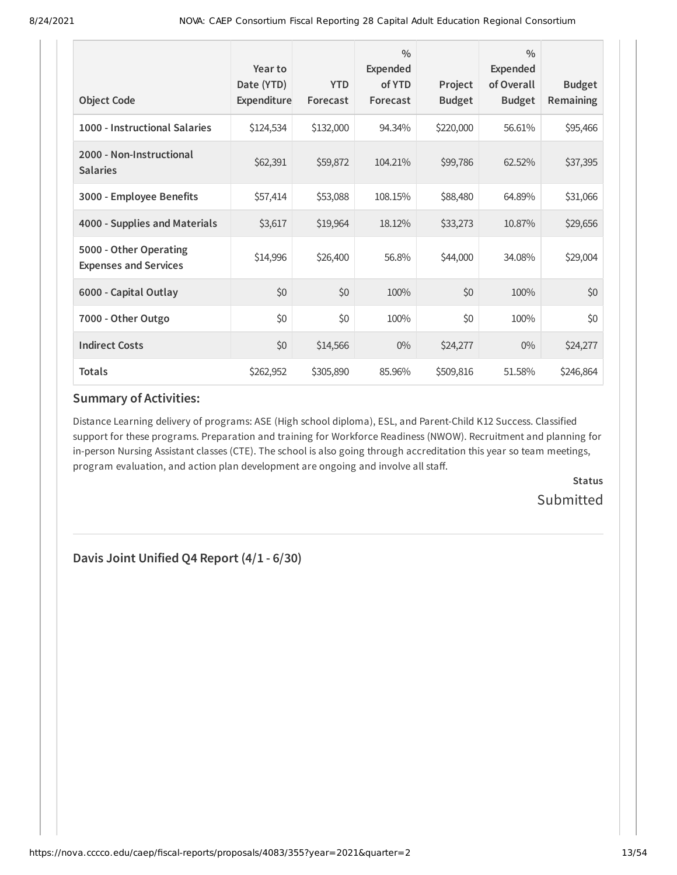| <b>Object Code</b>                                     | Year to<br>Date (YTD)<br>Expenditure | <b>YTD</b><br>Forecast | $\frac{0}{0}$<br>Expended<br>of YTD<br>Forecast | Project<br><b>Budget</b> | $\frac{0}{0}$<br><b>Expended</b><br>of Overall<br><b>Budget</b> | <b>Budget</b><br>Remaining |
|--------------------------------------------------------|--------------------------------------|------------------------|-------------------------------------------------|--------------------------|-----------------------------------------------------------------|----------------------------|
| 1000 - Instructional Salaries                          | \$124,534                            | \$132,000              | 94.34%                                          | \$220,000                | 56.61%                                                          | \$95,466                   |
| 2000 - Non-Instructional<br><b>Salaries</b>            | \$62,391                             | \$59,872               | 104.21%                                         | \$99,786                 | 62.52%                                                          | \$37,395                   |
| 3000 - Employee Benefits                               | \$57,414                             | \$53,088               | 108.15%                                         | \$88,480                 | 64.89%                                                          | \$31,066                   |
| 4000 - Supplies and Materials                          | \$3,617                              | \$19,964               | 18.12%                                          | \$33,273                 | 10.87%                                                          | \$29,656                   |
| 5000 - Other Operating<br><b>Expenses and Services</b> | \$14,996                             | \$26,400               | 56.8%                                           | \$44,000                 | 34.08%                                                          | \$29,004                   |
| 6000 - Capital Outlay                                  | \$0                                  | \$0                    | 100%                                            | \$0                      | 100%                                                            | \$0                        |
| 7000 - Other Outgo                                     | \$0                                  | \$0                    | 100%                                            | \$0                      | 100%                                                            | \$0                        |
| <b>Indirect Costs</b>                                  | \$0                                  | \$14,566               | $0\%$                                           | \$24,277                 | $0\%$                                                           | \$24,277                   |
| <b>Totals</b>                                          | \$262,952                            | \$305,890              | 85.96%                                          | \$509,816                | 51.58%                                                          | \$246,864                  |

Distance Learning delivery of programs: ASE (High school diploma), ESL, and Parent-Child K12 Success. Classified support for these programs. Preparation and training for Workforce Readiness (NWOW). Recruitment and planning for in-person Nursing Assistant classes (CTE). The school is also going through accreditation this year so team meetings, program evaluation, and action plan development are ongoing and involve all staff.

> **Status Submitted**

**Davis Joint Unified Q4 Report (4/1 - 6/30)**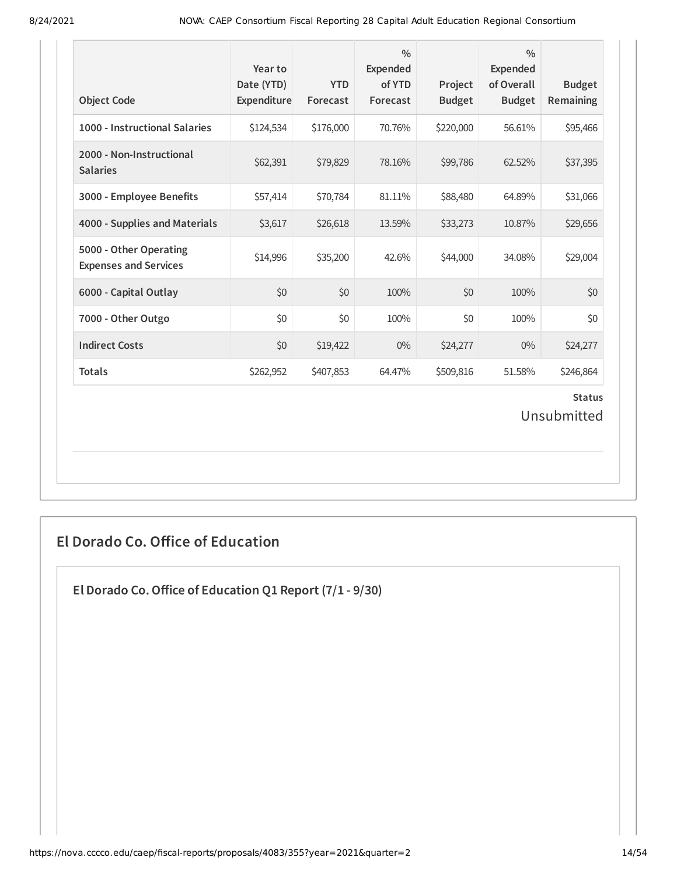| <b>Object Code</b>                                     | Year to<br>Date (YTD)<br>Expenditure | <b>YTD</b><br>Forecast | $\frac{0}{0}$<br>Expended<br>of YTD<br>Forecast | Project<br><b>Budget</b> | $\frac{0}{0}$<br><b>Expended</b><br>of Overall<br><b>Budget</b> | <b>Budget</b><br>Remaining |  |
|--------------------------------------------------------|--------------------------------------|------------------------|-------------------------------------------------|--------------------------|-----------------------------------------------------------------|----------------------------|--|
| 1000 - Instructional Salaries                          | \$124,534                            | \$176,000              | 70.76%                                          | \$220,000                | 56.61%                                                          | \$95,466                   |  |
| 2000 - Non-Instructional<br><b>Salaries</b>            | \$62,391                             | \$79,829               | 78.16%                                          | \$99,786                 | 62.52%                                                          | \$37,395                   |  |
| 3000 - Employee Benefits                               | \$57,414                             | \$70,784               | 81.11%                                          | \$88,480                 | 64.89%                                                          | \$31,066                   |  |
| 4000 - Supplies and Materials                          | \$3,617                              | \$26,618               | 13.59%                                          | \$33,273                 | 10.87%                                                          | \$29,656                   |  |
| 5000 - Other Operating<br><b>Expenses and Services</b> | \$14,996                             | \$35,200               | 42.6%                                           | \$44,000                 | 34.08%                                                          | \$29,004                   |  |
| 6000 - Capital Outlay                                  | \$0                                  | \$0                    | 100%                                            | \$0                      | 100%                                                            | \$0                        |  |
| 7000 - Other Outgo                                     | \$0                                  | \$0                    | 100%                                            | \$0                      | 100%                                                            | \$0                        |  |
| <b>Indirect Costs</b>                                  | \$0                                  | \$19,422               | $0\%$                                           | \$24,277                 | $0\%$                                                           | \$24,277                   |  |
| <b>Totals</b>                                          | \$262,952                            | \$407,853              | 64.47%                                          | \$509,816                | 51.58%                                                          | \$246,864                  |  |
| <b>Status</b><br>Unsubmitted                           |                                      |                        |                                                 |                          |                                                                 |                            |  |

# **El Dorado Co. Office of Education**

**El Dorado Co.Office of Education Q1 Report (7/1 - 9/30)**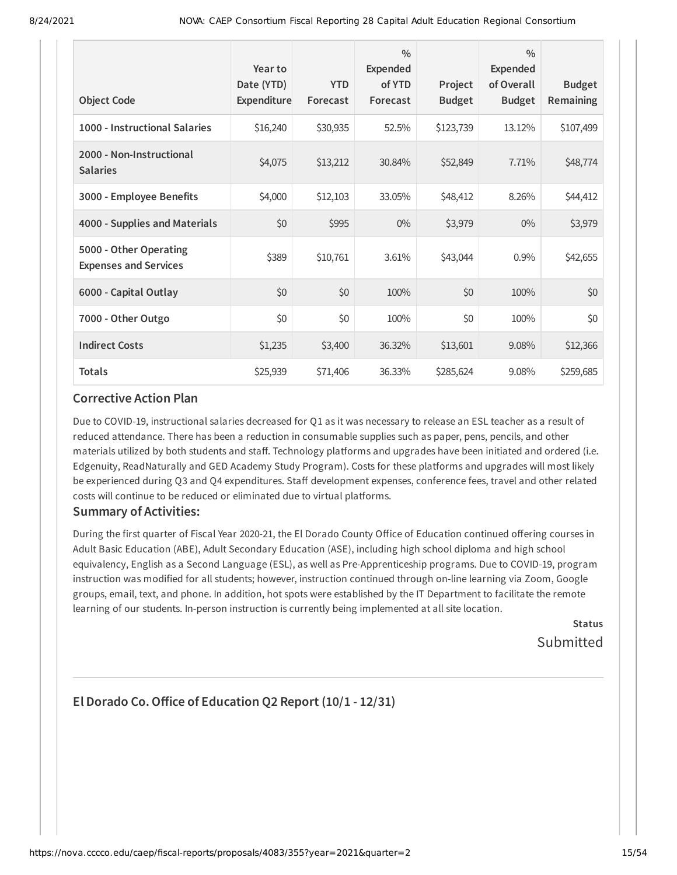| <b>Object Code</b>                                     | Year to<br>Date (YTD)<br>Expenditure | <b>YTD</b><br>Forecast | $\frac{0}{0}$<br>Expended<br>of YTD<br>Forecast | Project<br><b>Budget</b> | $\frac{0}{0}$<br>Expended<br>of Overall<br><b>Budget</b> | <b>Budget</b><br>Remaining |
|--------------------------------------------------------|--------------------------------------|------------------------|-------------------------------------------------|--------------------------|----------------------------------------------------------|----------------------------|
| 1000 - Instructional Salaries                          | \$16,240                             | \$30,935               | 52.5%                                           | \$123,739                | 13.12%                                                   | \$107,499                  |
| 2000 - Non-Instructional<br><b>Salaries</b>            | \$4,075                              | \$13,212               | 30.84%                                          | \$52,849                 | 7.71%                                                    | \$48,774                   |
| 3000 - Employee Benefits                               | \$4,000                              | \$12,103               | 33.05%                                          | \$48,412                 | 8.26%                                                    | \$44,412                   |
| 4000 - Supplies and Materials                          | \$0                                  | \$995                  | $0\%$                                           | \$3,979                  | $0\%$                                                    | \$3,979                    |
| 5000 - Other Operating<br><b>Expenses and Services</b> | \$389                                | \$10,761               | 3.61%                                           | \$43,044                 | 0.9%                                                     | \$42,655                   |
| 6000 - Capital Outlay                                  | \$0                                  | \$0                    | 100%                                            | \$0                      | 100%                                                     | \$0                        |
| 7000 - Other Outgo                                     | \$0                                  | \$0                    | 100%                                            | \$0                      | 100%                                                     | \$0                        |
| <b>Indirect Costs</b>                                  | \$1,235                              | \$3,400                | 36.32%                                          | \$13,601                 | 9.08%                                                    | \$12,366                   |
| <b>Totals</b>                                          | \$25,939                             | \$71,406               | 36.33%                                          | \$285,624                | 9.08%                                                    | \$259,685                  |

Due to COVID-19, instructional salaries decreased for Q1 as it was necessary to release an ESL teacher as a result of reduced attendance. There has been a reduction in consumable supplies such as paper, pens, pencils, and other materials utilized by both students and staff. Technology platforms and upgrades have been initiated and ordered (i.e. Edgenuity, ReadNaturally and GED Academy Study Program). Costs for these platforms and upgrades will most likely be experienced during Q3 and Q4 expenditures. Staff development expenses, conference fees, travel and other related costs will continue to be reduced or eliminated due to virtual platforms.

### **Summary of Activities:**

During the first quarter of Fiscal Year 2020-21, the El Dorado County Office of Education continued offering courses in Adult Basic Education (ABE), Adult Secondary Education (ASE), including high school diploma and high school equivalency, English as a Second Language (ESL), as well as Pre-Apprenticeship programs. Due to COVID-19, program instruction was modified for all students; however, instruction continued through on-line learning via Zoom, Google groups, email, text, and phone. In addition, hot spots were established by the IT Department to facilitate the remote learning of our students. In-person instruction is currently being implemented at all site location.

> **Status** Submitted

# **El Dorado Co.Office of Education Q2 Report (10/1 - 12/31)**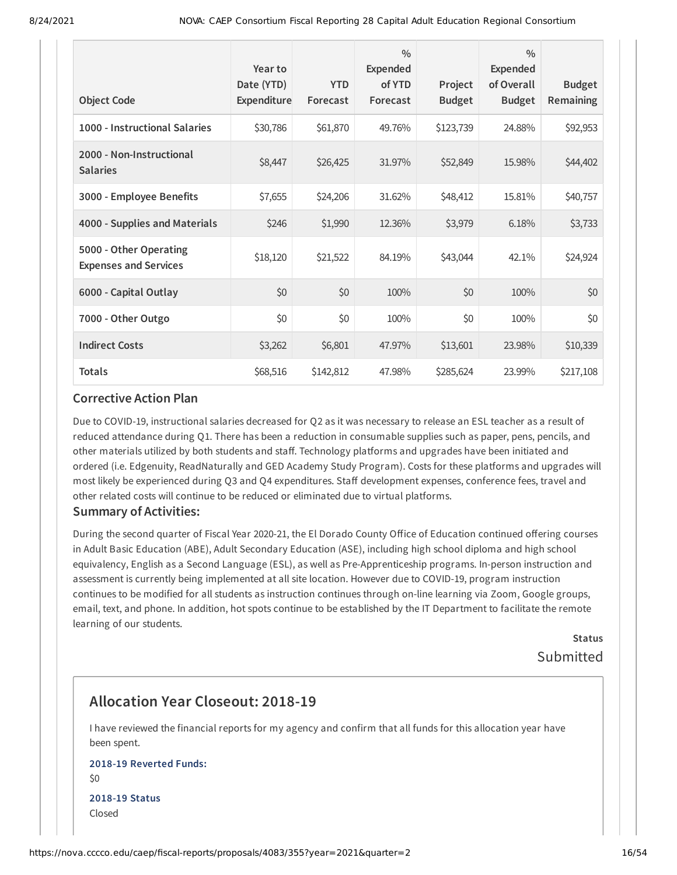| <b>Object Code</b>                                     | Year to<br>Date (YTD)<br>Expenditure | <b>YTD</b><br>Forecast | $\frac{0}{0}$<br>Expended<br>of YTD<br>Forecast | Project<br><b>Budget</b> | $\frac{0}{0}$<br>Expended<br>of Overall<br><b>Budget</b> | <b>Budget</b><br><b>Remaining</b> |
|--------------------------------------------------------|--------------------------------------|------------------------|-------------------------------------------------|--------------------------|----------------------------------------------------------|-----------------------------------|
| 1000 - Instructional Salaries                          | \$30,786                             | \$61,870               | 49.76%                                          | \$123,739                | 24.88%                                                   | \$92,953                          |
| 2000 - Non-Instructional<br><b>Salaries</b>            | \$8,447                              | \$26,425               | 31.97%                                          | \$52,849                 | 15.98%                                                   | \$44,402                          |
| 3000 - Employee Benefits                               | \$7,655                              | \$24,206               | 31.62%                                          | \$48,412                 | 15.81%                                                   | \$40,757                          |
| 4000 - Supplies and Materials                          | \$246                                | \$1,990                | 12.36%                                          | \$3,979                  | 6.18%                                                    | \$3,733                           |
| 5000 - Other Operating<br><b>Expenses and Services</b> | \$18,120                             | \$21,522               | 84.19%                                          | \$43,044                 | 42.1%                                                    | \$24,924                          |
| 6000 - Capital Outlay                                  | \$0                                  | \$0                    | 100%                                            | \$0                      | 100%                                                     | \$0                               |
| 7000 - Other Outgo                                     | \$0                                  | \$0                    | 100%                                            | \$0                      | 100%                                                     | \$0                               |
| <b>Indirect Costs</b>                                  | \$3,262                              | \$6,801                | 47.97%                                          | \$13,601                 | 23.98%                                                   | \$10,339                          |
| <b>Totals</b>                                          | \$68,516                             | \$142,812              | 47.98%                                          | \$285,624                | 23.99%                                                   | \$217,108                         |

Due to COVID-19, instructional salaries decreased for Q2 as it was necessary to release an ESL teacher as a result of reduced attendance during Q1. There has been a reduction in consumable supplies such as paper, pens, pencils, and other materials utilized by both students and staff. Technology platforms and upgrades have been initiated and ordered (i.e. Edgenuity, ReadNaturally and GED Academy Study Program). Costs for these platforms and upgrades will most likely be experienced during Q3 and Q4 expenditures. Staff development expenses, conference fees, travel and other related costs will continue to be reduced or eliminated due to virtual platforms.

#### **Summary of Activities:**

During the second quarter of Fiscal Year 2020-21, the El Dorado County Office of Education continued offering courses in Adult Basic Education (ABE), Adult Secondary Education (ASE), including high school diploma and high school equivalency, English as a Second Language (ESL), as well as Pre-Apprenticeship programs. In-person instruction and assessment is currently being implemented at all site location. However due to COVID-19, program instruction continues to be modified for all students as instruction continues through on-line learning via Zoom, Google groups, email, text, and phone. In addition, hot spots continue to be established by the IT Department to facilitate the remote learning of our students.

> **Status** Submitted

# **Allocation Year Closeout: 2018-19**

I have reviewed the financial reports for my agency and confirm that all funds for this allocation year have been spent.

#### **2018-19 Reverted Funds:** \$0

**2018-19 Status** Closed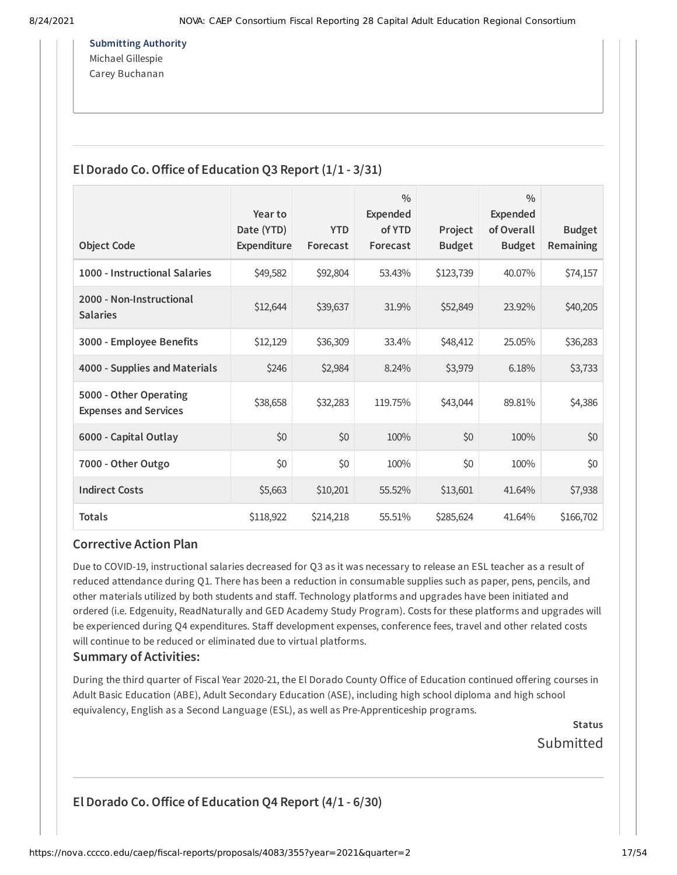**Submitting Authority** Michael Gillespie Carey Buchanan

### **El Dorado Co.Office of Education Q3 Report (1/1 - 3/31)**

|                                                        | Year to                   |                        | $\frac{0}{0}$<br><b>Expended</b> |                          | $\frac{0}{0}$<br><b>Expended</b> |                            |
|--------------------------------------------------------|---------------------------|------------------------|----------------------------------|--------------------------|----------------------------------|----------------------------|
| <b>Object Code</b>                                     | Date (YTD)<br>Expenditure | <b>YTD</b><br>Forecast | of YTD<br>Forecast               | Project<br><b>Budget</b> | of Overall<br><b>Budget</b>      | <b>Budget</b><br>Remaining |
| 1000 - Instructional Salaries                          | \$49,582                  | \$92,804               | 53.43%                           | \$123,739                | 40.07%                           | \$74,157                   |
| 2000 - Non-Instructional<br><b>Salaries</b>            | \$12,644                  | \$39,637               | 31.9%                            | \$52,849                 | 23.92%                           | \$40,205                   |
| 3000 - Employee Benefits                               | \$12,129                  | \$36,309               | 33.4%                            | \$48,412                 | 25.05%                           | \$36,283                   |
| 4000 - Supplies and Materials                          | \$246                     | \$2,984                | 8.24%                            | \$3,979                  | 6.18%                            | \$3,733                    |
| 5000 - Other Operating<br><b>Expenses and Services</b> | \$38,658                  | \$32,283               | 119.75%                          | \$43,044                 | 89.81%                           | \$4,386                    |
| 6000 - Capital Outlay                                  | \$0                       | \$0                    | 100%                             | \$0                      | 100%                             | \$0                        |
| 7000 - Other Outgo                                     | \$0                       | \$0                    | 100%                             | \$0                      | 100%                             | \$0                        |
| <b>Indirect Costs</b>                                  | \$5,663                   | \$10,201               | 55.52%                           | \$13,601                 | 41.64%                           | \$7,938                    |
| <b>Totals</b>                                          | \$118,922                 | \$214,218              | 55.51%                           | \$285,624                | 41.64%                           | \$166,702                  |

### **Corrective Action Plan**

Due to COVID-19, instructional salaries decreased for Q3 as it was necessary to release an ESL teacher as a result of reduced attendance during Q1. There has been a reduction in consumable supplies such as paper, pens, pencils, and other materials utilized by both students and staff. Technology platforms and upgrades have been initiated and ordered (i.e. Edgenuity, ReadNaturally and GED Academy Study Program). Costs for these platforms and upgrades will be experienced during Q4 expenditures. Staff development expenses, conference fees, travel and other related costs will continue to be reduced or eliminated due to virtual platforms.

### **Summary of Activities:**

During the third quarter of Fiscal Year 2020-21, the El Dorado County Office of Education continued offering courses in Adult Basic Education (ABE), Adult Secondary Education (ASE), including high school diploma and high school equivalency, English as a Second Language (ESL), as well as Pre-Apprenticeship programs.

> **Status** Submitted

# **El Dorado Co.Office of Education Q4 Report (4/1 - 6/30)**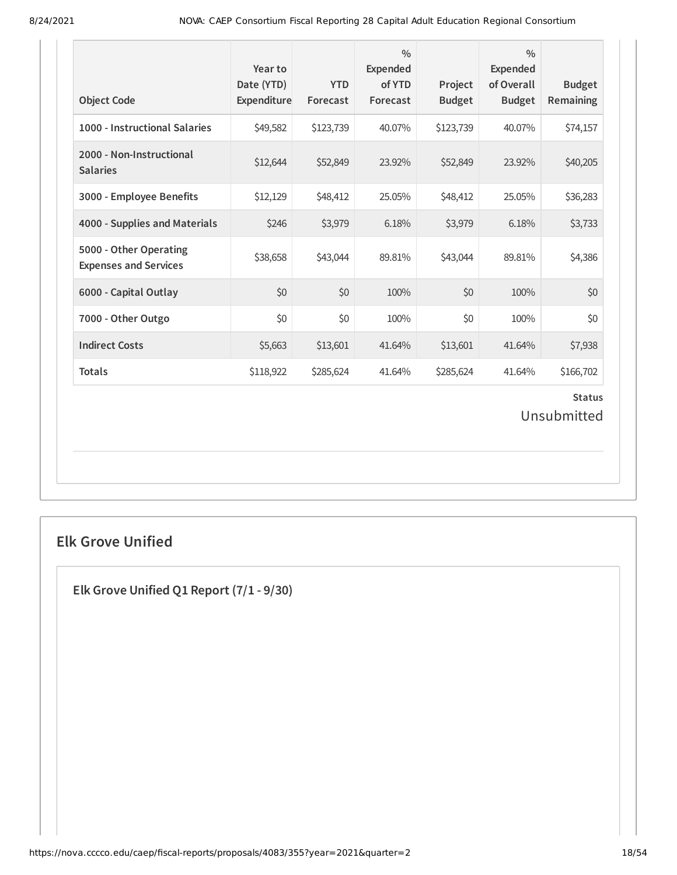| <b>Object Code</b>                                     | Year to<br>Date (YTD)<br>Expenditure | <b>YTD</b><br>Forecast | $\frac{0}{0}$<br><b>Expended</b><br>of YTD<br>Forecast | Project<br><b>Budget</b> | $\frac{0}{0}$<br><b>Expended</b><br>of Overall<br><b>Budget</b> | <b>Budget</b><br>Remaining |  |
|--------------------------------------------------------|--------------------------------------|------------------------|--------------------------------------------------------|--------------------------|-----------------------------------------------------------------|----------------------------|--|
| 1000 - Instructional Salaries                          | \$49,582                             | \$123,739              | 40.07%                                                 | \$123,739                | 40.07%                                                          | \$74,157                   |  |
| 2000 - Non-Instructional<br><b>Salaries</b>            | \$12,644                             | \$52,849               | 23.92%                                                 | \$52,849                 | 23.92%                                                          | \$40,205                   |  |
| 3000 - Employee Benefits                               | \$12,129                             | \$48,412               | 25.05%                                                 | \$48,412                 | 25.05%                                                          | \$36,283                   |  |
| 4000 - Supplies and Materials                          | \$246                                | \$3,979                | 6.18%                                                  | \$3,979                  | 6.18%                                                           | \$3,733                    |  |
| 5000 - Other Operating<br><b>Expenses and Services</b> | \$38,658                             | \$43,044               | 89.81%                                                 | \$43,044                 | 89.81%                                                          | \$4,386                    |  |
| 6000 - Capital Outlay                                  | \$0                                  | \$0                    | 100%                                                   | \$0                      | 100%                                                            | \$0                        |  |
| 7000 - Other Outgo                                     | \$0                                  | \$0                    | 100%                                                   | \$0                      | 100%                                                            | \$0                        |  |
| <b>Indirect Costs</b>                                  | \$5,663                              | \$13,601               | 41.64%                                                 | \$13,601                 | 41.64%                                                          | \$7,938                    |  |
| <b>Totals</b>                                          | \$118,922                            | \$285,624              | 41.64%                                                 | \$285,624                | 41.64%                                                          | \$166,702                  |  |
| <b>Status</b><br>Unsubmitted                           |                                      |                        |                                                        |                          |                                                                 |                            |  |

# **Elk Grove Unified**

**Elk Grove Unified Q1 Report (7/1 - 9/30)**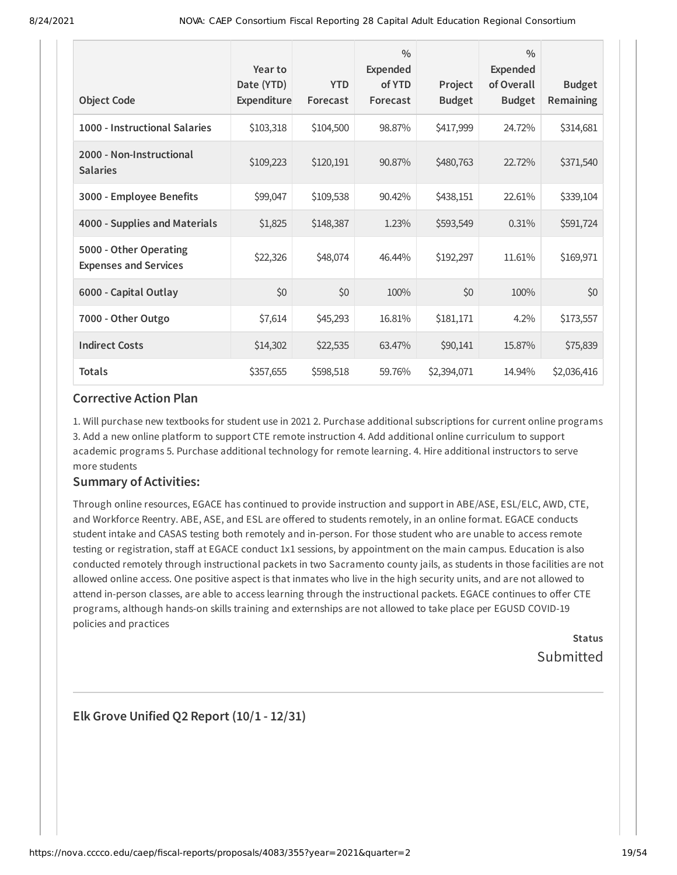| <b>Object Code</b>                                     | Year to<br>Date (YTD)<br>Expenditure | <b>YTD</b><br>Forecast | $\frac{0}{0}$<br><b>Expended</b><br>of YTD<br>Forecast | Project<br><b>Budget</b> | $\frac{0}{0}$<br>Expended<br>of Overall<br><b>Budget</b> | <b>Budget</b><br>Remaining |
|--------------------------------------------------------|--------------------------------------|------------------------|--------------------------------------------------------|--------------------------|----------------------------------------------------------|----------------------------|
| 1000 - Instructional Salaries                          | \$103,318                            | \$104,500              | 98.87%                                                 | \$417,999                | 24.72%                                                   | \$314,681                  |
| 2000 - Non-Instructional<br><b>Salaries</b>            | \$109,223                            | \$120,191              | 90.87%                                                 | \$480,763                | 22.72%                                                   | \$371,540                  |
| 3000 - Employee Benefits                               | \$99,047                             | \$109,538              | 90.42%                                                 | \$438,151                | 22.61%                                                   | \$339,104                  |
| 4000 - Supplies and Materials                          | \$1,825                              | \$148,387              | 1.23%                                                  | \$593,549                | 0.31%                                                    | \$591,724                  |
| 5000 - Other Operating<br><b>Expenses and Services</b> | \$22,326                             | \$48,074               | 46.44%                                                 | \$192,297                | 11.61%                                                   | \$169,971                  |
| 6000 - Capital Outlay                                  | \$0                                  | \$0                    | 100%                                                   | \$0                      | 100%                                                     | \$0                        |
| 7000 - Other Outgo                                     | \$7,614                              | \$45,293               | 16.81%                                                 | \$181,171                | 4.2%                                                     | \$173,557                  |
| <b>Indirect Costs</b>                                  | \$14,302                             | \$22,535               | 63.47%                                                 | \$90,141                 | 15.87%                                                   | \$75,839                   |
| <b>Totals</b>                                          | \$357,655                            | \$598,518              | 59.76%                                                 | \$2,394,071              | 14.94%                                                   | \$2,036,416                |

1. Will purchase new textbooks for student use in 2021 2. Purchase additional subscriptions for current online programs 3. Add a new online platform to support CTE remote instruction 4. Add additional online curriculum to support academic programs 5. Purchase additional technology for remote learning. 4. Hire additional instructors to serve more students

### **Summary of Activities:**

Through online resources, EGACE has continued to provide instruction and support in ABE/ASE, ESL/ELC, AWD, CTE, and Workforce Reentry. ABE, ASE, and ESL are offered to students remotely, in an online format. EGACE conducts student intake and CASAS testing both remotely and in-person. For those student who are unable to access remote testing or registration, staff at EGACE conduct 1x1 sessions, by appointment on the main campus. Education is also conducted remotely through instructional packets in two Sacramento county jails, as students in those facilities are not allowed online access. One positive aspect is that inmates who live in the high security units, and are not allowed to attend in-person classes, are able to access learning through the instructional packets. EGACE continues to offer CTE programs, although hands-on skills training and externships are not allowed to take place per EGUSD COVID-19 policies and practices

> **Status** Submitted

**Elk Grove Unified Q2 Report (10/1 - 12/31)**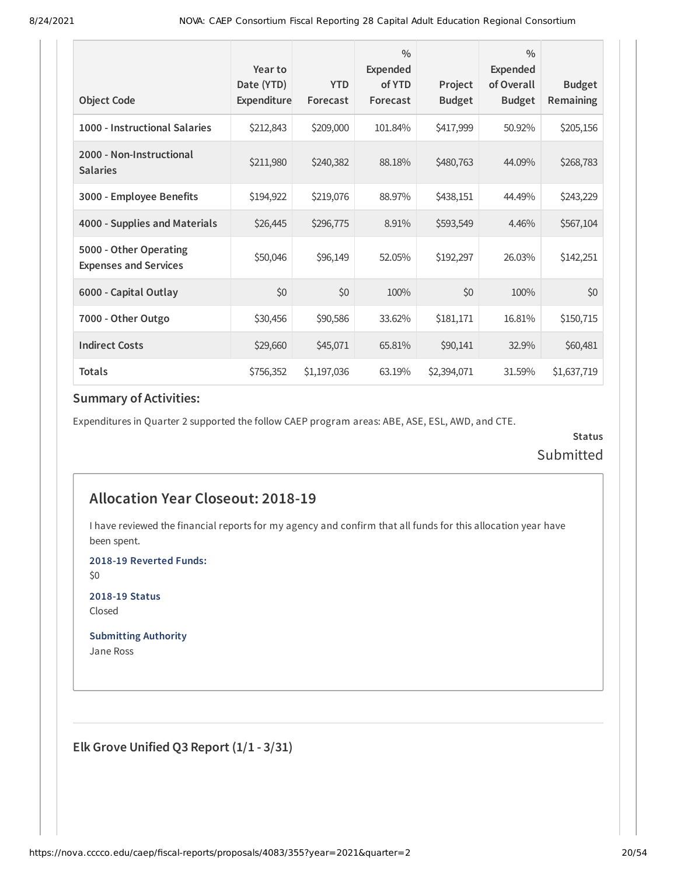|                                                        | Year to                          |                        | $\frac{0}{0}$<br><b>Expended</b> |                          | $\frac{0}{0}$<br><b>Expended</b> |                            |
|--------------------------------------------------------|----------------------------------|------------------------|----------------------------------|--------------------------|----------------------------------|----------------------------|
| <b>Object Code</b>                                     | Date (YTD)<br><b>Expenditure</b> | <b>YTD</b><br>Forecast | of YTD<br>Forecast               | Project<br><b>Budget</b> | of Overall<br><b>Budget</b>      | <b>Budget</b><br>Remaining |
| 1000 - Instructional Salaries                          | \$212,843                        | \$209,000              | 101.84%                          | \$417,999                | 50.92%                           | \$205,156                  |
| 2000 - Non-Instructional<br><b>Salaries</b>            | \$211,980                        | \$240,382              | 88.18%                           | \$480,763                | 44.09%                           | \$268,783                  |
| 3000 - Employee Benefits                               | \$194,922                        | \$219,076              | 88.97%                           | \$438,151                | 44.49%                           | \$243,229                  |
| 4000 - Supplies and Materials                          | \$26,445                         | \$296,775              | 8.91%                            | \$593,549                | 4.46%                            | \$567,104                  |
| 5000 - Other Operating<br><b>Expenses and Services</b> | \$50,046                         | \$96,149               | 52.05%                           | \$192,297                | 26.03%                           | \$142,251                  |
| 6000 - Capital Outlay                                  | \$0                              | \$0                    | 100%                             | \$0                      | 100%                             | \$0                        |
| 7000 - Other Outgo                                     | \$30,456                         | \$90,586               | 33.62%                           | \$181,171                | 16.81%                           | \$150,715                  |
| <b>Indirect Costs</b>                                  | \$29,660                         | \$45,071               | 65.81%                           | \$90,141                 | 32.9%                            | \$60,481                   |
| <b>Totals</b>                                          | \$756,352                        | \$1,197,036            | 63.19%                           | \$2,394,071              | 31.59%                           | \$1,637,719                |

Expenditures in Quarter 2 supported the follow CAEP program areas: ABE, ASE, ESL, AWD, and CTE.

**Status** Submitted

# **Allocation Year Closeout: 2018-19**

I have reviewed the financial reports for my agency and confirm that all funds for this allocation year have been spent.

**2018-19 Reverted Funds:**

\$0

**2018-19 Status** Closed

**Submitting Authority** Jane Ross

**Elk Grove Unified Q3 Report (1/1 - 3/31)**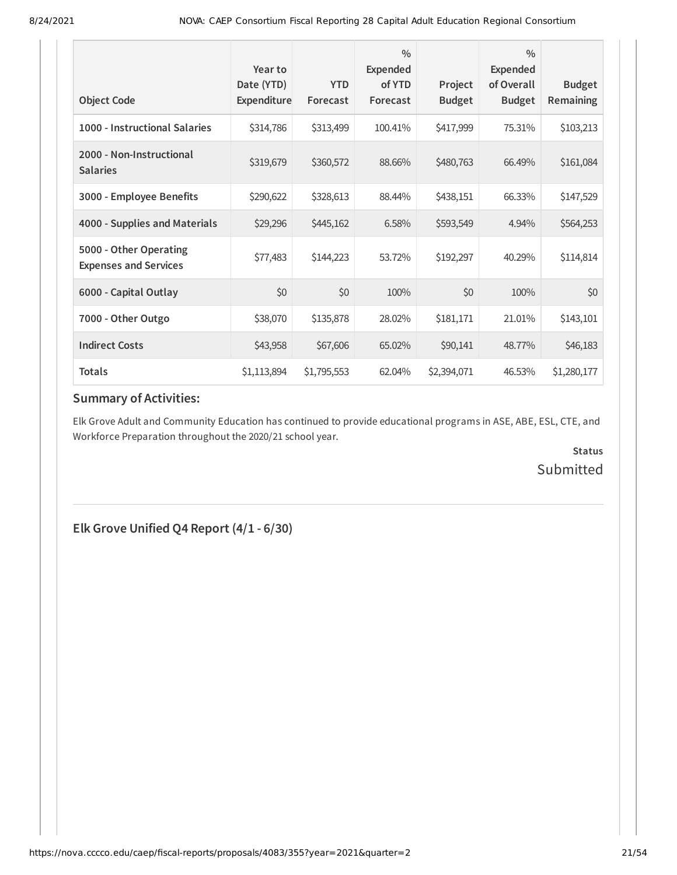| <b>Object Code</b>                                     | Year to<br>Date (YTD)<br>Expenditure | <b>YTD</b><br>Forecast | $\frac{0}{0}$<br><b>Expended</b><br>of YTD<br>Forecast | Project<br><b>Budget</b> | $\frac{0}{0}$<br><b>Expended</b><br>of Overall<br><b>Budget</b> | <b>Budget</b><br>Remaining |
|--------------------------------------------------------|--------------------------------------|------------------------|--------------------------------------------------------|--------------------------|-----------------------------------------------------------------|----------------------------|
| 1000 - Instructional Salaries                          | \$314,786                            | \$313,499              | 100.41%                                                | \$417,999                | 75.31%                                                          | \$103,213                  |
| 2000 - Non-Instructional<br><b>Salaries</b>            | \$319,679                            | \$360,572              | 88.66%                                                 | \$480,763                | 66.49%                                                          | \$161,084                  |
| 3000 - Employee Benefits                               | \$290,622                            | \$328,613              | 88.44%                                                 | \$438,151                | 66.33%                                                          | \$147,529                  |
| 4000 - Supplies and Materials                          | \$29,296                             | \$445,162              | 6.58%                                                  | \$593,549                | 4.94%                                                           | \$564,253                  |
| 5000 - Other Operating<br><b>Expenses and Services</b> | \$77,483                             | \$144,223              | 53.72%                                                 | \$192,297                | 40.29%                                                          | \$114,814                  |
| 6000 - Capital Outlay                                  | \$0                                  | \$0                    | 100%                                                   | \$0                      | 100%                                                            | \$0                        |
| 7000 - Other Outgo                                     | \$38,070                             | \$135,878              | 28.02%                                                 | \$181,171                | 21.01%                                                          | \$143,101                  |
| <b>Indirect Costs</b>                                  | \$43,958                             | \$67,606               | 65.02%                                                 | \$90,141                 | 48.77%                                                          | \$46,183                   |
| <b>Totals</b>                                          | \$1,113,894                          | \$1,795,553            | 62.04%                                                 | \$2,394,071              | 46.53%                                                          | \$1,280,177                |

Elk Grove Adult and Community Education has continued to provide educational programs in ASE, ABE, ESL, CTE, and Workforce Preparation throughout the 2020/21 school year.

> **Status** Submitted

**Elk Grove Unified Q4 Report (4/1 - 6/30)**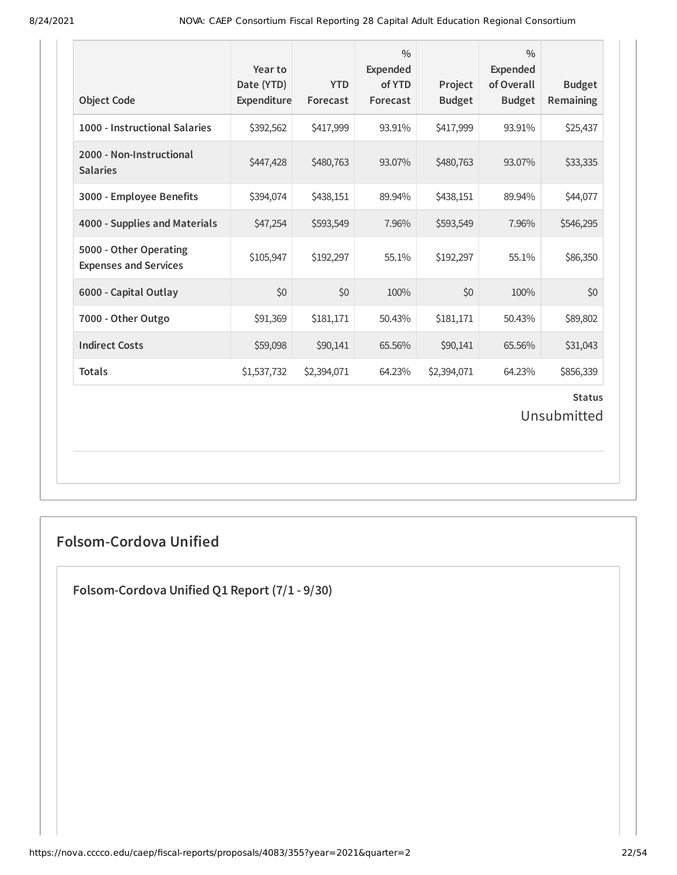| <b>Object Code</b>                                     | Year to<br>Date (YTD)<br>Expenditure | <b>YTD</b><br>Forecast | $\frac{0}{0}$<br><b>Expended</b><br>of YTD<br>Forecast | Project<br><b>Budget</b> | $\frac{0}{0}$<br><b>Expended</b><br>of Overall<br><b>Budget</b> | <b>Budget</b><br>Remaining |  |
|--------------------------------------------------------|--------------------------------------|------------------------|--------------------------------------------------------|--------------------------|-----------------------------------------------------------------|----------------------------|--|
| 1000 - Instructional Salaries                          | \$392,562                            | \$417,999              | 93.91%                                                 | \$417,999                | 93.91%                                                          | \$25,437                   |  |
| 2000 - Non-Instructional<br><b>Salaries</b>            | \$447,428                            | \$480,763              | 93.07%                                                 | \$480,763                | 93.07%                                                          | \$33,335                   |  |
| 3000 - Employee Benefits                               | \$394,074                            | \$438,151              | 89.94%                                                 | \$438,151                | 89.94%                                                          | \$44,077                   |  |
| 4000 - Supplies and Materials                          | \$47,254                             | \$593,549              | 7.96%                                                  | \$593,549                | 7.96%                                                           | \$546,295                  |  |
| 5000 - Other Operating<br><b>Expenses and Services</b> | \$105,947                            | \$192,297              | 55.1%                                                  | \$192,297                | 55.1%                                                           | \$86,350                   |  |
| 6000 - Capital Outlay                                  | \$0                                  | \$0                    | 100%                                                   | \$0                      | 100%                                                            | \$0                        |  |
| 7000 - Other Outgo                                     | \$91,369                             | \$181,171              | 50.43%                                                 | \$181,171                | 50.43%                                                          | \$89,802                   |  |
| <b>Indirect Costs</b>                                  | \$59,098                             | \$90,141               | 65.56%                                                 | \$90,141                 | 65.56%                                                          | \$31,043                   |  |
| <b>Totals</b>                                          | \$1,537,732                          | \$2,394,071            | 64.23%                                                 | \$2,394,071              | 64.23%                                                          | \$856,339                  |  |
| <b>Status</b><br>Unsubmitted                           |                                      |                        |                                                        |                          |                                                                 |                            |  |

# **Folsom-Cordova Unified**

**Folsom-Cordova Unified Q1 Report (7/1 - 9/30)**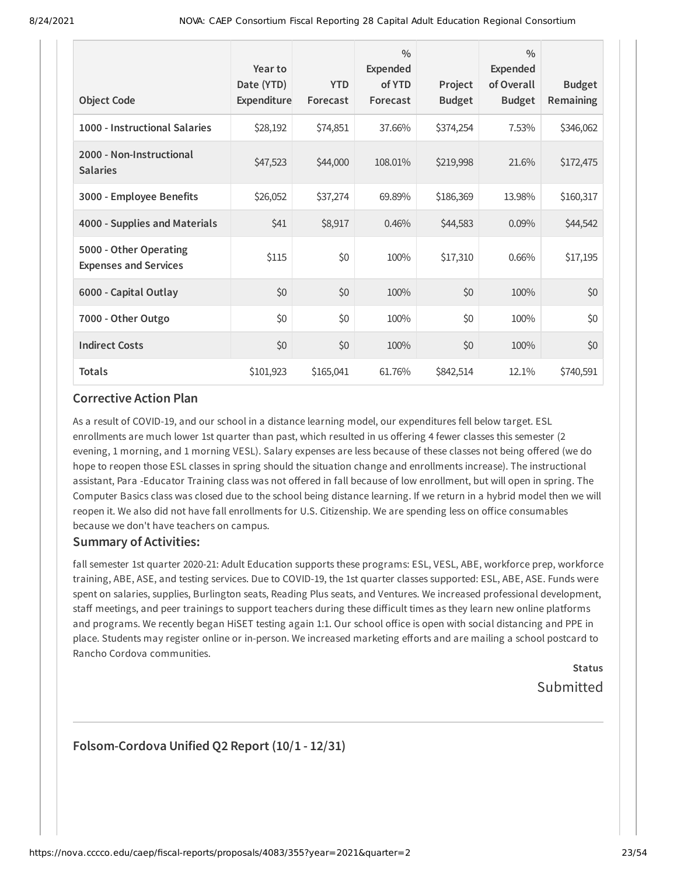|                                                        | Year to<br>Date (YTD) | <b>YTD</b> | $\frac{0}{0}$<br><b>Expended</b><br>of YTD | Project       | $\frac{0}{0}$<br>Expended<br>of Overall | <b>Budget</b>    |
|--------------------------------------------------------|-----------------------|------------|--------------------------------------------|---------------|-----------------------------------------|------------------|
| <b>Object Code</b>                                     | Expenditure           | Forecast   | Forecast                                   | <b>Budget</b> | <b>Budget</b>                           | <b>Remaining</b> |
| 1000 - Instructional Salaries                          | \$28,192              | \$74,851   | 37.66%                                     | \$374,254     | 7.53%                                   | \$346,062        |
| 2000 - Non-Instructional<br><b>Salaries</b>            | \$47,523              | \$44,000   | 108.01%                                    | \$219,998     | 21.6%                                   | \$172,475        |
| 3000 - Employee Benefits                               | \$26,052              | \$37,274   | 69.89%                                     | \$186,369     | 13.98%                                  | \$160,317        |
| 4000 - Supplies and Materials                          | \$41                  | \$8,917    | 0.46%                                      | \$44,583      | 0.09%                                   | \$44,542         |
| 5000 - Other Operating<br><b>Expenses and Services</b> | \$115                 | \$0        | 100%                                       | \$17,310      | 0.66%                                   | \$17,195         |
| 6000 - Capital Outlay                                  | \$0                   | \$0        | 100%                                       | \$0           | 100%                                    | \$0              |
| 7000 - Other Outgo                                     | \$0                   | \$0        | 100%                                       | \$0           | 100%                                    | \$0              |
| <b>Indirect Costs</b>                                  | \$0                   | \$0        | 100%                                       | \$0           | 100%                                    | \$0              |
| <b>Totals</b>                                          | \$101,923             | \$165,041  | 61.76%                                     | \$842,514     | 12.1%                                   | \$740,591        |

As a result of COVID-19, and our school in a distance learning model, our expenditures fell below target. ESL enrollments are much lower 1st quarter than past, which resulted in us offering 4 fewer classes this semester (2 evening, 1 morning, and 1 morning VESL). Salary expenses are less because of these classes not being offered (we do hope to reopen those ESL classes in spring should the situation change and enrollments increase). The instructional assistant, Para -Educator Training class was not offered in fall because of low enrollment, but will open in spring. The Computer Basics class was closed due to the school being distance learning. If we return in a hybrid model then we will reopen it. We also did not have fall enrollments for U.S. Citizenship. We are spending less on office consumables because we don't have teachers on campus.

#### **Summary of Activities:**

fall semester 1st quarter 2020-21: Adult Education supports these programs: ESL, VESL, ABE, workforce prep, workforce training, ABE, ASE, and testing services. Due to COVID-19, the 1st quarter classes supported: ESL, ABE, ASE. Funds were spent on salaries, supplies, Burlington seats, Reading Plus seats, and Ventures. We increased professional development, staff meetings, and peer trainings to support teachers during these difficult times as they learn new online platforms and programs. We recently began HiSET testing again 1:1. Our school office is open with social distancing and PPE in place. Students may register online or in-person. We increased marketing efforts and are mailing a school postcard to Rancho Cordova communities.

# **Status** Submitted

### **Folsom-Cordova Unified Q2 Report (10/1 - 12/31)**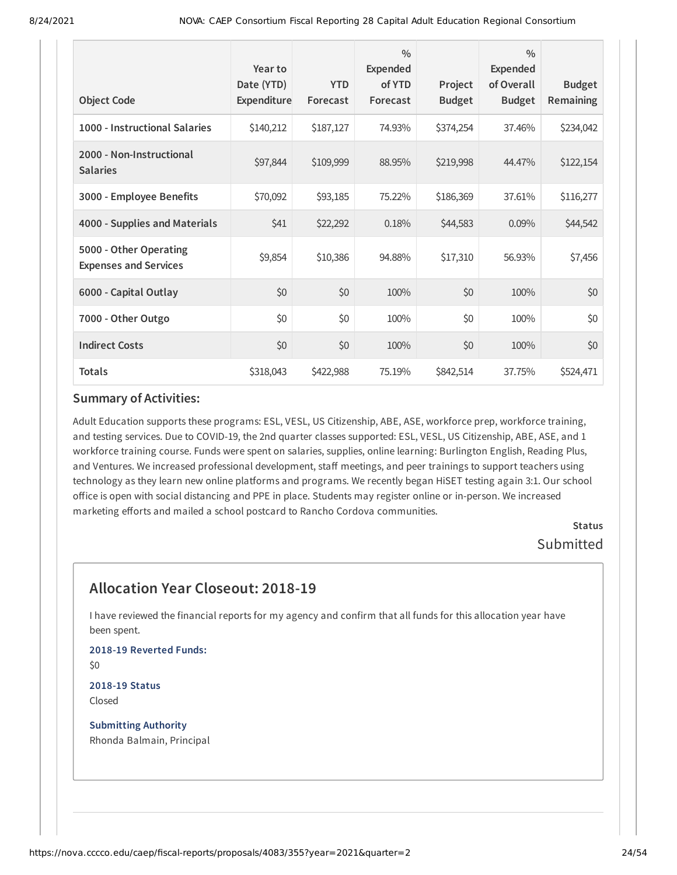| <b>Object Code</b>                                     | Year to<br>Date (YTD)<br>Expenditure | <b>YTD</b><br>Forecast | $\frac{0}{0}$<br><b>Expended</b><br>of YTD<br>Forecast | Project<br><b>Budget</b> | $\frac{0}{0}$<br>Expended<br>of Overall<br><b>Budget</b> | <b>Budget</b><br>Remaining |
|--------------------------------------------------------|--------------------------------------|------------------------|--------------------------------------------------------|--------------------------|----------------------------------------------------------|----------------------------|
| 1000 - Instructional Salaries                          | \$140,212                            | \$187,127              | 74.93%                                                 | \$374,254                | 37.46%                                                   | \$234,042                  |
| 2000 - Non-Instructional<br><b>Salaries</b>            | \$97,844                             | \$109,999              | 88.95%                                                 | \$219,998                | 44.47%                                                   | \$122,154                  |
| 3000 - Employee Benefits                               | \$70,092                             | \$93,185               | 75.22%                                                 | \$186,369                | 37.61%                                                   | \$116,277                  |
| 4000 - Supplies and Materials                          | \$41                                 | \$22,292               | 0.18%                                                  | \$44,583                 | 0.09%                                                    | \$44,542                   |
| 5000 - Other Operating<br><b>Expenses and Services</b> | \$9,854                              | \$10,386               | 94.88%                                                 | \$17,310                 | 56.93%                                                   | \$7,456                    |
| 6000 - Capital Outlay                                  | \$0                                  | \$0                    | 100%                                                   | \$0                      | 100%                                                     | \$0                        |
| 7000 - Other Outgo                                     | \$0                                  | \$0                    | 100%                                                   | \$0                      | 100%                                                     | \$0                        |
| <b>Indirect Costs</b>                                  | \$0                                  | \$0                    | 100%                                                   | \$0                      | 100%                                                     | \$0                        |
| <b>Totals</b>                                          | \$318,043                            | \$422,988              | 75.19%                                                 | \$842,514                | 37.75%                                                   | \$524,471                  |

Adult Education supports these programs: ESL, VESL, US Citizenship, ABE, ASE, workforce prep, workforce training, and testing services. Due to COVID-19, the 2nd quarter classes supported: ESL, VESL, US Citizenship, ABE, ASE, and 1 workforce training course. Funds were spent on salaries, supplies, online learning: Burlington English, Reading Plus, and Ventures. We increased professional development, staff meetings, and peer trainings to support teachers using technology as they learn new online platforms and programs. We recently began HiSET testing again 3:1. Our school office is open with social distancing and PPE in place. Students may register online or in-person. We increased marketing efforts and mailed a school postcard to Rancho Cordova communities.

> **Status** Submitted

# **Allocation Year Closeout: 2018-19**

I have reviewed the financial reports for my agency and confirm that all funds for this allocation year have been spent.

**2018-19 Reverted Funds:** \$0

**2018-19 Status** Closed

**Submitting Authority** Rhonda Balmain, Principal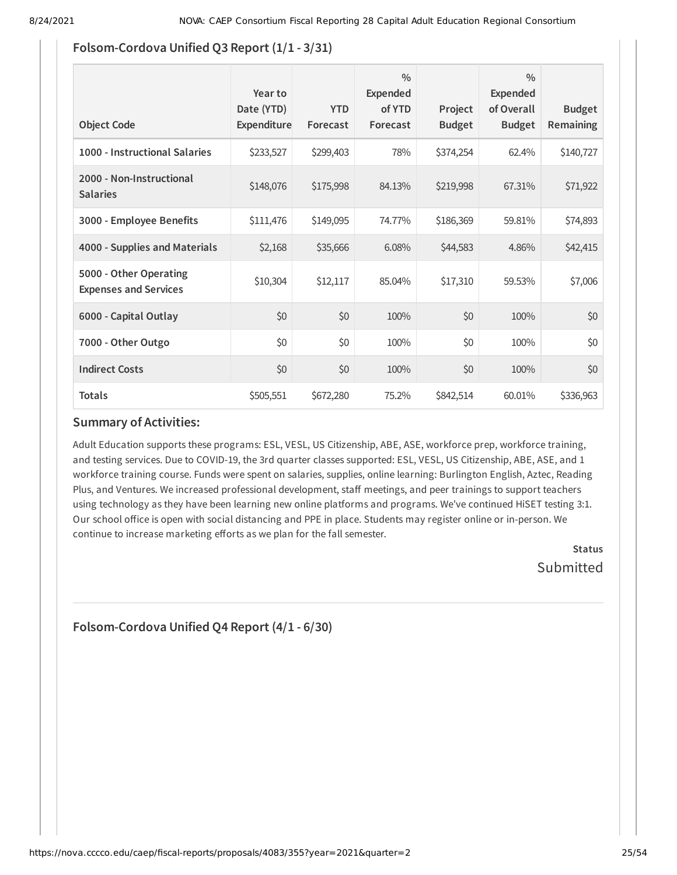### **Folsom-Cordova Unified Q3 Report (1/1 - 3/31)**

| <b>Object Code</b>                                     | Year to<br>Date (YTD)<br><b>Expenditure</b> | <b>YTD</b><br>Forecast | $\frac{0}{0}$<br>Expended<br>of YTD<br>Forecast | Project<br><b>Budget</b> | $\frac{0}{0}$<br>Expended<br>of Overall<br><b>Budget</b> | <b>Budget</b><br><b>Remaining</b> |
|--------------------------------------------------------|---------------------------------------------|------------------------|-------------------------------------------------|--------------------------|----------------------------------------------------------|-----------------------------------|
| 1000 - Instructional Salaries                          | \$233,527                                   | \$299,403              | 78%                                             | \$374,254                | 62.4%                                                    | \$140,727                         |
| 2000 - Non-Instructional<br><b>Salaries</b>            | \$148,076                                   | \$175,998              | 84.13%                                          | \$219,998                | 67.31%                                                   | \$71,922                          |
| 3000 - Employee Benefits                               | \$111,476                                   | \$149,095              | 74.77%                                          | \$186,369                | 59.81%                                                   | \$74,893                          |
| 4000 - Supplies and Materials                          | \$2,168                                     | \$35,666               | 6.08%                                           | \$44,583                 | 4.86%                                                    | \$42,415                          |
| 5000 - Other Operating<br><b>Expenses and Services</b> | \$10,304                                    | \$12,117               | 85.04%                                          | \$17,310                 | 59.53%                                                   | \$7,006                           |
| 6000 - Capital Outlay                                  | \$0                                         | \$0                    | 100%                                            | \$0                      | 100%                                                     | \$0                               |
| 7000 - Other Outgo                                     | \$0                                         | \$0                    | 100%                                            | \$0                      | 100%                                                     | \$0                               |
| <b>Indirect Costs</b>                                  | \$0                                         | \$0                    | 100%                                            | \$0                      | 100%                                                     | \$0                               |
| <b>Totals</b>                                          | \$505,551                                   | \$672,280              | 75.2%                                           | \$842,514                | 60.01%                                                   | \$336,963                         |

### **Summary of Activities:**

Adult Education supports these programs: ESL, VESL, US Citizenship, ABE, ASE, workforce prep, workforce training, and testing services. Due to COVID-19, the 3rd quarter classes supported: ESL, VESL, US Citizenship, ABE, ASE, and 1 workforce training course. Funds were spent on salaries, supplies, online learning: Burlington English, Aztec, Reading Plus, and Ventures. We increased professional development, staff meetings, and peer trainings to support teachers using technology as they have been learning new online platforms and programs. We've continued HiSET testing 3:1. Our school office is open with social distancing and PPE in place. Students may register online or in-person. We continue to increase marketing efforts as we plan for the fall semester.

> **Status** Submitted

**Folsom-Cordova Unified Q4 Report (4/1 - 6/30)**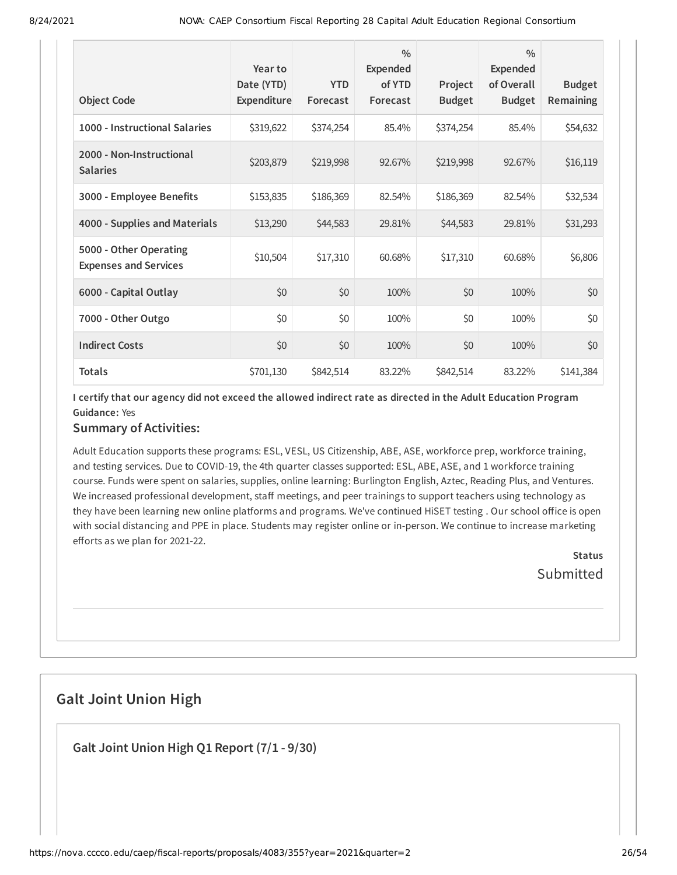| <b>Object Code</b>                                     | Year to<br>Date (YTD)<br><b>Expenditure</b> | <b>YTD</b><br>Forecast | $\frac{0}{0}$<br><b>Expended</b><br>of YTD<br>Forecast | Project<br><b>Budget</b> | $\frac{0}{0}$<br>Expended<br>of Overall<br><b>Budget</b> | <b>Budget</b><br>Remaining |
|--------------------------------------------------------|---------------------------------------------|------------------------|--------------------------------------------------------|--------------------------|----------------------------------------------------------|----------------------------|
| 1000 - Instructional Salaries                          | \$319,622                                   | \$374,254              | 85.4%                                                  | \$374,254                | 85.4%                                                    | \$54,632                   |
| 2000 - Non-Instructional<br><b>Salaries</b>            | \$203,879                                   | \$219,998              | 92.67%                                                 | \$219,998                | 92.67%                                                   | \$16,119                   |
| 3000 - Employee Benefits                               | \$153,835                                   | \$186,369              | 82.54%                                                 | \$186,369                | 82.54%                                                   | \$32,534                   |
| 4000 - Supplies and Materials                          | \$13,290                                    | \$44,583               | 29.81%                                                 | \$44,583                 | 29.81%                                                   | \$31,293                   |
| 5000 - Other Operating<br><b>Expenses and Services</b> | \$10,504                                    | \$17,310               | 60.68%                                                 | \$17,310                 | 60.68%                                                   | \$6,806                    |
| 6000 - Capital Outlay                                  | \$0                                         | \$0                    | 100%                                                   | \$0                      | 100%                                                     | \$0                        |
| 7000 - Other Outgo                                     | \$0                                         | \$0                    | 100%                                                   | \$0                      | 100%                                                     | \$0                        |
| <b>Indirect Costs</b>                                  | \$0                                         | \$0                    | 100%                                                   | \$0                      | 100%                                                     | \$0                        |
| <b>Totals</b>                                          | \$701,130                                   | \$842,514              | 83.22%                                                 | \$842,514                | 83.22%                                                   | \$141,384                  |

I certify that our agency did not exceed the allowed indirect rate as directed in the Adult Education Program **Guidance:** Yes

### **Summary of Activities:**

Adult Education supports these programs: ESL, VESL, US Citizenship, ABE, ASE, workforce prep, workforce training, and testing services. Due to COVID-19, the 4th quarter classes supported: ESL, ABE, ASE, and 1 workforce training course. Funds were spent on salaries, supplies, online learning: Burlington English, Aztec, Reading Plus, and Ventures. We increased professional development, staff meetings, and peer trainings to support teachers using technology as they have been learning new online platforms and programs. We've continued HiSET testing . Our school office is open with social distancing and PPE in place. Students may register online or in-person. We continue to increase marketing efforts as we plan for 2021-22.

> **Status** Submitted

# **Galt Joint Union High**

**Galt Joint Union High Q1 Report (7/1 - 9/30)**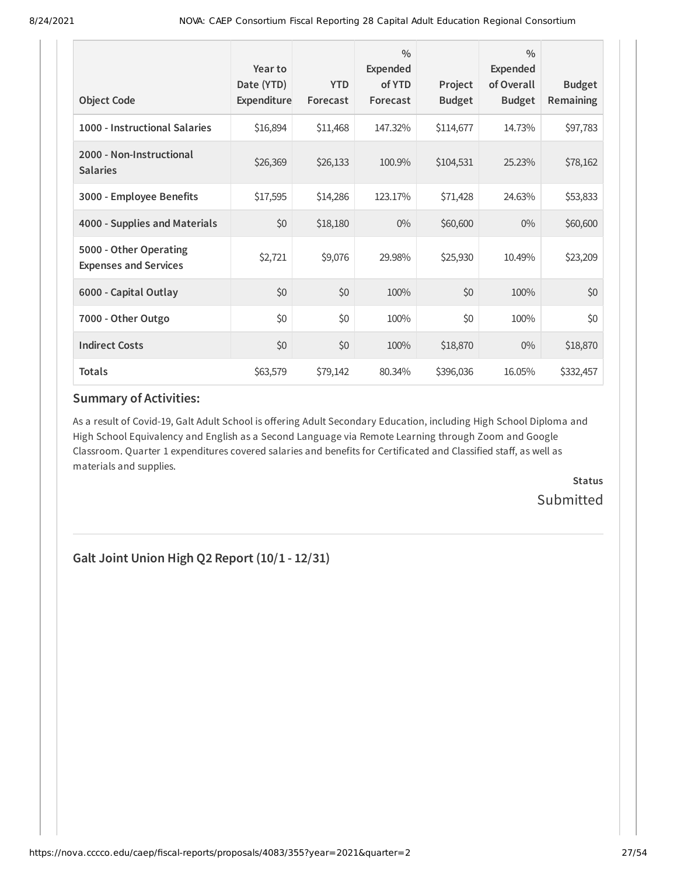| <b>Object Code</b>                                     | Year to<br>Date (YTD)<br>Expenditure | <b>YTD</b><br>Forecast | $\frac{0}{0}$<br>Expended<br>of YTD<br>Forecast | Project<br><b>Budget</b> | $\frac{0}{0}$<br><b>Expended</b><br>of Overall<br><b>Budget</b> | <b>Budget</b><br><b>Remaining</b> |
|--------------------------------------------------------|--------------------------------------|------------------------|-------------------------------------------------|--------------------------|-----------------------------------------------------------------|-----------------------------------|
| 1000 - Instructional Salaries                          | \$16,894                             | \$11,468               | 147.32%                                         | \$114,677                | 14.73%                                                          | \$97,783                          |
| 2000 - Non-Instructional<br><b>Salaries</b>            | \$26,369                             | \$26,133               | 100.9%                                          | \$104,531                | 25.23%                                                          | \$78,162                          |
| 3000 - Employee Benefits                               | \$17,595                             | \$14,286               | 123.17%                                         | \$71,428                 | 24.63%                                                          | \$53,833                          |
| 4000 - Supplies and Materials                          | \$0                                  | \$18,180               | $0\%$                                           | \$60,600                 | $0\%$                                                           | \$60,600                          |
| 5000 - Other Operating<br><b>Expenses and Services</b> | \$2,721                              | \$9,076                | 29.98%                                          | \$25,930                 | 10.49%                                                          | \$23,209                          |
| 6000 - Capital Outlay                                  | \$0                                  | \$0                    | 100%                                            | \$0                      | 100%                                                            | \$0                               |
| 7000 - Other Outgo                                     | \$0                                  | \$0                    | 100%                                            | \$0                      | 100%                                                            | \$0                               |
| <b>Indirect Costs</b>                                  | \$0                                  | \$0                    | 100%                                            | \$18,870                 | $0\%$                                                           | \$18,870                          |
| <b>Totals</b>                                          | \$63,579                             | \$79,142               | 80.34%                                          | \$396,036                | 16.05%                                                          | \$332,457                         |

As a result of Covid-19, Galt Adult School is offering Adult Secondary Education, including High School Diploma and High School Equivalency and English as a Second Language via Remote Learning through Zoom and Google Classroom. Quarter 1 expenditures covered salaries and benefits for Certificated and Classified staff, as well as materials and supplies.

> **Status** Submitted

**Galt Joint Union High Q2 Report (10/1 - 12/31)**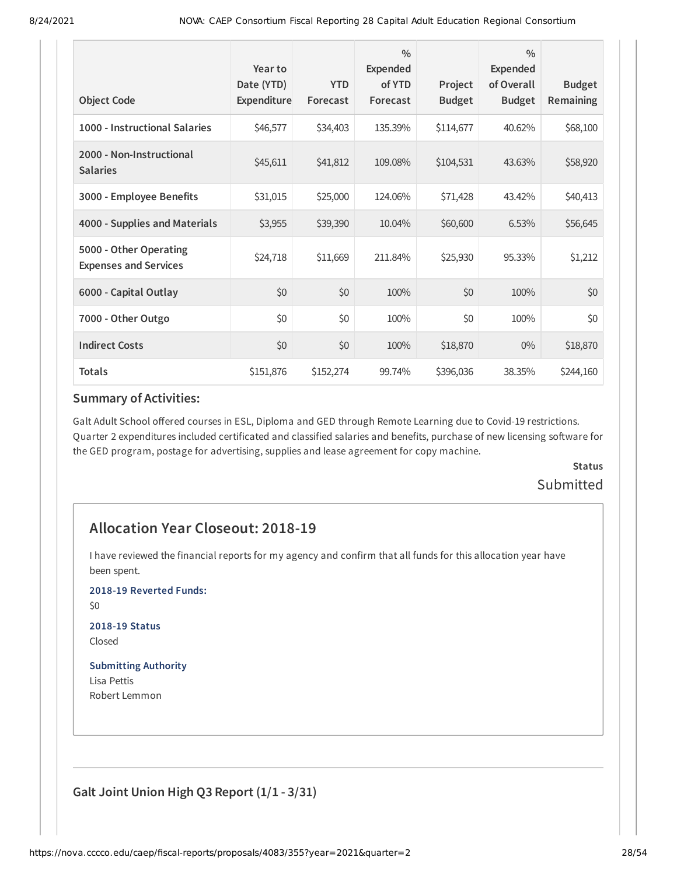| <b>Object Code</b>                                     | Year to<br>Date (YTD)<br>Expenditure | <b>YTD</b><br>Forecast | $\frac{0}{0}$<br><b>Expended</b><br>of YTD<br>Forecast | Project<br><b>Budget</b> | $\frac{0}{0}$<br><b>Expended</b><br>of Overall<br><b>Budget</b> | <b>Budget</b><br>Remaining |
|--------------------------------------------------------|--------------------------------------|------------------------|--------------------------------------------------------|--------------------------|-----------------------------------------------------------------|----------------------------|
| 1000 - Instructional Salaries                          | \$46,577                             | \$34,403               | 135.39%                                                | \$114,677                | 40.62%                                                          | \$68,100                   |
| 2000 - Non-Instructional<br><b>Salaries</b>            | \$45,611                             | \$41,812               | 109.08%                                                | \$104,531                | 43.63%                                                          | \$58,920                   |
| 3000 - Employee Benefits                               | \$31,015                             | \$25,000               | 124.06%                                                | \$71,428                 | 43.42%                                                          | \$40,413                   |
| 4000 - Supplies and Materials                          | \$3,955                              | \$39,390               | 10.04%                                                 | \$60,600                 | 6.53%                                                           | \$56,645                   |
| 5000 - Other Operating<br><b>Expenses and Services</b> | \$24,718                             | \$11,669               | 211.84%                                                | \$25,930                 | 95.33%                                                          | \$1,212                    |
| 6000 - Capital Outlay                                  | \$0                                  | \$0                    | 100%                                                   | \$0                      | 100%                                                            | \$0                        |
| 7000 - Other Outgo                                     | \$0                                  | \$0                    | 100%                                                   | \$0                      | 100%                                                            | \$0                        |
| <b>Indirect Costs</b>                                  | \$0                                  | \$0                    | 100%                                                   | \$18,870                 | $0\%$                                                           | \$18,870                   |
| <b>Totals</b>                                          | \$151,876                            | \$152,274              | 99.74%                                                 | \$396,036                | 38.35%                                                          | \$244,160                  |

Galt Adult School offered courses in ESL, Diploma and GED through Remote Learning due to Covid-19 restrictions. Quarter 2 expenditures included certificated and classified salaries and benefits, purchase of new licensing software for the GED program, postage for advertising, supplies and lease agreement for copy machine.

# **Status Submitted**

# **Allocation Year Closeout: 2018-19**

I have reviewed the financial reports for my agency and confirm that all funds for this allocation year have been spent.

**2018-19 Reverted Funds:**

\$0

**2018-19 Status** Closed

### **Submitting Authority**

Lisa Pettis Robert Lemmon

**Galt Joint Union High Q3 Report (1/1 - 3/31)**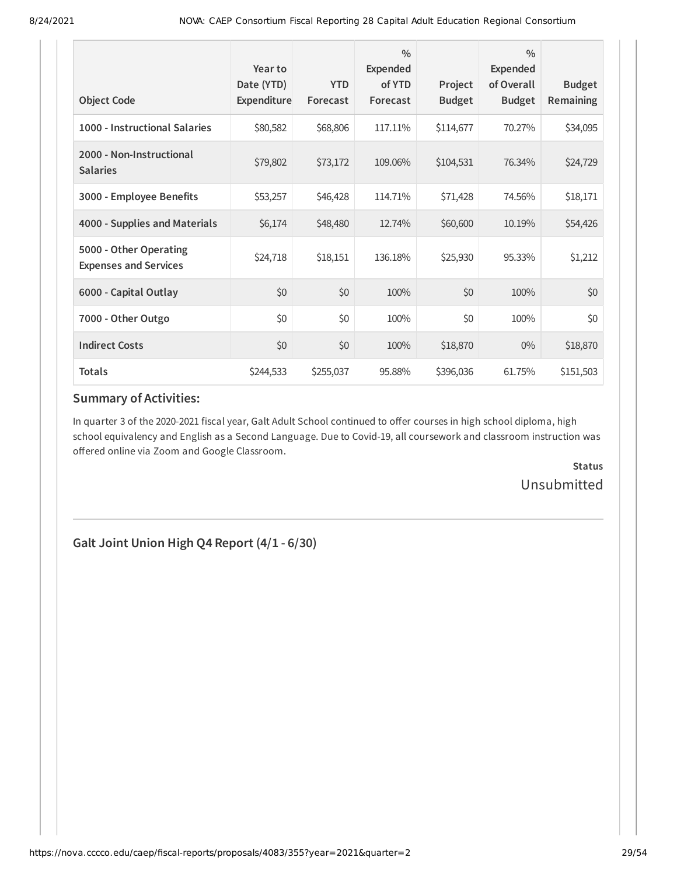| <b>Object Code</b>                                     | Year to<br>Date (YTD)<br>Expenditure | <b>YTD</b><br>Forecast | $\frac{0}{0}$<br>Expended<br>of YTD<br>Forecast | Project<br><b>Budget</b> | $\frac{0}{0}$<br><b>Expended</b><br>of Overall<br><b>Budget</b> | <b>Budget</b><br>Remaining |
|--------------------------------------------------------|--------------------------------------|------------------------|-------------------------------------------------|--------------------------|-----------------------------------------------------------------|----------------------------|
| 1000 - Instructional Salaries                          | \$80,582                             | \$68,806               | 117.11%                                         | \$114,677                | 70.27%                                                          | \$34,095                   |
| 2000 - Non-Instructional<br><b>Salaries</b>            | \$79,802                             | \$73,172               | 109.06%                                         | \$104,531                | 76.34%                                                          | \$24,729                   |
| 3000 - Employee Benefits                               | \$53,257                             | \$46,428               | 114.71%                                         | \$71,428                 | 74.56%                                                          | \$18,171                   |
| 4000 - Supplies and Materials                          | \$6,174                              | \$48,480               | 12.74%                                          | \$60,600                 | 10.19%                                                          | \$54,426                   |
| 5000 - Other Operating<br><b>Expenses and Services</b> | \$24,718                             | \$18,151               | 136.18%                                         | \$25,930                 | 95.33%                                                          | \$1,212                    |
| 6000 - Capital Outlay                                  | \$0                                  | \$0                    | 100%                                            | \$0                      | 100%                                                            | \$0                        |
| 7000 - Other Outgo                                     | \$0                                  | \$0                    | 100%                                            | \$0                      | 100%                                                            | \$0                        |
| <b>Indirect Costs</b>                                  | \$0                                  | \$0                    | 100%                                            | \$18,870                 | $0\%$                                                           | \$18,870                   |
| <b>Totals</b>                                          | \$244,533                            | \$255,037              | 95.88%                                          | \$396,036                | 61.75%                                                          | \$151,503                  |

In quarter 3 of the 2020-2021 fiscal year, Galt Adult School continued to offer courses in high school diploma, high school equivalency and English as a Second Language. Due to Covid-19, all coursework and classroom instruction was offered online via Zoom and Google Classroom.

> **Status** Unsubmitted

**Galt Joint Union High Q4 Report (4/1 - 6/30)**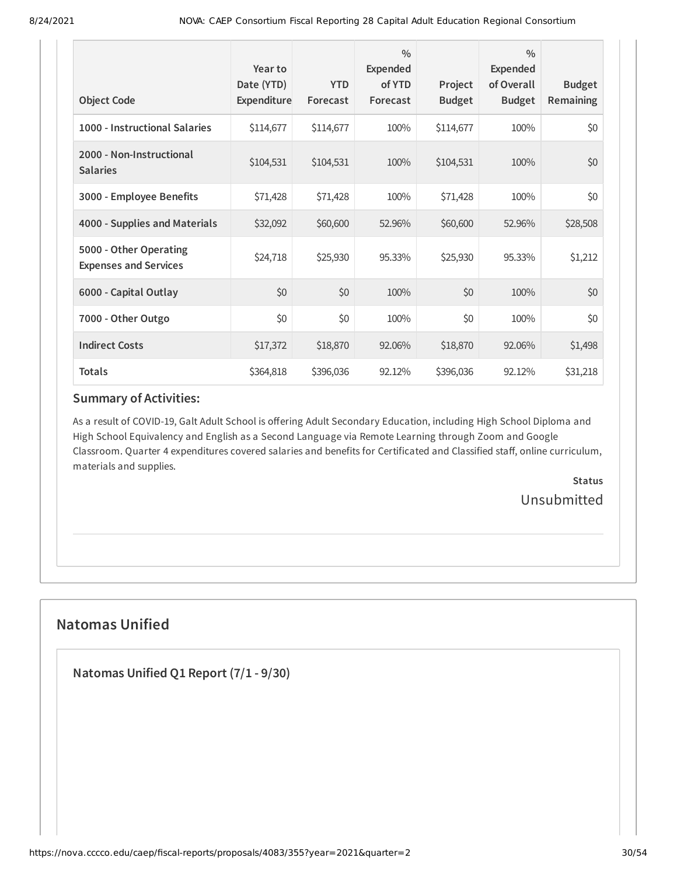| <b>Object Code</b>                                     | Year to<br>Date (YTD)<br>Expenditure | <b>YTD</b><br>Forecast | $\frac{0}{0}$<br><b>Expended</b><br>of YTD<br>Forecast | Project<br><b>Budget</b> | $\frac{0}{0}$<br><b>Expended</b><br>of Overall<br><b>Budget</b> | <b>Budget</b><br><b>Remaining</b> |
|--------------------------------------------------------|--------------------------------------|------------------------|--------------------------------------------------------|--------------------------|-----------------------------------------------------------------|-----------------------------------|
| 1000 - Instructional Salaries                          | \$114,677                            | \$114,677              | 100%                                                   | \$114,677                | 100%                                                            | \$0                               |
| 2000 - Non-Instructional<br><b>Salaries</b>            | \$104,531                            | \$104,531              | 100%                                                   | \$104,531                | 100%                                                            | \$0                               |
| 3000 - Employee Benefits                               | \$71,428                             | \$71,428               | 100%                                                   | \$71,428                 | 100%                                                            | \$0                               |
| 4000 - Supplies and Materials                          | \$32,092                             | \$60,600               | 52.96%                                                 | \$60,600                 | 52.96%                                                          | \$28,508                          |
| 5000 - Other Operating<br><b>Expenses and Services</b> | \$24,718                             | \$25,930               | 95.33%                                                 | \$25,930                 | 95.33%                                                          | \$1,212                           |
| 6000 - Capital Outlay                                  | \$0                                  | \$0                    | 100%                                                   | \$0                      | 100%                                                            | \$0                               |
| 7000 - Other Outgo                                     | \$0                                  | \$0                    | 100%                                                   | \$0                      | 100%                                                            | \$0                               |
| <b>Indirect Costs</b>                                  | \$17,372                             | \$18,870               | 92.06%                                                 | \$18,870                 | 92.06%                                                          | \$1,498                           |
| <b>Totals</b>                                          | \$364,818                            | \$396,036              | 92.12%                                                 | \$396,036                | 92.12%                                                          | \$31,218                          |

As a result of COVID-19, Galt Adult School is offering Adult Secondary Education, including High School Diploma and High School Equivalency and English as a Second Language via Remote Learning through Zoom and Google Classroom. Quarter 4 expenditures covered salaries and benefits for Certificated and Classified staff, online curriculum, materials and supplies.

> **Status** Unsubmitted

# **Natomas Unified**

**Natomas Unified Q1 Report (7/1 - 9/30)**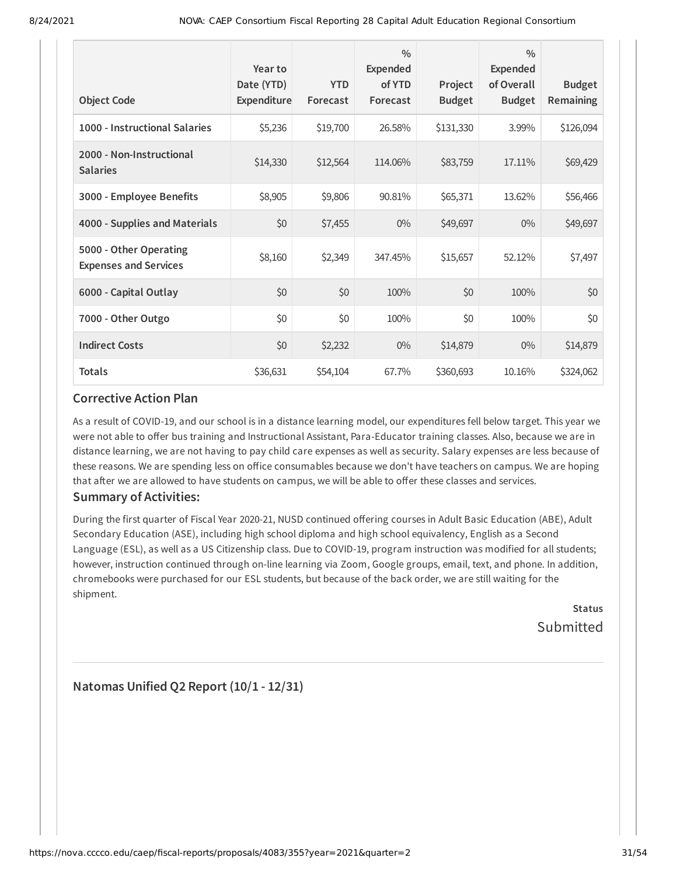| <b>Object Code</b>                                     | Year to<br>Date (YTD)<br>Expenditure | <b>YTD</b><br>Forecast | $\frac{0}{0}$<br><b>Expended</b><br>of YTD<br>Forecast | Project<br><b>Budget</b> | $\frac{0}{0}$<br><b>Expended</b><br>of Overall<br><b>Budget</b> | <b>Budget</b><br>Remaining |
|--------------------------------------------------------|--------------------------------------|------------------------|--------------------------------------------------------|--------------------------|-----------------------------------------------------------------|----------------------------|
| 1000 - Instructional Salaries                          | \$5,236                              | \$19,700               | 26.58%                                                 | \$131,330                | 3.99%                                                           | \$126,094                  |
| 2000 - Non-Instructional<br><b>Salaries</b>            | \$14,330                             | \$12,564               | 114.06%                                                | \$83,759                 | 17.11%                                                          | \$69,429                   |
| 3000 - Employee Benefits                               | \$8,905                              | \$9,806                | 90.81%                                                 | \$65,371                 | 13.62%                                                          | \$56,466                   |
| 4000 - Supplies and Materials                          | \$0                                  | \$7,455                | $0\%$                                                  | \$49,697                 | $0\%$                                                           | \$49,697                   |
| 5000 - Other Operating<br><b>Expenses and Services</b> | \$8,160                              | \$2,349                | 347.45%                                                | \$15,657                 | 52.12%                                                          | \$7,497                    |
| 6000 - Capital Outlay                                  | \$0                                  | \$0                    | 100%                                                   | \$0                      | 100%                                                            | \$0                        |
| 7000 - Other Outgo                                     | \$0                                  | \$0                    | 100%                                                   | \$0                      | 100%                                                            | \$0                        |
| <b>Indirect Costs</b>                                  | \$0                                  | \$2,232                | $0\%$                                                  | \$14,879                 | $0\%$                                                           | \$14,879                   |
| <b>Totals</b>                                          | \$36,631                             | \$54,104               | 67.7%                                                  | \$360,693                | 10.16%                                                          | \$324,062                  |

As a result of COVID-19, and our school is in a distance learning model, our expenditures fell below target. This year we were not able to offer bus training and Instructional Assistant, Para-Educator training classes. Also, because we are in distance learning, we are not having to pay child care expenses as well as security. Salary expenses are less because of these reasons. We are spending less on office consumables because we don't have teachers on campus. We are hoping that after we are allowed to have students on campus, we will be able to offer these classes and services.

### **Summary of Activities:**

During the first quarter of Fiscal Year 2020-21, NUSD continued offering courses in Adult Basic Education (ABE), Adult Secondary Education (ASE), including high school diploma and high school equivalency, English as a Second Language (ESL), as well as a US Citizenship class. Due to COVID-19, program instruction was modified for all students; however, instruction continued through on-line learning via Zoom, Google groups, email, text, and phone. In addition, chromebooks were purchased for our ESL students, but because of the back order, we are still waiting for the shipment.

**Status** Submitted

**Natomas Unified Q2 Report (10/1 - 12/31)**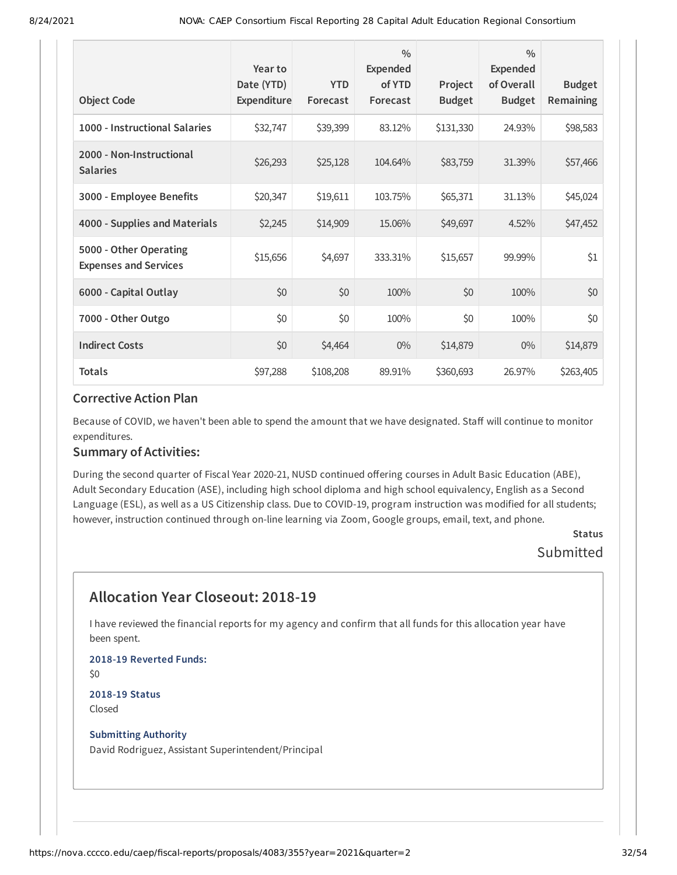|                                                        | Year to<br>Date (YTD) | <b>YTD</b> | $\frac{0}{0}$<br><b>Expended</b><br>of YTD | Project       | $\frac{0}{0}$<br><b>Expended</b><br>of Overall | <b>Budget</b> |
|--------------------------------------------------------|-----------------------|------------|--------------------------------------------|---------------|------------------------------------------------|---------------|
| <b>Object Code</b>                                     | Expenditure           | Forecast   | Forecast                                   | <b>Budget</b> | <b>Budget</b>                                  | Remaining     |
| 1000 - Instructional Salaries                          | \$32,747              | \$39,399   | 83.12%                                     | \$131,330     | 24.93%                                         | \$98,583      |
| 2000 - Non-Instructional<br><b>Salaries</b>            | \$26,293              | \$25,128   | 104.64%                                    | \$83,759      | 31.39%                                         | \$57,466      |
| 3000 - Employee Benefits                               | \$20,347              | \$19,611   | 103.75%                                    | \$65,371      | 31.13%                                         | \$45,024      |
| 4000 - Supplies and Materials                          | \$2,245               | \$14,909   | 15.06%                                     | \$49,697      | 4.52%                                          | \$47,452      |
| 5000 - Other Operating<br><b>Expenses and Services</b> | \$15,656              | \$4,697    | 333.31%                                    | \$15,657      | 99.99%                                         | \$1           |
| 6000 - Capital Outlay                                  | \$0                   | \$0        | 100%                                       | \$0           | 100%                                           | \$0           |
| 7000 - Other Outgo                                     | \$0                   | \$0        | 100%                                       | \$0           | 100%                                           | \$0           |
| <b>Indirect Costs</b>                                  | \$0                   | \$4,464    | $0\%$                                      | \$14,879      | $0\%$                                          | \$14,879      |
| <b>Totals</b>                                          | \$97,288              | \$108,208  | 89.91%                                     | \$360,693     | 26.97%                                         | \$263,405     |

Because of COVID, we haven't been able to spend the amount that we have designated. Staff will continue to monitor expenditures.

#### **Summary of Activities:**

During the second quarter of Fiscal Year 2020-21, NUSD continued offering courses in Adult Basic Education (ABE), Adult Secondary Education (ASE), including high school diploma and high school equivalency, English as a Second Language (ESL), as well as a US Citizenship class. Due to COVID-19, program instruction was modified for all students; however, instruction continued through on-line learning via Zoom, Google groups, email, text, and phone.

### **Status** Submitted

# **Allocation Year Closeout: 2018-19**

I have reviewed the financial reports for my agency and confirm that all funds for this allocation year have been spent.

**2018-19 Reverted Funds:** \$0 **2018-19 Status**

Closed

#### **Submitting Authority**

David Rodriguez, Assistant Superintendent/Principal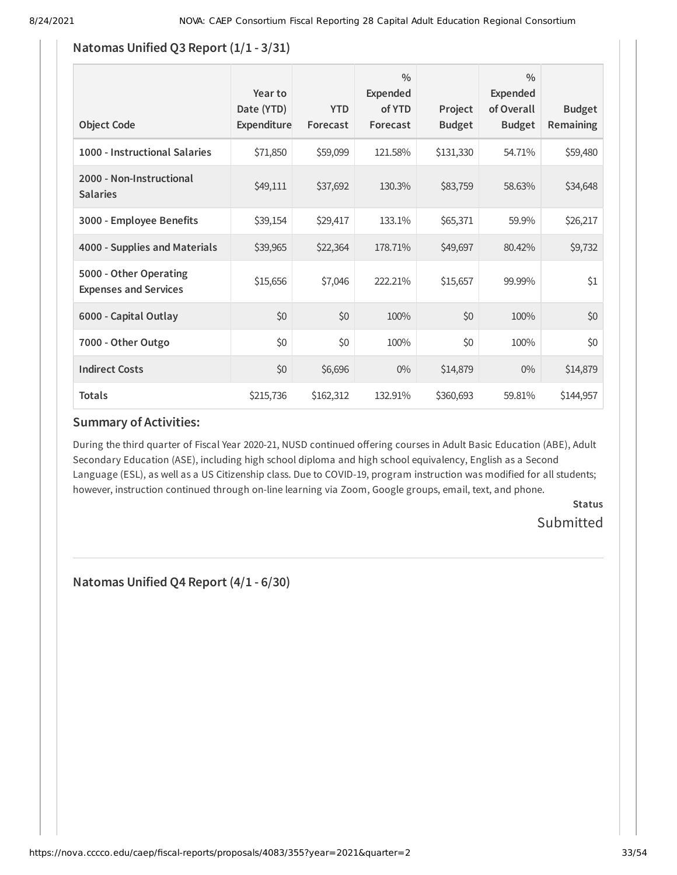### **Natomas Unified Q3 Report (1/1 - 3/31)**

| <b>Object Code</b>                                     | Year to<br>Date (YTD)<br>Expenditure | <b>YTD</b><br>Forecast | $\frac{0}{0}$<br><b>Expended</b><br>of YTD<br>Forecast | Project<br><b>Budget</b> | $\frac{0}{0}$<br><b>Expended</b><br>of Overall<br><b>Budget</b> | <b>Budget</b><br>Remaining |
|--------------------------------------------------------|--------------------------------------|------------------------|--------------------------------------------------------|--------------------------|-----------------------------------------------------------------|----------------------------|
| 1000 - Instructional Salaries                          | \$71,850                             | \$59,099               | 121.58%                                                | \$131,330                | 54.71%                                                          | \$59,480                   |
| 2000 - Non-Instructional<br><b>Salaries</b>            | \$49,111                             | \$37,692               | 130.3%                                                 | \$83,759                 | 58.63%                                                          | \$34,648                   |
| 3000 - Employee Benefits                               | \$39,154                             | \$29,417               | 133.1%                                                 | \$65,371                 | 59.9%                                                           | \$26,217                   |
| 4000 - Supplies and Materials                          | \$39,965                             | \$22,364               | 178.71%                                                | \$49,697                 | 80.42%                                                          | \$9,732                    |
| 5000 - Other Operating<br><b>Expenses and Services</b> | \$15,656                             | \$7,046                | 222.21%                                                | \$15,657                 | 99.99%                                                          | \$1                        |
| 6000 - Capital Outlay                                  | \$0                                  | \$0                    | 100%                                                   | \$0                      | 100%                                                            | \$0                        |
| 7000 - Other Outgo                                     | \$0                                  | \$0                    | 100%                                                   | \$0                      | 100%                                                            | \$0                        |
| <b>Indirect Costs</b>                                  | \$0                                  | \$6,696                | $0\%$                                                  | \$14,879                 | $0\%$                                                           | \$14,879                   |
| <b>Totals</b>                                          | \$215,736                            | \$162,312              | 132.91%                                                | \$360,693                | 59.81%                                                          | \$144,957                  |

### **Summary of Activities:**

During the third quarter of Fiscal Year 2020-21, NUSD continued offering courses in Adult Basic Education (ABE), Adult Secondary Education (ASE), including high school diploma and high school equivalency, English as a Second Language (ESL), as well as a US Citizenship class. Due to COVID-19, program instruction was modified for all students; however, instruction continued through on-line learning via Zoom, Google groups, email, text, and phone.

> **Status** Submitted

**Natomas Unified Q4 Report (4/1 - 6/30)**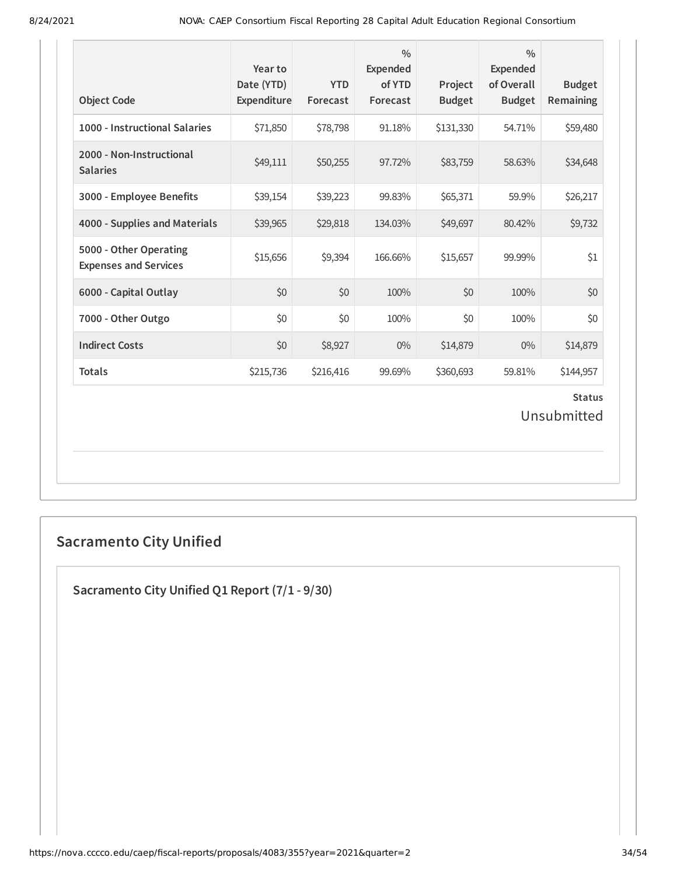| <b>Object Code</b>                                     | Year to<br>Date (YTD)<br>Expenditure | <b>YTD</b><br>Forecast | $\frac{0}{0}$<br><b>Expended</b><br>of YTD<br>Forecast | Project<br><b>Budget</b> | $\frac{0}{0}$<br><b>Expended</b><br>of Overall<br><b>Budget</b> | <b>Budget</b><br>Remaining   |
|--------------------------------------------------------|--------------------------------------|------------------------|--------------------------------------------------------|--------------------------|-----------------------------------------------------------------|------------------------------|
| 1000 - Instructional Salaries                          | \$71,850                             | \$78,798               | 91.18%                                                 | \$131,330                | 54.71%                                                          | \$59,480                     |
| 2000 - Non-Instructional<br><b>Salaries</b>            | \$49,111                             | \$50,255               | 97.72%                                                 | \$83,759                 | 58.63%                                                          | \$34,648                     |
| 3000 - Employee Benefits                               | \$39,154                             | \$39,223               | 99.83%                                                 | \$65,371                 | 59.9%                                                           | \$26,217                     |
| 4000 - Supplies and Materials                          | \$39,965                             | \$29,818               | 134.03%                                                | \$49,697                 | 80.42%                                                          | \$9,732                      |
| 5000 - Other Operating<br><b>Expenses and Services</b> | \$15,656                             | \$9,394                | 166.66%                                                | \$15,657                 | 99.99%                                                          | \$1                          |
| 6000 - Capital Outlay                                  | \$0                                  | \$0                    | 100%                                                   | \$0                      | 100%                                                            | \$0                          |
| 7000 - Other Outgo                                     | \$0                                  | \$0                    | 100%                                                   | \$0                      | 100%                                                            | \$0                          |
| <b>Indirect Costs</b>                                  | \$0                                  | \$8,927                | $0\%$                                                  | \$14,879                 | $0\%$                                                           | \$14,879                     |
| <b>Totals</b>                                          | \$215,736                            | \$216,416              | 99.69%                                                 | \$360,693                | 59.81%                                                          | \$144,957                    |
|                                                        |                                      |                        |                                                        |                          |                                                                 | <b>Status</b><br>Unsubmitted |

# **Sacramento City Unified**

**Sacramento City Unified Q1 Report (7/1 - 9/30)**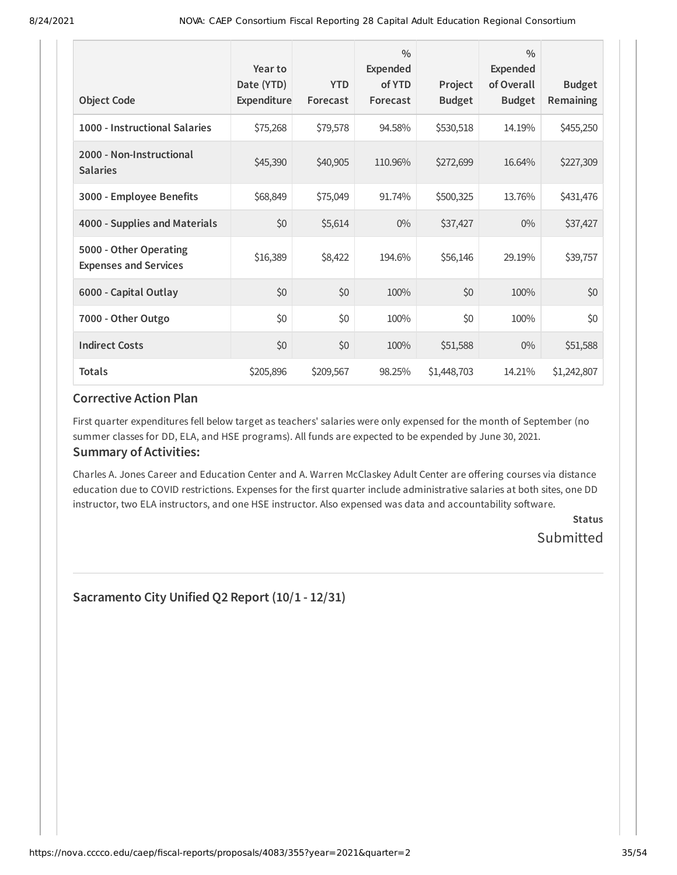| <b>Object Code</b>                                     | Year to<br>Date (YTD)<br>Expenditure | <b>YTD</b><br>Forecast | $\frac{0}{0}$<br><b>Expended</b><br>of YTD<br>Forecast | Project<br><b>Budget</b> | $\frac{0}{0}$<br><b>Expended</b><br>of Overall<br><b>Budget</b> | <b>Budget</b><br>Remaining |
|--------------------------------------------------------|--------------------------------------|------------------------|--------------------------------------------------------|--------------------------|-----------------------------------------------------------------|----------------------------|
| 1000 - Instructional Salaries                          | \$75,268                             | \$79,578               | 94.58%                                                 | \$530,518                | 14.19%                                                          | \$455,250                  |
| 2000 - Non-Instructional<br><b>Salaries</b>            | \$45,390                             | \$40,905               | 110.96%                                                | \$272,699                | 16.64%                                                          | \$227,309                  |
| 3000 - Employee Benefits                               | \$68,849                             | \$75,049               | 91.74%                                                 | \$500,325                | 13.76%                                                          | \$431,476                  |
| 4000 - Supplies and Materials                          | \$0                                  | \$5,614                | $0\%$                                                  | \$37,427                 | $0\%$                                                           | \$37,427                   |
| 5000 - Other Operating<br><b>Expenses and Services</b> | \$16,389                             | \$8,422                | 194.6%                                                 | \$56,146                 | 29.19%                                                          | \$39,757                   |
| 6000 - Capital Outlay                                  | \$0                                  | \$0                    | 100%                                                   | \$0                      | 100%                                                            | \$0                        |
| 7000 - Other Outgo                                     | \$0                                  | \$0                    | 100%                                                   | \$0                      | 100%                                                            | \$0                        |
| <b>Indirect Costs</b>                                  | \$0                                  | \$0                    | 100%                                                   | \$51,588                 | $0\%$                                                           | \$51,588                   |
| <b>Totals</b>                                          | \$205,896                            | \$209,567              | 98.25%                                                 | \$1,448,703              | 14.21%                                                          | \$1,242,807                |

First quarter expenditures fell below target as teachers' salaries were only expensed for the month of September (no summer classes for DD, ELA, and HSE programs). All funds are expected to be expended by June 30, 2021.

### **Summary of Activities:**

Charles A. Jones Career and Education Center and A. Warren McClaskey Adult Center are offering courses via distance education due to COVID restrictions. Expenses for the first quarter include administrative salaries at both sites, one DD instructor, two ELA instructors, and one HSE instructor. Also expensed was data and accountability software.

> **Status** Submitted

**Sacramento City Unified Q2 Report (10/1 - 12/31)**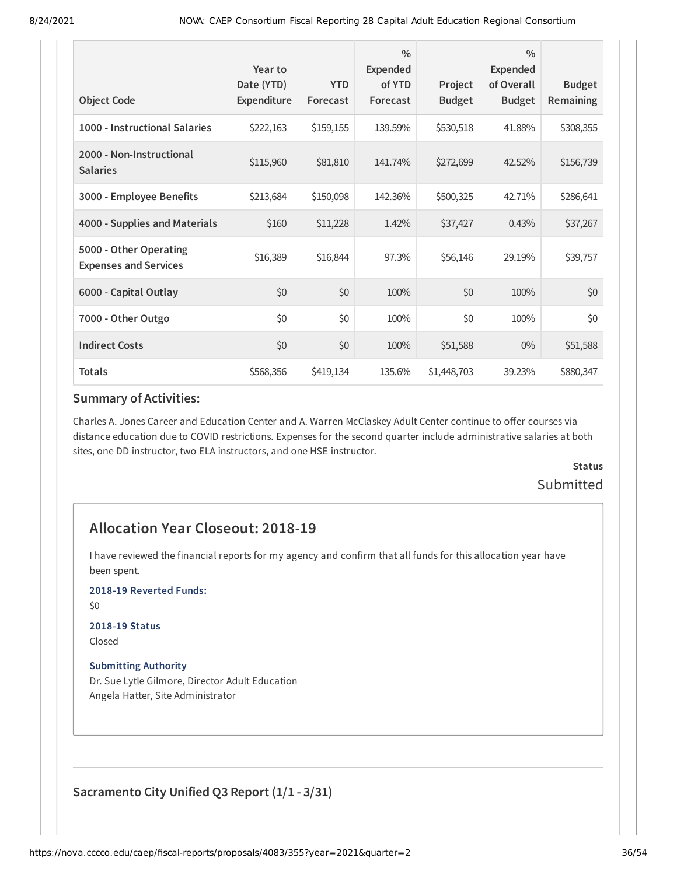| <b>Object Code</b>                                     | Year to<br>Date (YTD)<br><b>Expenditure</b> | <b>YTD</b><br>Forecast | $\frac{0}{0}$<br>Expended<br>of YTD<br>Forecast | Project<br><b>Budget</b> | $\frac{0}{0}$<br><b>Expended</b><br>of Overall<br><b>Budget</b> | <b>Budget</b><br>Remaining |
|--------------------------------------------------------|---------------------------------------------|------------------------|-------------------------------------------------|--------------------------|-----------------------------------------------------------------|----------------------------|
| 1000 - Instructional Salaries                          | \$222,163                                   | \$159,155              | 139.59%                                         | \$530,518                | 41.88%                                                          | \$308,355                  |
| 2000 - Non-Instructional<br><b>Salaries</b>            | \$115,960                                   | \$81,810               | 141.74%                                         | \$272,699                | 42.52%                                                          | \$156,739                  |
| 3000 - Employee Benefits                               | \$213,684                                   | \$150,098              | 142.36%                                         | \$500,325                | 42.71%                                                          | \$286,641                  |
| 4000 - Supplies and Materials                          | \$160                                       | \$11,228               | 1.42%                                           | \$37,427                 | 0.43%                                                           | \$37,267                   |
| 5000 - Other Operating<br><b>Expenses and Services</b> | \$16,389                                    | \$16,844               | 97.3%                                           | \$56,146                 | 29.19%                                                          | \$39,757                   |
| 6000 - Capital Outlay                                  | \$0                                         | \$0                    | 100%                                            | \$0                      | 100%                                                            | \$0                        |
| 7000 - Other Outgo                                     | \$0                                         | \$0                    | 100%                                            | \$0                      | 100%                                                            | \$0                        |
| <b>Indirect Costs</b>                                  | \$0                                         | \$0                    | 100%                                            | \$51,588                 | $0\%$                                                           | \$51,588                   |
| <b>Totals</b>                                          | \$568,356                                   | \$419,134              | 135.6%                                          | \$1,448,703              | 39.23%                                                          | \$880,347                  |

Charles A. Jones Career and Education Center and A. Warren McClaskey Adult Center continue to offer courses via distance education due to COVID restrictions. Expenses for the second quarter include administrative salaries at both sites, one DD instructor, two ELA instructors, and one HSE instructor.

# **Status Submitted**

# **Allocation Year Closeout: 2018-19**

I have reviewed the financial reports for my agency and confirm that all funds for this allocation year have been spent.

**2018-19 Reverted Funds:**

\$0

# **2018-19 Status**

Closed

#### **Submitting Authority**

Dr. Sue Lytle Gilmore, Director Adult Education Angela Hatter, Site Administrator

**Sacramento City Unified Q3 Report (1/1 - 3/31)**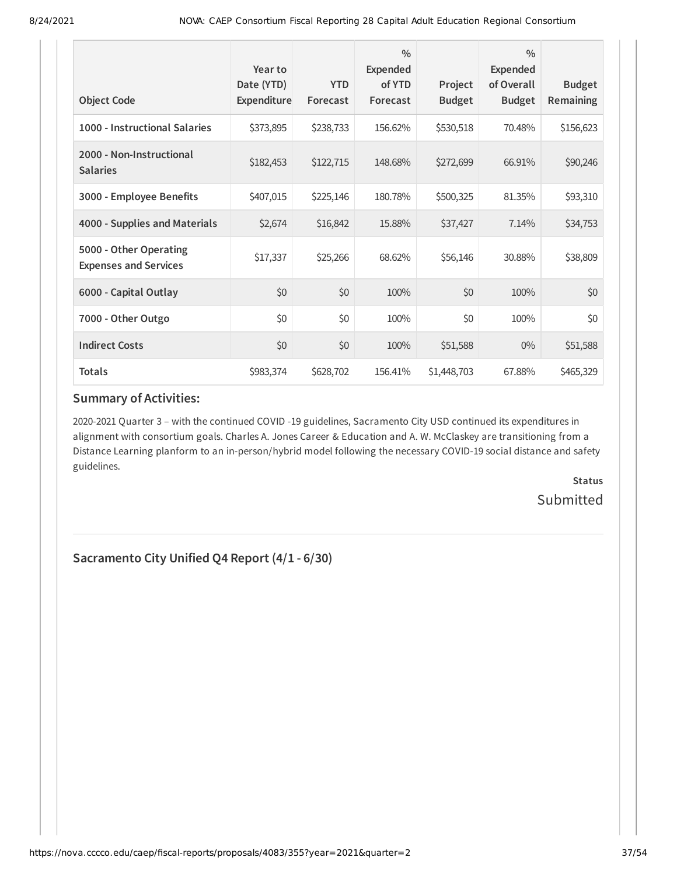| <b>Object Code</b>                                     | Year to<br>Date (YTD)<br>Expenditure | <b>YTD</b><br>Forecast | $\frac{0}{0}$<br>Expended<br>of YTD<br>Forecast | Project<br><b>Budget</b> | $\frac{0}{0}$<br>Expended<br>of Overall<br><b>Budget</b> | <b>Budget</b><br>Remaining |
|--------------------------------------------------------|--------------------------------------|------------------------|-------------------------------------------------|--------------------------|----------------------------------------------------------|----------------------------|
| 1000 - Instructional Salaries                          | \$373,895                            | \$238,733              | 156.62%                                         | \$530,518                | 70.48%                                                   | \$156,623                  |
| 2000 - Non-Instructional<br><b>Salaries</b>            | \$182,453                            | \$122,715              | 148.68%                                         | \$272,699                | 66.91%                                                   | \$90,246                   |
| 3000 - Employee Benefits                               | \$407,015                            | \$225,146              | 180.78%                                         | \$500,325                | 81.35%                                                   | \$93,310                   |
| 4000 - Supplies and Materials                          | \$2,674                              | \$16,842               | 15.88%                                          | \$37,427                 | 7.14%                                                    | \$34,753                   |
| 5000 - Other Operating<br><b>Expenses and Services</b> | \$17,337                             | \$25,266               | 68.62%                                          | \$56,146                 | 30.88%                                                   | \$38,809                   |
| 6000 - Capital Outlay                                  | \$0                                  | \$0                    | 100%                                            | \$0                      | 100%                                                     | \$0                        |
| 7000 - Other Outgo                                     | \$0                                  | \$0                    | 100%                                            | \$0                      | 100%                                                     | \$0                        |
| <b>Indirect Costs</b>                                  | \$0                                  | \$0                    | 100%                                            | \$51,588                 | $0\%$                                                    | \$51,588                   |
| <b>Totals</b>                                          | \$983,374                            | \$628,702              | 156.41%                                         | \$1,448,703              | 67.88%                                                   | \$465,329                  |

2020-2021 Quarter 3 – with the continued COVID -19 guidelines, Sacramento City USD continued its expenditures in alignment with consortium goals. Charles A. Jones Career & Education and A. W. McClaskey are transitioning from a Distance Learning planform to an in-person/hybrid model following the necessary COVID-19 social distance and safety guidelines.

> **Status Submitted**

**Sacramento City Unified Q4 Report (4/1 - 6/30)**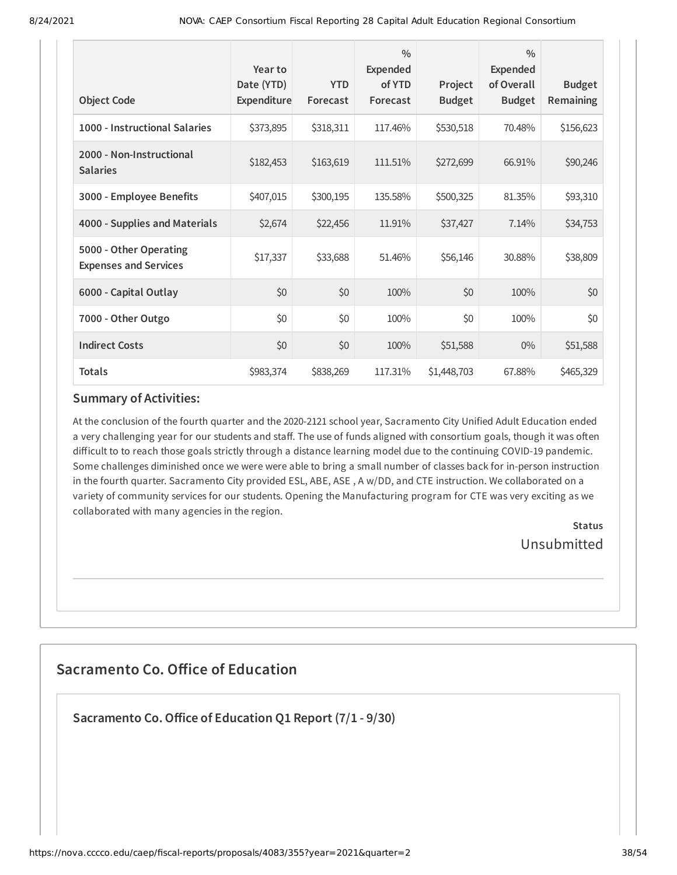| <b>Object Code</b>                                     | Year to<br>Date (YTD)<br>Expenditure | <b>YTD</b><br>Forecast | $\frac{0}{0}$<br><b>Expended</b><br>of YTD<br>Forecast | Project<br><b>Budget</b> | $\frac{0}{0}$<br>Expended<br>of Overall<br><b>Budget</b> | <b>Budget</b><br>Remaining |
|--------------------------------------------------------|--------------------------------------|------------------------|--------------------------------------------------------|--------------------------|----------------------------------------------------------|----------------------------|
| 1000 - Instructional Salaries                          | \$373,895                            | \$318,311              | 117.46%                                                | \$530,518                | 70.48%                                                   | \$156,623                  |
| 2000 - Non-Instructional<br><b>Salaries</b>            | \$182,453                            | \$163,619              | 111.51%                                                | \$272,699                | 66.91%                                                   | \$90,246                   |
| 3000 - Employee Benefits                               | \$407,015                            | \$300,195              | 135.58%                                                | \$500,325                | 81.35%                                                   | \$93,310                   |
| 4000 - Supplies and Materials                          | \$2,674                              | \$22,456               | 11.91%                                                 | \$37,427                 | 7.14%                                                    | \$34,753                   |
| 5000 - Other Operating<br><b>Expenses and Services</b> | \$17,337                             | \$33,688               | 51.46%                                                 | \$56,146                 | 30.88%                                                   | \$38,809                   |
| 6000 - Capital Outlay                                  | \$0                                  | \$0                    | 100%                                                   | \$0                      | 100%                                                     | \$0                        |
| 7000 - Other Outgo                                     | \$0                                  | \$0                    | 100%                                                   | \$0                      | 100%                                                     | \$0                        |
| <b>Indirect Costs</b>                                  | \$0                                  | \$0                    | 100%                                                   | \$51,588                 | $0\%$                                                    | \$51,588                   |
| <b>Totals</b>                                          | \$983,374                            | \$838,269              | 117.31%                                                | \$1,448,703              | 67.88%                                                   | \$465,329                  |

At the conclusion of the fourth quarter and the 2020-2121 school year, Sacramento City Unified Adult Education ended a very challenging year for our students and staff. The use of funds aligned with consortium goals, though it was often difficult to to reach those goals strictly through a distance learning model due to the continuing COVID-19 pandemic. Some challenges diminished once we were were able to bring a small number of classes back for in-person instruction in the fourth quarter. Sacramento City provided ESL, ABE, ASE , A w/DD, and CTE instruction. We collaborated on a variety of community services for our students. Opening the Manufacturing program for CTE was very exciting as we collaborated with many agencies in the region.

> **Status** Unsubmitted

# **Sacramento Co. Office of Education**

**Sacramento Co.Office of Education Q1 Report (7/1 - 9/30)**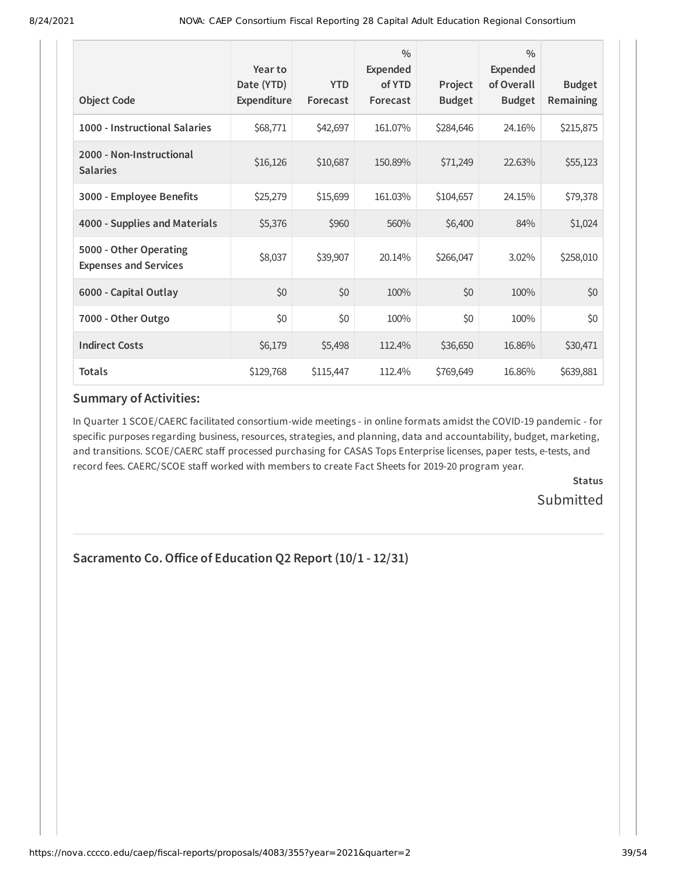| <b>Object Code</b>                                     | Year to<br>Date (YTD)<br>Expenditure | <b>YTD</b><br>Forecast | $\frac{0}{0}$<br><b>Expended</b><br>of YTD<br>Forecast | Project<br><b>Budget</b> | $\frac{0}{0}$<br><b>Expended</b><br>of Overall<br><b>Budget</b> | <b>Budget</b><br>Remaining |
|--------------------------------------------------------|--------------------------------------|------------------------|--------------------------------------------------------|--------------------------|-----------------------------------------------------------------|----------------------------|
| 1000 - Instructional Salaries                          | \$68,771                             | \$42,697               | 161.07%                                                | \$284,646                | 24.16%                                                          | \$215,875                  |
| 2000 - Non-Instructional<br><b>Salaries</b>            | \$16,126                             | \$10,687               | 150.89%                                                | \$71,249                 | 22.63%                                                          | \$55,123                   |
| 3000 - Employee Benefits                               | \$25,279                             | \$15,699               | 161.03%                                                | \$104,657                | 24.15%                                                          | \$79,378                   |
| 4000 - Supplies and Materials                          | \$5,376                              | \$960                  | 560%                                                   | \$6,400                  | 84%                                                             | \$1,024                    |
| 5000 - Other Operating<br><b>Expenses and Services</b> | \$8,037                              | \$39,907               | 20.14%                                                 | \$266,047                | 3.02%                                                           | \$258,010                  |
| 6000 - Capital Outlay                                  | \$0                                  | \$0                    | 100%                                                   | \$0                      | 100%                                                            | \$0                        |
| 7000 - Other Outgo                                     | \$0                                  | \$0                    | 100%                                                   | \$0                      | 100%                                                            | \$0                        |
| <b>Indirect Costs</b>                                  | \$6,179                              | \$5,498                | 112.4%                                                 | \$36,650                 | 16.86%                                                          | \$30,471                   |
| <b>Totals</b>                                          | \$129,768                            | \$115,447              | 112.4%                                                 | \$769,649                | 16.86%                                                          | \$639,881                  |

In Quarter 1 SCOE/CAERC facilitated consortium-wide meetings - in online formats amidst the COVID-19 pandemic - for specific purposes regarding business, resources, strategies, and planning, data and accountability, budget, marketing, and transitions. SCOE/CAERC staff processed purchasing for CASAS Tops Enterprise licenses, paper tests, e-tests, and record fees. CAERC/SCOE staff worked with members to create Fact Sheets for 2019-20 program year.

> **Status Submitted**

# **Sacramento Co.Office of Education Q2 Report (10/1 - 12/31)**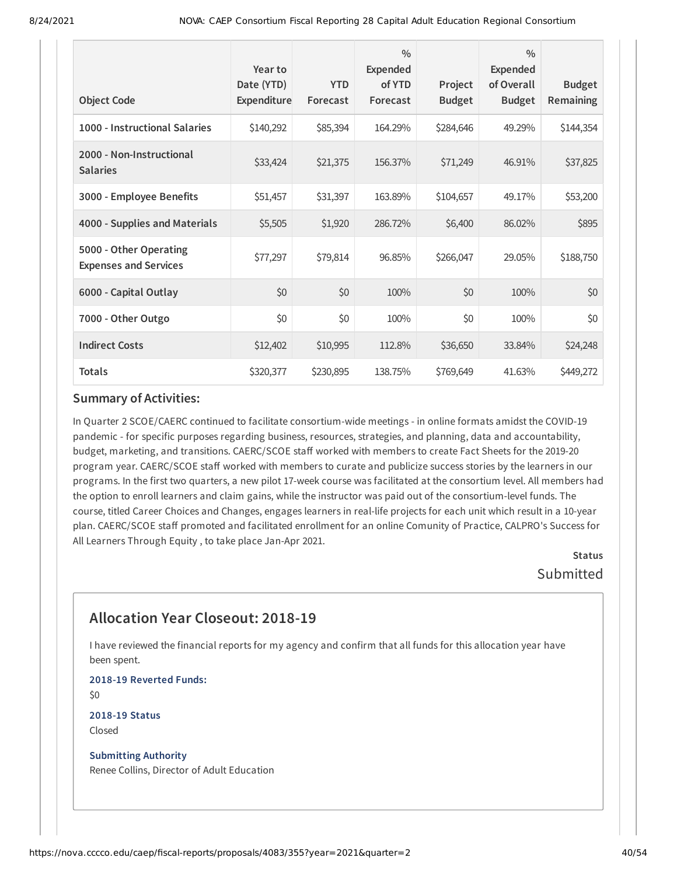| <b>Object Code</b>                                     | Year to<br>Date (YTD)<br>Expenditure | <b>YTD</b><br>Forecast | $\frac{0}{0}$<br><b>Expended</b><br>of YTD<br>Forecast | Project<br><b>Budget</b> | $\frac{0}{0}$<br><b>Expended</b><br>of Overall<br><b>Budget</b> | <b>Budget</b><br>Remaining |
|--------------------------------------------------------|--------------------------------------|------------------------|--------------------------------------------------------|--------------------------|-----------------------------------------------------------------|----------------------------|
| 1000 - Instructional Salaries                          | \$140,292                            | \$85,394               | 164.29%                                                | \$284,646                | 49.29%                                                          | \$144,354                  |
| 2000 - Non-Instructional<br><b>Salaries</b>            | \$33,424                             | \$21,375               | 156.37%                                                | \$71,249                 | 46.91%                                                          | \$37,825                   |
| 3000 - Employee Benefits                               | \$51,457                             | \$31,397               | 163.89%                                                | \$104,657                | 49.17%                                                          | \$53,200                   |
| 4000 - Supplies and Materials                          | \$5,505                              | \$1,920                | 286.72%                                                | \$6,400                  | 86.02%                                                          | \$895                      |
| 5000 - Other Operating<br><b>Expenses and Services</b> | \$77,297                             | \$79,814               | 96.85%                                                 | \$266,047                | 29.05%                                                          | \$188,750                  |
| 6000 - Capital Outlay                                  | \$0                                  | \$0                    | 100%                                                   | \$0                      | 100%                                                            | \$0                        |
| 7000 - Other Outgo                                     | \$0                                  | \$0                    | 100%                                                   | \$0                      | 100%                                                            | \$0                        |
| <b>Indirect Costs</b>                                  | \$12,402                             | \$10,995               | 112.8%                                                 | \$36,650                 | 33.84%                                                          | \$24,248                   |
| <b>Totals</b>                                          | \$320,377                            | \$230,895              | 138.75%                                                | \$769,649                | 41.63%                                                          | \$449,272                  |

In Quarter 2 SCOE/CAERC continued to facilitate consortium-wide meetings - in online formats amidst the COVID-19 pandemic - for specific purposes regarding business, resources, strategies, and planning, data and accountability, budget, marketing, and transitions. CAERC/SCOE staff worked with members to create Fact Sheets for the 2019-20 program year. CAERC/SCOE staff worked with members to curate and publicize success stories by the learners in our programs. In the first two quarters, a new pilot 17-week course was facilitated at the consortium level. All members had the option to enroll learners and claim gains, while the instructor was paid out of the consortium-level funds. The course, titled Career Choices and Changes, engages learners in real-life projects for each unit which result in a 10-year plan. CAERC/SCOE staff promoted and facilitated enrollment for an online Comunity of Practice, CALPRO's Success for All Learners Through Equity , to take place Jan-Apr 2021.

**Status** Submitted

# **Allocation Year Closeout: 2018-19**

I have reviewed the financial reports for my agency and confirm that all funds for this allocation year have been spent.

**2018-19 Reverted Funds:** \$0

**2018-19 Status** Closed

**Submitting Authority** Renee Collins, Director of Adult Education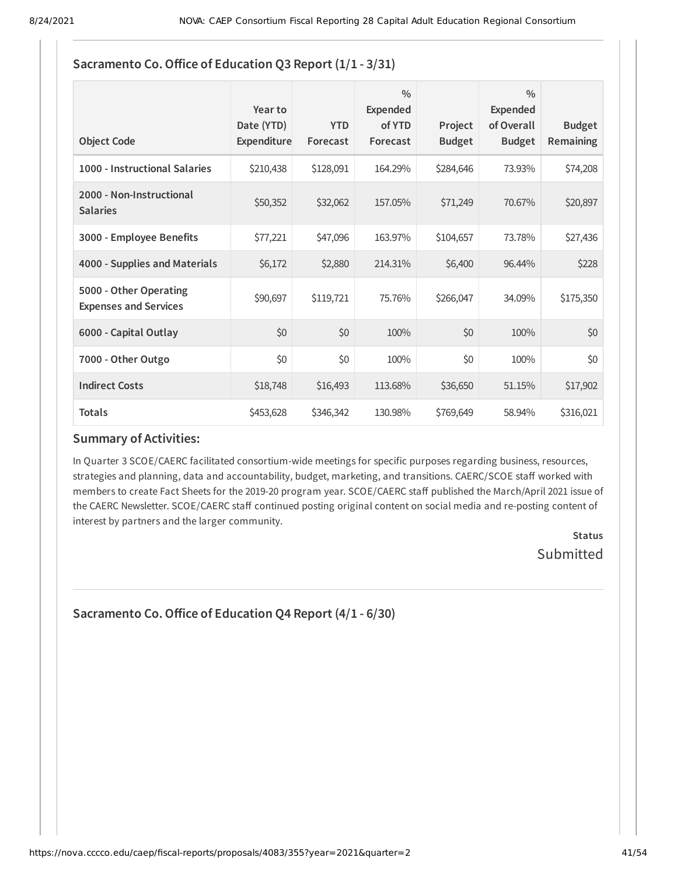| <b>Object Code</b>                                     | Year to<br>Date (YTD)<br>Expenditure | <b>YTD</b><br>Forecast | $\frac{0}{0}$<br><b>Expended</b><br>of YTD<br>Forecast | Project<br><b>Budget</b> | $\frac{0}{0}$<br><b>Expended</b><br>of Overall<br><b>Budget</b> | <b>Budget</b><br><b>Remaining</b> |
|--------------------------------------------------------|--------------------------------------|------------------------|--------------------------------------------------------|--------------------------|-----------------------------------------------------------------|-----------------------------------|
| 1000 - Instructional Salaries                          | \$210,438                            | \$128,091              | 164.29%                                                | \$284,646                | 73.93%                                                          | \$74,208                          |
| 2000 - Non-Instructional<br><b>Salaries</b>            | \$50,352                             | \$32,062               | 157.05%                                                | \$71,249                 | 70.67%                                                          | \$20,897                          |
| 3000 - Employee Benefits                               | \$77,221                             | \$47,096               | 163.97%                                                | \$104,657                | 73.78%                                                          | \$27,436                          |
| 4000 - Supplies and Materials                          | \$6,172                              | \$2,880                | 214.31%                                                | \$6,400                  | 96.44%                                                          | \$228                             |
| 5000 - Other Operating<br><b>Expenses and Services</b> | \$90,697                             | \$119,721              | 75.76%                                                 | \$266,047                | 34.09%                                                          | \$175,350                         |
| 6000 - Capital Outlay                                  | \$0                                  | \$0                    | 100%                                                   | \$0                      | 100%                                                            | \$0                               |
| 7000 - Other Outgo                                     | \$0                                  | \$0                    | 100%                                                   | \$0                      | 100%                                                            | \$0                               |
| <b>Indirect Costs</b>                                  | \$18,748                             | \$16,493               | 113.68%                                                | \$36,650                 | 51.15%                                                          | \$17,902                          |
| <b>Totals</b>                                          | \$453,628                            | \$346,342              | 130.98%                                                | \$769,649                | 58.94%                                                          | \$316,021                         |

# **Sacramento Co.Office of Education Q3 Report (1/1 - 3/31)**

### **Summary of Activities:**

In Quarter 3 SCOE/CAERC facilitated consortium-wide meetings for specific purposes regarding business, resources, strategies and planning, data and accountability, budget, marketing, and transitions. CAERC/SCOE staff worked with members to create Fact Sheets for the 2019-20 program year. SCOE/CAERC staff published the March/April 2021 issue of the CAERC Newsletter. SCOE/CAERC staff continued posting original content on social media and re-posting content of interest by partners and the larger community.

> **Status** Submitted

**Sacramento Co.Office of Education Q4 Report (4/1 - 6/30)**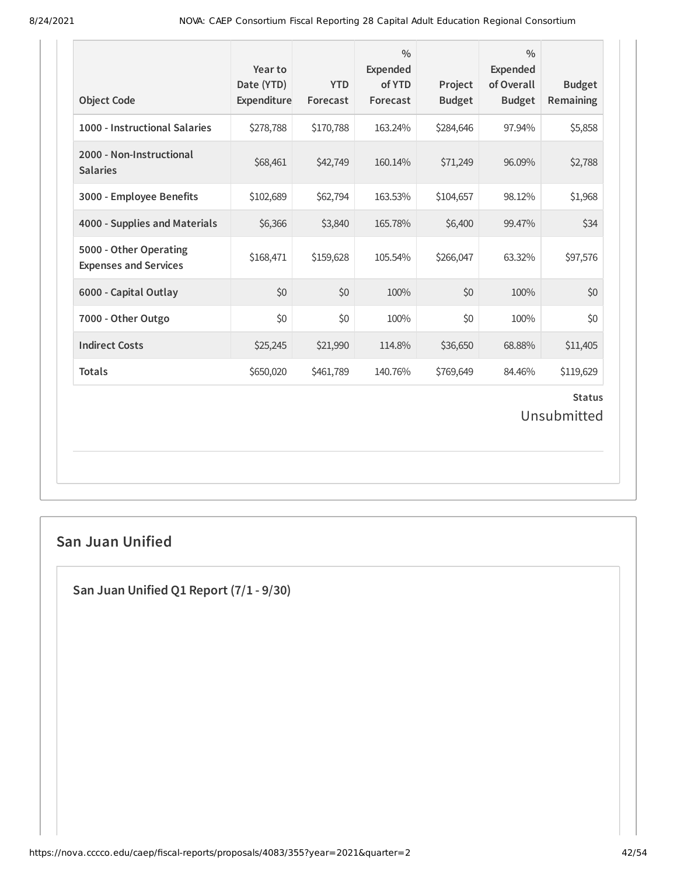| <b>Object Code</b>                                     | Year to<br>Date (YTD)<br>Expenditure | <b>YTD</b><br>Forecast | $\frac{0}{0}$<br><b>Expended</b><br>of YTD<br>Forecast | Project<br><b>Budget</b> | $\frac{0}{0}$<br><b>Expended</b><br>of Overall<br><b>Budget</b> | <b>Budget</b><br><b>Remaining</b> |
|--------------------------------------------------------|--------------------------------------|------------------------|--------------------------------------------------------|--------------------------|-----------------------------------------------------------------|-----------------------------------|
| 1000 - Instructional Salaries                          | \$278,788                            | \$170,788              | 163.24%                                                | \$284,646                | 97.94%                                                          | \$5,858                           |
| 2000 - Non-Instructional<br><b>Salaries</b>            | \$68,461                             | \$42,749               | 160.14%                                                | \$71,249                 | 96.09%                                                          | \$2,788                           |
| 3000 - Employee Benefits                               | \$102,689                            | \$62,794               | 163.53%                                                | \$104,657                | 98.12%                                                          | \$1,968                           |
| 4000 - Supplies and Materials                          | \$6,366                              | \$3,840                | 165.78%                                                | \$6,400                  | 99.47%                                                          | \$34                              |
| 5000 - Other Operating<br><b>Expenses and Services</b> | \$168,471                            | \$159,628              | 105.54%                                                | \$266,047                | 63.32%                                                          | \$97,576                          |
| 6000 - Capital Outlay                                  | \$0                                  | \$0                    | 100%                                                   | \$0                      | 100%                                                            | \$0                               |
| 7000 - Other Outgo                                     | \$0                                  | \$0                    | 100%                                                   | \$0                      | 100%                                                            | \$0                               |
| <b>Indirect Costs</b>                                  | \$25,245                             | \$21,990               | 114.8%                                                 | \$36,650                 | 68.88%                                                          | \$11,405                          |
| <b>Totals</b>                                          | \$650,020                            | \$461,789              | 140.76%                                                | \$769,649                | 84.46%                                                          | \$119,629                         |
|                                                        |                                      |                        |                                                        |                          |                                                                 | <b>Status</b><br>Unsubmitted      |

# **San Juan Unified**

**San Juan Unified Q1 Report (7/1 - 9/30)**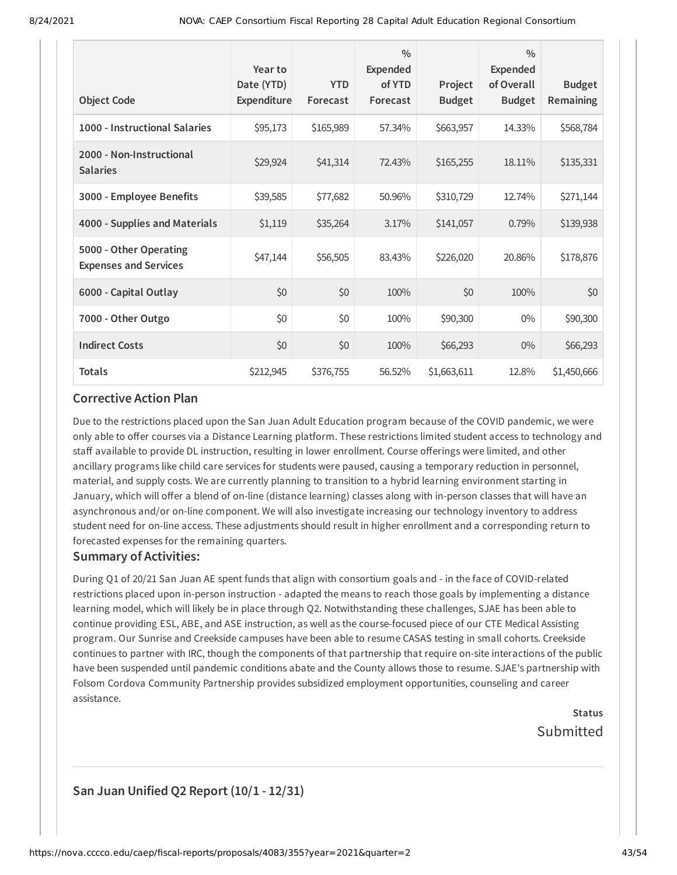| <b>Object Code</b>                                     | Year to<br>Date (YTD)<br>Expenditure | <b>YTD</b><br>Forecast | $\frac{0}{0}$<br>Expended<br>of YTD<br>Forecast | Project<br><b>Budget</b> | $\frac{0}{0}$<br><b>Expended</b><br>of Overall<br><b>Budget</b> | <b>Budget</b><br>Remaining |
|--------------------------------------------------------|--------------------------------------|------------------------|-------------------------------------------------|--------------------------|-----------------------------------------------------------------|----------------------------|
| 1000 - Instructional Salaries                          | \$95,173                             | \$165,989              | 57.34%                                          | \$663,957                | 14.33%                                                          | \$568,784                  |
| 2000 - Non-Instructional<br><b>Salaries</b>            | \$29,924                             | \$41,314               | 72.43%                                          | \$165,255                | 18.11%                                                          | \$135,331                  |
| 3000 - Employee Benefits                               | \$39,585                             | \$77,682               | 50.96%                                          | \$310,729                | 12.74%                                                          | \$271,144                  |
| 4000 - Supplies and Materials                          | \$1,119                              | \$35,264               | 3.17%                                           | \$141,057                | 0.79%                                                           | \$139,938                  |
| 5000 - Other Operating<br><b>Expenses and Services</b> | \$47,144                             | \$56,505               | 83.43%                                          | \$226,020                | 20.86%                                                          | \$178,876                  |
| 6000 - Capital Outlay                                  | \$0                                  | \$0                    | 100%                                            | \$0                      | 100%                                                            | \$0                        |
| 7000 - Other Outgo                                     | \$0                                  | \$0                    | 100%                                            | \$90,300                 | $0\%$                                                           | \$90,300                   |
| <b>Indirect Costs</b>                                  | \$0                                  | \$0                    | 100%                                            | \$66,293                 | $0\%$                                                           | \$66,293                   |
| <b>Totals</b>                                          | \$212,945                            | \$376,755              | 56.52%                                          | \$1,663,611              | 12.8%                                                           | \$1,450,666                |

Due to the restrictions placed upon the San Juan Adult Education program because of the COVID pandemic, we were only able to offer courses via a Distance Learning platform. These restrictions limited student access to technology and staff available to provide DL instruction, resulting in lower enrollment. Course offerings were limited, and other ancillary programs like child care services for students were paused, causing a temporary reduction in personnel, material, and supply costs. We are currently planning to transition to a hybrid learning environment starting in January, which will offer a blend of on-line (distance learning) classes along with in-person classes that will have an asynchronous and/or on-line component. We will also investigate increasing our technology inventory to address student need for on-line access. These adjustments should result in higher enrollment and a corresponding return to forecasted expenses for the remaining quarters.

#### **Summary of Activities:**

During Q1 of 20/21 San Juan AE spent funds that align with consortium goals and - in the face of COVID-related restrictions placed upon in-person instruction - adapted the means to reach those goals by implementing a distance learning model, which will likely be in place through Q2. Notwithstanding these challenges, SJAE has been able to continue providing ESL, ABE, and ASE instruction, as well as the course-focused piece of our CTE Medical Assisting program. Our Sunrise and Creekside campuses have been able to resume CASAS testing in small cohorts. Creekside continues to partner with IRC, though the components of that partnership that require on-site interactions of the public have been suspended until pandemic conditions abate and the County allows those to resume. SJAE's partnership with Folsom Cordova Community Partnership provides subsidized employment opportunities, counseling and career assistance.

> **Status** Submitted

### **San Juan Unified Q2 Report (10/1 - 12/31)**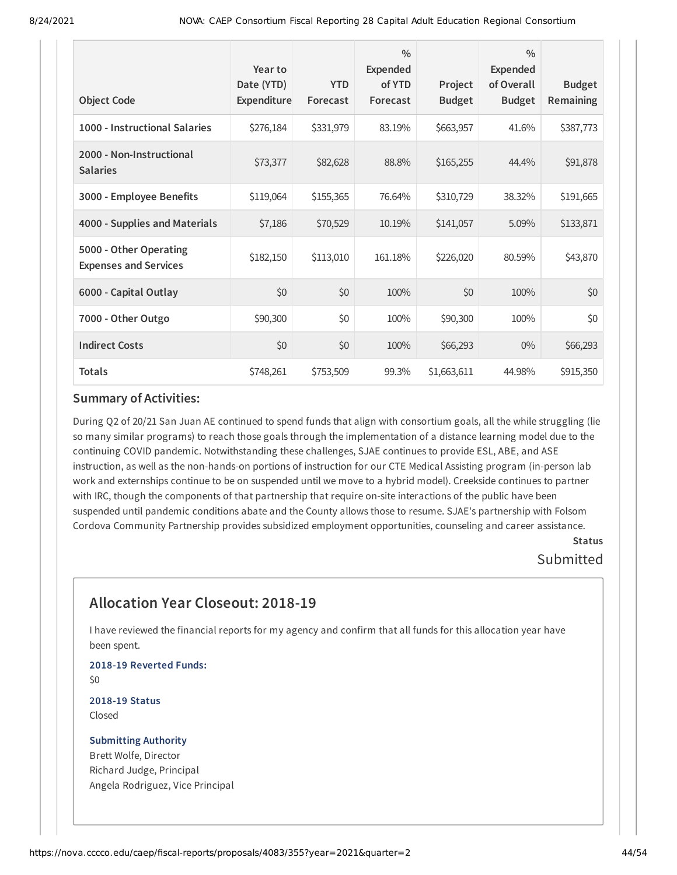| <b>Object Code</b>                                     | Year to<br>Date (YTD)<br>Expenditure | <b>YTD</b><br>Forecast | $\frac{0}{0}$<br><b>Expended</b><br>of YTD<br>Forecast | Project<br><b>Budget</b> | $\frac{0}{0}$<br>Expended<br>of Overall<br><b>Budget</b> | <b>Budget</b><br>Remaining |
|--------------------------------------------------------|--------------------------------------|------------------------|--------------------------------------------------------|--------------------------|----------------------------------------------------------|----------------------------|
| 1000 - Instructional Salaries                          | \$276,184                            | \$331,979              | 83.19%                                                 | \$663,957                | 41.6%                                                    | \$387,773                  |
| 2000 - Non-Instructional<br><b>Salaries</b>            | \$73,377                             | \$82,628               | 88.8%                                                  | \$165,255                | 44.4%                                                    | \$91,878                   |
| 3000 - Employee Benefits                               | \$119,064                            | \$155,365              | 76.64%                                                 | \$310,729                | 38.32%                                                   | \$191,665                  |
| 4000 - Supplies and Materials                          | \$7,186                              | \$70,529               | 10.19%                                                 | \$141,057                | 5.09%                                                    | \$133,871                  |
| 5000 - Other Operating<br><b>Expenses and Services</b> | \$182,150                            | \$113,010              | 161.18%                                                | \$226,020                | 80.59%                                                   | \$43,870                   |
| 6000 - Capital Outlay                                  | \$0                                  | \$0                    | 100%                                                   | \$0                      | 100%                                                     | \$0                        |
| 7000 - Other Outgo                                     | \$90,300                             | \$0                    | 100%                                                   | \$90,300                 | 100%                                                     | \$0                        |
| <b>Indirect Costs</b>                                  | \$0                                  | \$0                    | 100%                                                   | \$66,293                 | $0\%$                                                    | \$66,293                   |
| <b>Totals</b>                                          | \$748,261                            | \$753,509              | 99.3%                                                  | \$1,663,611              | 44.98%                                                   | \$915,350                  |

During Q2 of 20/21 San Juan AE continued to spend funds that align with consortium goals, all the while struggling (lie so many similar programs) to reach those goals through the implementation of a distance learning model due to the continuing COVID pandemic. Notwithstanding these challenges, SJAE continues to provide ESL, ABE, and ASE instruction, as well as the non-hands-on portions of instruction for our CTE Medical Assisting program (in-person lab work and externships continue to be on suspended until we move to a hybrid model). Creekside continues to partner with IRC, though the components of that partnership that require on-site interactions of the public have been suspended until pandemic conditions abate and the County allows those to resume. SJAE's partnership with Folsom Cordova Community Partnership provides subsidized employment opportunities, counseling and career assistance.

### **Status** Submitted

# **Allocation Year Closeout: 2018-19**

I have reviewed the financial reports for my agency and confirm that all funds for this allocation year have been spent.

**2018-19 Reverted Funds:** \$0

**2018-19 Status** Closed

### **Submitting Authority** Brett Wolfe, Director

Richard Judge, Principal Angela Rodriguez, Vice Principal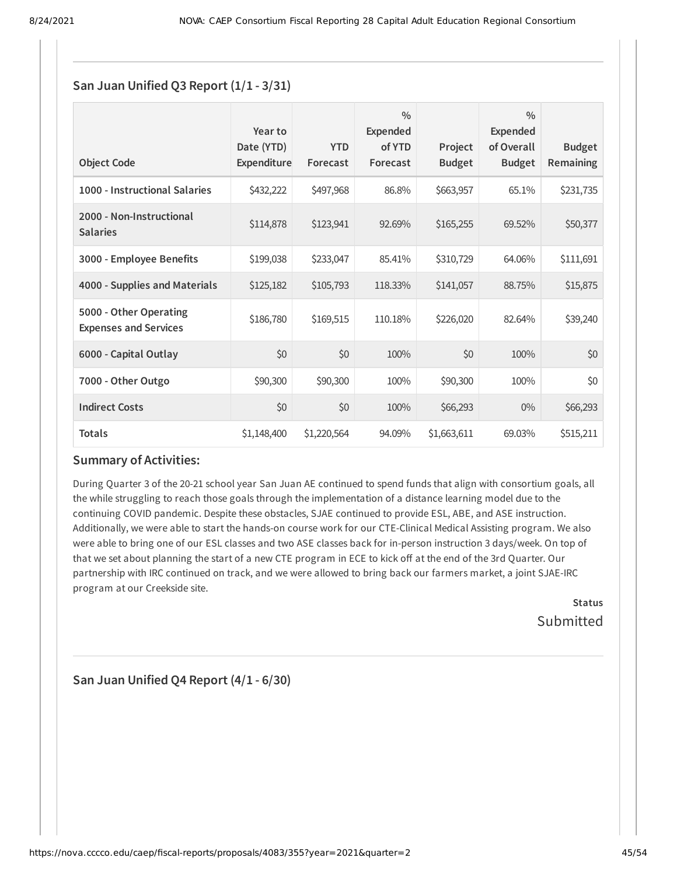### **San Juan Unified Q3 Report (1/1 - 3/31)**

| <b>Object Code</b>                                     | Year to<br>Date (YTD)<br>Expenditure | <b>YTD</b><br>Forecast | $\frac{0}{0}$<br><b>Expended</b><br>of YTD<br>Forecast | Project<br><b>Budget</b> | $\frac{0}{0}$<br>Expended<br>of Overall<br><b>Budget</b> | <b>Budget</b><br><b>Remaining</b> |
|--------------------------------------------------------|--------------------------------------|------------------------|--------------------------------------------------------|--------------------------|----------------------------------------------------------|-----------------------------------|
| 1000 - Instructional Salaries                          | \$432,222                            | \$497,968              | 86.8%                                                  | \$663,957                | 65.1%                                                    | \$231,735                         |
| 2000 - Non-Instructional<br><b>Salaries</b>            | \$114,878                            | \$123,941              | 92.69%                                                 | \$165,255                | 69.52%                                                   | \$50,377                          |
| 3000 - Employee Benefits                               | \$199,038                            | \$233,047              | 85.41%                                                 | \$310,729                | 64.06%                                                   | \$111,691                         |
| 4000 - Supplies and Materials                          | \$125,182                            | \$105,793              | 118.33%                                                | \$141,057                | 88.75%                                                   | \$15,875                          |
| 5000 - Other Operating<br><b>Expenses and Services</b> | \$186,780                            | \$169,515              | 110.18%                                                | \$226,020                | 82.64%                                                   | \$39,240                          |
| 6000 - Capital Outlay                                  | \$0                                  | \$0                    | 100%                                                   | \$0                      | 100%                                                     | \$0                               |
| 7000 - Other Outgo                                     | \$90,300                             | \$90,300               | 100%                                                   | \$90,300                 | 100%                                                     | \$0                               |
| <b>Indirect Costs</b>                                  | \$0                                  | \$0                    | 100%                                                   | \$66,293                 | $0\%$                                                    | \$66,293                          |
| <b>Totals</b>                                          | \$1,148,400                          | \$1,220,564            | 94.09%                                                 | \$1,663,611              | 69.03%                                                   | \$515,211                         |

### **Summary of Activities:**

During Quarter 3 of the 20-21 school year San Juan AE continued to spend funds that align with consortium goals, all the while struggling to reach those goals through the implementation of a distance learning model due to the continuing COVID pandemic. Despite these obstacles, SJAE continued to provide ESL, ABE, and ASE instruction. Additionally, we were able to start the hands-on course work for our CTE-Clinical Medical Assisting program. We also were able to bring one of our ESL classes and two ASE classes back for in-person instruction 3 days/week. On top of that we set about planning the start of a new CTE program in ECE to kick off at the end of the 3rd Quarter. Our partnership with IRC continued on track, and we were allowed to bring back our farmers market, a joint SJAE-IRC program at our Creekside site.

> **Status** Submitted

**San Juan Unified Q4 Report (4/1 - 6/30)**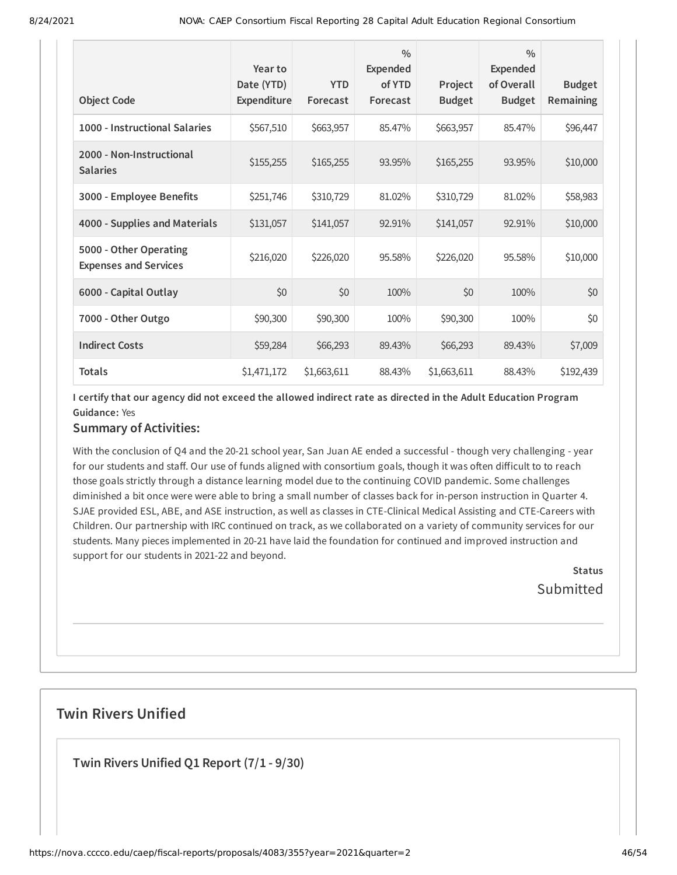| <b>Object Code</b>                                     | Year to<br>Date (YTD)<br>Expenditure | <b>YTD</b><br>Forecast | $\frac{0}{0}$<br><b>Expended</b><br>of YTD<br>Forecast | Project<br><b>Budget</b> | $\frac{0}{0}$<br><b>Expended</b><br>of Overall<br><b>Budget</b> | <b>Budget</b><br>Remaining |
|--------------------------------------------------------|--------------------------------------|------------------------|--------------------------------------------------------|--------------------------|-----------------------------------------------------------------|----------------------------|
| 1000 - Instructional Salaries                          | \$567,510                            | \$663,957              | 85.47%                                                 | \$663,957                | 85.47%                                                          | \$96,447                   |
| 2000 - Non-Instructional<br><b>Salaries</b>            | \$155,255                            | \$165,255              | 93.95%                                                 | \$165,255                | 93.95%                                                          | \$10,000                   |
| 3000 - Employee Benefits                               | \$251,746                            | \$310,729              | 81.02%                                                 | \$310,729                | 81.02%                                                          | \$58,983                   |
| 4000 - Supplies and Materials                          | \$131,057                            | \$141,057              | 92.91%                                                 | \$141,057                | 92.91%                                                          | \$10,000                   |
| 5000 - Other Operating<br><b>Expenses and Services</b> | \$216,020                            | \$226,020              | 95.58%                                                 | \$226,020                | 95.58%                                                          | \$10,000                   |
| 6000 - Capital Outlay                                  | \$0                                  | \$0                    | 100%                                                   | \$0                      | 100%                                                            | \$0                        |
| 7000 - Other Outgo                                     | \$90,300                             | \$90,300               | 100%                                                   | \$90,300                 | 100%                                                            | \$0                        |
| <b>Indirect Costs</b>                                  | \$59,284                             | \$66,293               | 89.43%                                                 | \$66,293                 | 89.43%                                                          | \$7,009                    |
| <b>Totals</b>                                          | \$1,471,172                          | \$1,663,611            | 88.43%                                                 | \$1,663,611              | 88.43%                                                          | \$192,439                  |

I certify that our agency did not exceed the allowed indirect rate as directed in the Adult Education Program **Guidance:** Yes

### **Summary of Activities:**

With the conclusion of Q4 and the 20-21 school year, San Juan AE ended a successful - though very challenging - year for our students and staff. Our use of funds aligned with consortium goals, though it was often difficult to to reach those goals strictly through a distance learning model due to the continuing COVID pandemic. Some challenges diminished a bit once were were able to bring a small number of classes back for in-person instruction in Quarter 4. SJAE provided ESL, ABE, and ASE instruction, as well as classes in CTE-Clinical Medical Assisting and CTE-Careers with Children. Our partnership with IRC continued on track, as we collaborated on a variety of community services for our students. Many pieces implemented in 20-21 have laid the foundation for continued and improved instruction and support for our students in 2021-22 and beyond.

> **Status Submitted**

### **Twin Rivers Unified**

**Twin Rivers Unified Q1 Report (7/1 - 9/30)**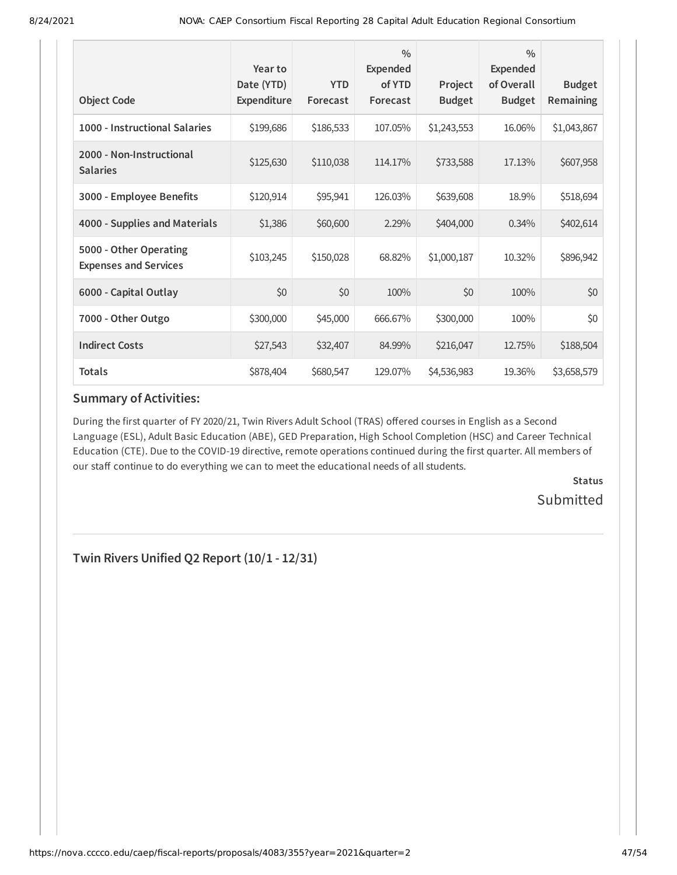| <b>Object Code</b>                                     | Year to<br>Date (YTD)<br>Expenditure | <b>YTD</b><br>Forecast | $\frac{0}{0}$<br>Expended<br>of YTD<br>Forecast | Project<br><b>Budget</b> | $\frac{0}{0}$<br><b>Expended</b><br>of Overall<br><b>Budget</b> | <b>Budget</b><br>Remaining |
|--------------------------------------------------------|--------------------------------------|------------------------|-------------------------------------------------|--------------------------|-----------------------------------------------------------------|----------------------------|
| 1000 - Instructional Salaries                          | \$199,686                            | \$186,533              | 107.05%                                         | \$1,243,553              | 16.06%                                                          | \$1,043,867                |
| 2000 - Non-Instructional<br><b>Salaries</b>            | \$125,630                            | \$110,038              | 114.17%                                         | \$733,588                | 17.13%                                                          | \$607,958                  |
| 3000 - Employee Benefits                               | \$120,914                            | \$95,941               | 126.03%                                         | \$639,608                | 18.9%                                                           | \$518,694                  |
| 4000 - Supplies and Materials                          | \$1,386                              | \$60,600               | 2.29%                                           | \$404,000                | $0.34\%$                                                        | \$402,614                  |
| 5000 - Other Operating<br><b>Expenses and Services</b> | \$103,245                            | \$150,028              | 68.82%                                          | \$1,000,187              | 10.32%                                                          | \$896,942                  |
| 6000 - Capital Outlay                                  | \$0                                  | \$0                    | 100%                                            | \$0                      | 100%                                                            | \$0                        |
| 7000 - Other Outgo                                     | \$300,000                            | \$45,000               | 666.67%                                         | \$300,000                | 100%                                                            | \$0                        |
| <b>Indirect Costs</b>                                  | \$27,543                             | \$32,407               | 84.99%                                          | \$216,047                | 12.75%                                                          | \$188,504                  |
| <b>Totals</b>                                          | \$878,404                            | \$680,547              | 129.07%                                         | \$4,536,983              | 19.36%                                                          | \$3,658,579                |

During the first quarter of FY 2020/21, Twin Rivers Adult School (TRAS) offered courses in English as a Second Language (ESL), Adult Basic Education (ABE), GED Preparation, High School Completion (HSC) and Career Technical Education (CTE). Due to the COVID-19 directive, remote operations continued during the first quarter. All members of our staff continue to do everything we can to meet the educational needs of all students.

> **Status** Submitted

**Twin Rivers Unified Q2 Report (10/1 - 12/31)**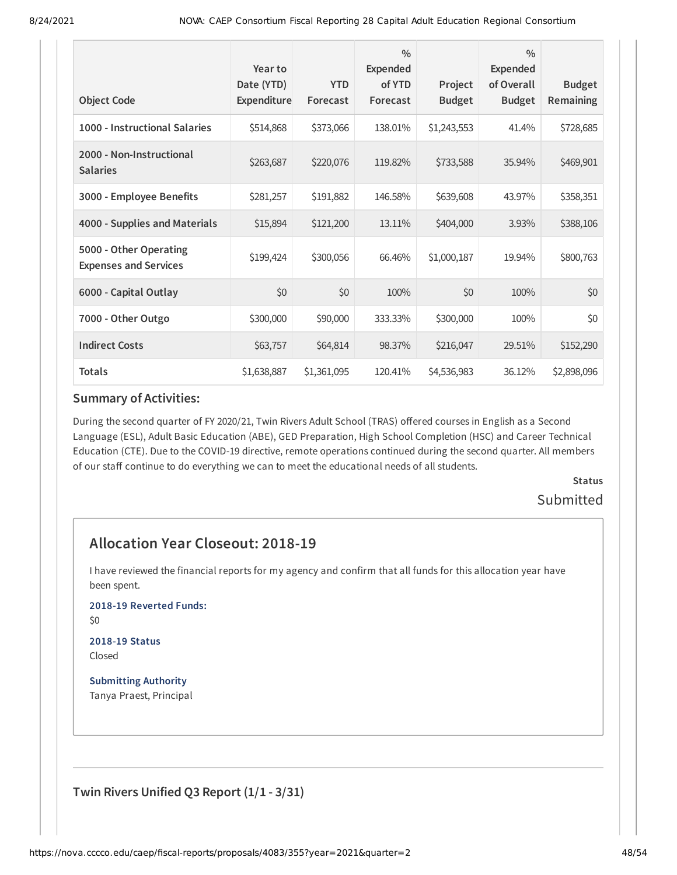| <b>Object Code</b>                                     | Year to<br>Date (YTD)<br>Expenditure | <b>YTD</b><br>Forecast | $\frac{0}{0}$<br><b>Expended</b><br>of YTD<br>Forecast | Project<br><b>Budget</b> | $\frac{0}{0}$<br><b>Expended</b><br>of Overall<br><b>Budget</b> | <b>Budget</b><br>Remaining |
|--------------------------------------------------------|--------------------------------------|------------------------|--------------------------------------------------------|--------------------------|-----------------------------------------------------------------|----------------------------|
| 1000 - Instructional Salaries                          | \$514,868                            | \$373,066              | 138.01%                                                | \$1,243,553              | 41.4%                                                           | \$728,685                  |
| 2000 - Non-Instructional<br><b>Salaries</b>            | \$263,687                            | \$220,076              | 119.82%                                                | \$733,588                | 35.94%                                                          | \$469,901                  |
| 3000 - Employee Benefits                               | \$281,257                            | \$191,882              | 146.58%                                                | \$639,608                | 43.97%                                                          | \$358,351                  |
| 4000 - Supplies and Materials                          | \$15,894                             | \$121,200              | 13.11%                                                 | \$404,000                | 3.93%                                                           | \$388,106                  |
| 5000 - Other Operating<br><b>Expenses and Services</b> | \$199,424                            | \$300,056              | 66.46%                                                 | \$1,000,187              | 19.94%                                                          | \$800,763                  |
| 6000 - Capital Outlay                                  | \$0                                  | \$0                    | 100%                                                   | \$0                      | 100%                                                            | \$0                        |
| 7000 - Other Outgo                                     | \$300,000                            | \$90,000               | 333.33%                                                | \$300,000                | 100%                                                            | \$0                        |
| <b>Indirect Costs</b>                                  | \$63,757                             | \$64,814               | 98.37%                                                 | \$216,047                | 29.51%                                                          | \$152,290                  |
| <b>Totals</b>                                          | \$1,638,887                          | \$1,361,095            | 120.41%                                                | \$4,536,983              | 36.12%                                                          | \$2,898,096                |

During the second quarter of FY 2020/21, Twin Rivers Adult School (TRAS) offered courses in English as a Second Language (ESL), Adult Basic Education (ABE), GED Preparation, High School Completion (HSC) and Career Technical Education (CTE). Due to the COVID-19 directive, remote operations continued during the second quarter. All members of our staff continue to do everything we can to meet the educational needs of all students.

> **Status** Submitted

# **Allocation Year Closeout: 2018-19**

I have reviewed the financial reports for my agency and confirm that all funds for this allocation year have been spent.

**2018-19 Reverted Funds:**

\$0

#### **2018-19 Status** Closed

**Submitting Authority** Tanya Praest, Principal

**Twin Rivers Unified Q3 Report (1/1 - 3/31)**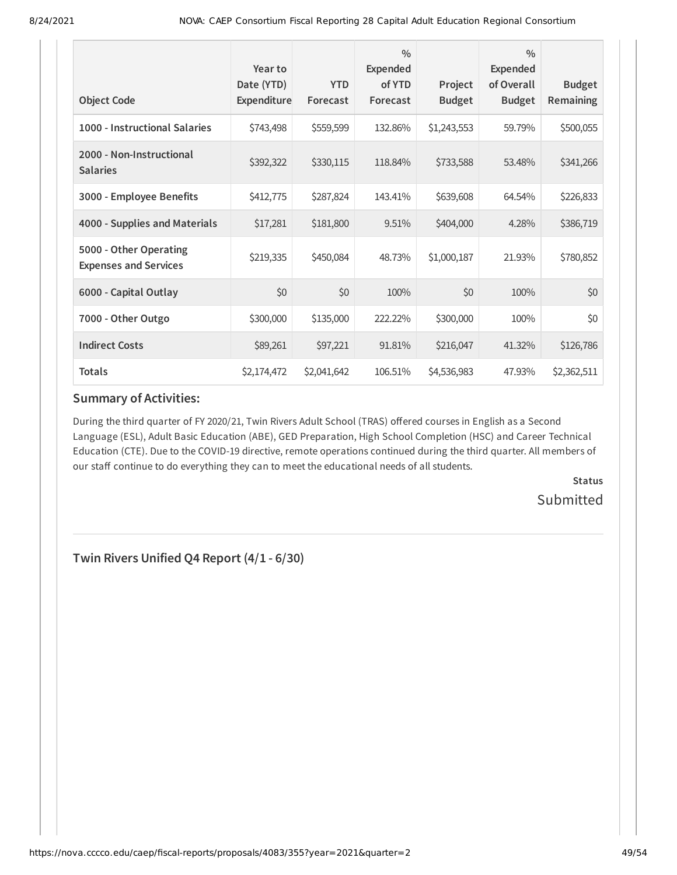| <b>Object Code</b>                                     | Year to<br>Date (YTD)<br>Expenditure | <b>YTD</b><br>Forecast | $\frac{0}{0}$<br>Expended<br>of YTD<br>Forecast | Project<br><b>Budget</b> | $\frac{0}{0}$<br>Expended<br>of Overall<br><b>Budget</b> | <b>Budget</b><br>Remaining |
|--------------------------------------------------------|--------------------------------------|------------------------|-------------------------------------------------|--------------------------|----------------------------------------------------------|----------------------------|
| 1000 - Instructional Salaries                          | \$743,498                            | \$559,599              | 132.86%                                         | \$1,243,553              | 59.79%                                                   | \$500,055                  |
| 2000 - Non-Instructional<br><b>Salaries</b>            | \$392,322                            | \$330,115              | 118.84%                                         | \$733,588                | 53.48%                                                   | \$341,266                  |
| 3000 - Employee Benefits                               | \$412,775                            | \$287,824              | 143.41%                                         | \$639,608                | 64.54%                                                   | \$226,833                  |
| 4000 - Supplies and Materials                          | \$17,281                             | \$181,800              | 9.51%                                           | \$404,000                | 4.28%                                                    | \$386,719                  |
| 5000 - Other Operating<br><b>Expenses and Services</b> | \$219,335                            | \$450,084              | 48.73%                                          | \$1,000,187              | 21.93%                                                   | \$780,852                  |
| 6000 - Capital Outlay                                  | \$0                                  | \$0                    | 100%                                            | \$0                      | 100%                                                     | \$0                        |
| 7000 - Other Outgo                                     | \$300,000                            | \$135,000              | 222.22%                                         | \$300,000                | 100%                                                     | \$0                        |
| <b>Indirect Costs</b>                                  | \$89,261                             | \$97,221               | 91.81%                                          | \$216,047                | 41.32%                                                   | \$126,786                  |
| <b>Totals</b>                                          | \$2,174,472                          | \$2,041,642            | 106.51%                                         | \$4,536,983              | 47.93%                                                   | \$2,362,511                |

During the third quarter of FY 2020/21, Twin Rivers Adult School (TRAS) offered courses in English as a Second Language (ESL), Adult Basic Education (ABE), GED Preparation, High School Completion (HSC) and Career Technical Education (CTE). Due to the COVID-19 directive, remote operations continued during the third quarter. All members of our staff continue to do everything they can to meet the educational needs of all students.

> **Status** Submitted

**Twin Rivers Unified Q4 Report (4/1 - 6/30)**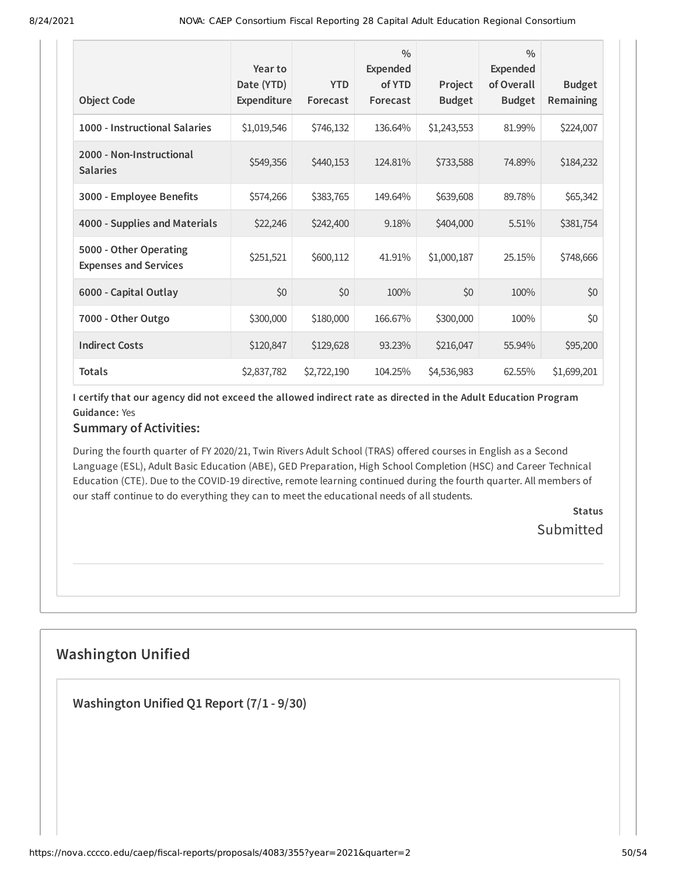| <b>Object Code</b>                                     | Year to<br>Date (YTD)<br><b>Expenditure</b> | <b>YTD</b><br>Forecast | $\frac{0}{0}$<br><b>Expended</b><br>of YTD<br>Forecast | Project<br><b>Budget</b> | $\frac{0}{0}$<br>Expended<br>of Overall<br><b>Budget</b> | <b>Budget</b><br><b>Remaining</b> |
|--------------------------------------------------------|---------------------------------------------|------------------------|--------------------------------------------------------|--------------------------|----------------------------------------------------------|-----------------------------------|
| 1000 - Instructional Salaries                          | \$1,019,546                                 | \$746,132              | 136.64%                                                | \$1,243,553              | 81.99%                                                   | \$224,007                         |
| 2000 - Non-Instructional<br><b>Salaries</b>            | \$549,356                                   | \$440,153              | 124.81%                                                | \$733,588                | 74.89%                                                   | \$184,232                         |
| 3000 - Employee Benefits                               | \$574,266                                   | \$383,765              | 149.64%                                                | \$639,608                | 89.78%                                                   | \$65,342                          |
| 4000 - Supplies and Materials                          | \$22,246                                    | \$242,400              | 9.18%                                                  | \$404,000                | 5.51%                                                    | \$381,754                         |
| 5000 - Other Operating<br><b>Expenses and Services</b> | \$251,521                                   | \$600,112              | 41.91%                                                 | \$1,000,187              | 25.15%                                                   | \$748,666                         |
| 6000 - Capital Outlay                                  | \$0                                         | \$0                    | 100%                                                   | \$0                      | 100%                                                     | \$0                               |
| 7000 - Other Outgo                                     | \$300,000                                   | \$180,000              | 166.67%                                                | \$300,000                | 100%                                                     | \$0                               |
| <b>Indirect Costs</b>                                  | \$120,847                                   | \$129,628              | 93.23%                                                 | \$216,047                | 55.94%                                                   | \$95,200                          |
| <b>Totals</b>                                          | \$2,837,782                                 | \$2,722,190            | 104.25%                                                | \$4,536,983              | 62.55%                                                   | \$1,699,201                       |

I certify that our agency did not exceed the allowed indirect rate as directed in the Adult Education Program **Guidance:** Yes

### **Summary of Activities:**

During the fourth quarter of FY 2020/21, Twin Rivers Adult School (TRAS) offered courses in English as a Second Language (ESL), Adult Basic Education (ABE), GED Preparation, High School Completion (HSC) and Career Technical Education (CTE). Due to the COVID-19 directive, remote learning continued during the fourth quarter. All members of our staff continue to do everything they can to meet the educational needs of all students.

> **Status Submitted**

# **Washington Unified**

**Washington Unified Q1 Report (7/1 - 9/30)**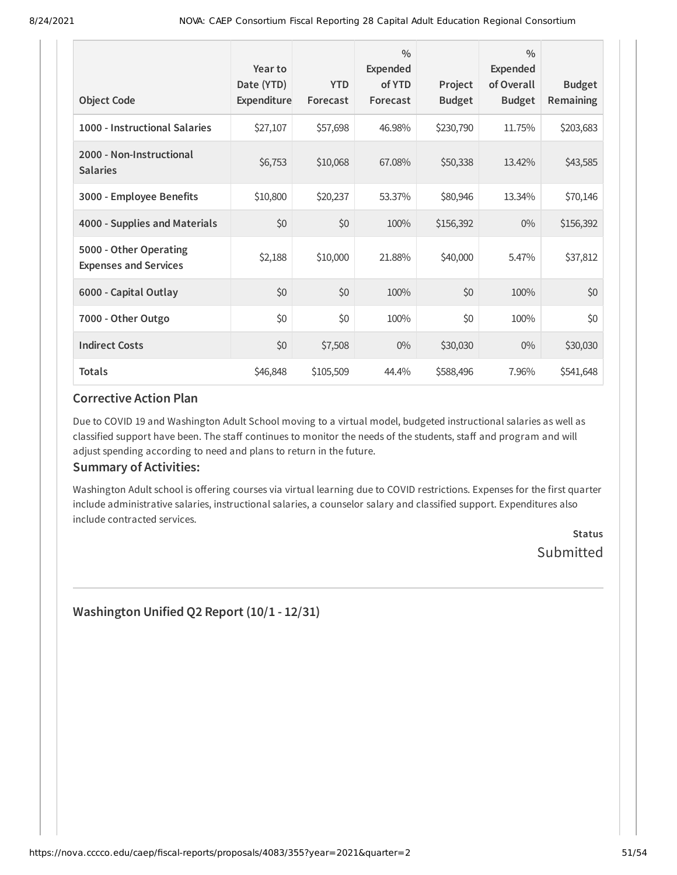| <b>Object Code</b>                                     | Year to<br>Date (YTD)<br>Expenditure | <b>YTD</b><br>Forecast | $\frac{0}{0}$<br><b>Expended</b><br>of YTD<br>Forecast | Project<br><b>Budget</b> | $\frac{0}{0}$<br>Expended<br>of Overall<br><b>Budget</b> | <b>Budget</b><br>Remaining |
|--------------------------------------------------------|--------------------------------------|------------------------|--------------------------------------------------------|--------------------------|----------------------------------------------------------|----------------------------|
| 1000 - Instructional Salaries                          | \$27,107                             | \$57,698               | 46.98%                                                 | \$230,790                | 11.75%                                                   | \$203,683                  |
| 2000 - Non-Instructional<br><b>Salaries</b>            | \$6,753                              | \$10,068               | 67.08%                                                 | \$50,338                 | 13.42%                                                   | \$43,585                   |
| 3000 - Employee Benefits                               | \$10,800                             | \$20,237               | 53.37%                                                 | \$80,946                 | 13.34%                                                   | \$70,146                   |
| 4000 - Supplies and Materials                          | \$0                                  | \$0                    | 100%                                                   | \$156,392                | $0\%$                                                    | \$156,392                  |
| 5000 - Other Operating<br><b>Expenses and Services</b> | \$2,188                              | \$10,000               | 21.88%                                                 | \$40,000                 | 5.47%                                                    | \$37,812                   |
| 6000 - Capital Outlay                                  | \$0                                  | \$0                    | 100%                                                   | \$0                      | 100%                                                     | \$0                        |
| 7000 - Other Outgo                                     | \$0                                  | \$0                    | 100%                                                   | \$0                      | 100%                                                     | \$0                        |
| <b>Indirect Costs</b>                                  | \$0                                  | \$7,508                | $0\%$                                                  | \$30,030                 | $0\%$                                                    | \$30,030                   |
| <b>Totals</b>                                          | \$46,848                             | \$105,509              | 44.4%                                                  | \$588,496                | 7.96%                                                    | \$541,648                  |

Due to COVID 19 and Washington Adult School moving to a virtual model, budgeted instructional salaries as well as classified support have been. The staff continues to monitor the needs of the students, staff and program and will adjust spending according to need and plans to return in the future.

### **Summary of Activities:**

Washington Adult school is offering courses via virtual learning due to COVID restrictions. Expenses for the first quarter include administrative salaries, instructional salaries, a counselor salary and classified support. Expenditures also include contracted services.

> **Status** Submitted

**Washington Unified Q2 Report (10/1 - 12/31)**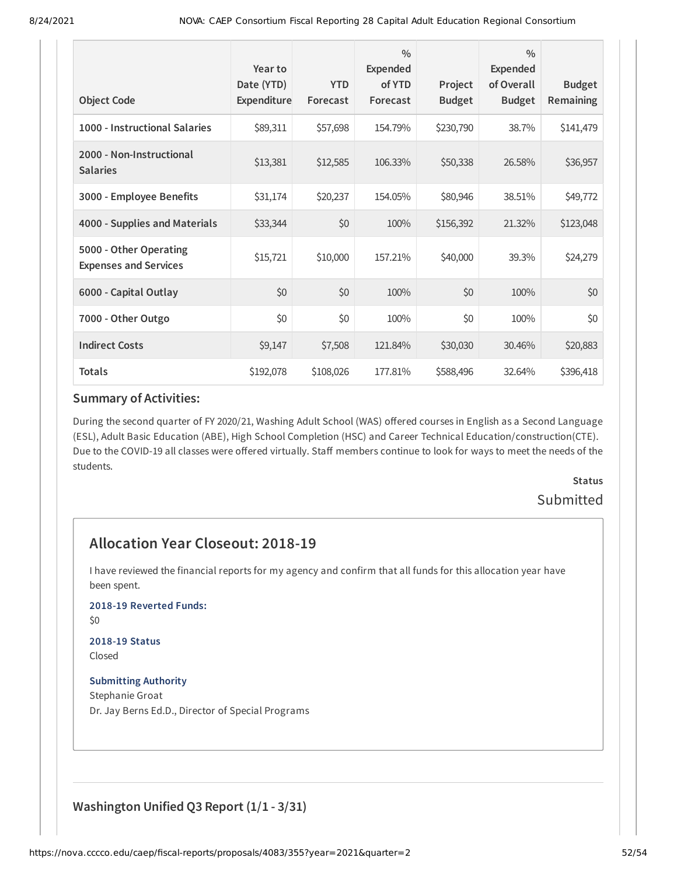| <b>Object Code</b>                                     | Year to<br>Date (YTD)<br>Expenditure | <b>YTD</b><br>Forecast | $\frac{0}{0}$<br><b>Expended</b><br>of YTD<br>Forecast | Project<br><b>Budget</b> | $\frac{0}{0}$<br>Expended<br>of Overall<br><b>Budget</b> | <b>Budget</b><br>Remaining |
|--------------------------------------------------------|--------------------------------------|------------------------|--------------------------------------------------------|--------------------------|----------------------------------------------------------|----------------------------|
| 1000 - Instructional Salaries                          | \$89,311                             | \$57,698               | 154.79%                                                | \$230,790                | 38.7%                                                    | \$141,479                  |
| 2000 - Non-Instructional<br><b>Salaries</b>            | \$13,381                             | \$12,585               | 106.33%                                                | \$50,338                 | 26.58%                                                   | \$36,957                   |
| 3000 - Employee Benefits                               | \$31,174                             | \$20,237               | 154.05%                                                | \$80,946                 | 38.51%                                                   | \$49,772                   |
| 4000 - Supplies and Materials                          | \$33,344                             | \$0                    | 100%                                                   | \$156,392                | 21.32%                                                   | \$123,048                  |
| 5000 - Other Operating<br><b>Expenses and Services</b> | \$15,721                             | \$10,000               | 157.21%                                                | \$40,000                 | 39.3%                                                    | \$24,279                   |
| 6000 - Capital Outlay                                  | \$0                                  | \$0                    | 100%                                                   | \$0                      | 100%                                                     | \$0                        |
| 7000 - Other Outgo                                     | \$0                                  | \$0                    | 100%                                                   | \$0                      | 100%                                                     | \$0                        |
| <b>Indirect Costs</b>                                  | \$9,147                              | \$7,508                | 121.84%                                                | \$30,030                 | 30.46%                                                   | \$20,883                   |
| <b>Totals</b>                                          | \$192,078                            | \$108,026              | 177.81%                                                | \$588,496                | 32.64%                                                   | \$396,418                  |

During the second quarter of FY 2020/21, Washing Adult School (WAS) offered courses in English as a Second Language (ESL), Adult Basic Education (ABE), High School Completion (HSC) and Career Technical Education/construction(CTE). Due to the COVID-19 all classes were offered virtually. Staff members continue to look for ways to meet the needs of the students.

# **Status** Submitted

# **Allocation Year Closeout: 2018-19**

I have reviewed the financial reports for my agency and confirm that all funds for this allocation year have been spent.

#### **2018-19 Reverted Funds:**

\$0

#### **2018-19 Status** Closed

**Submitting Authority** Stephanie Groat Dr. Jay Berns Ed.D., Director of Special Programs

# **Washington Unified Q3 Report (1/1 - 3/31)**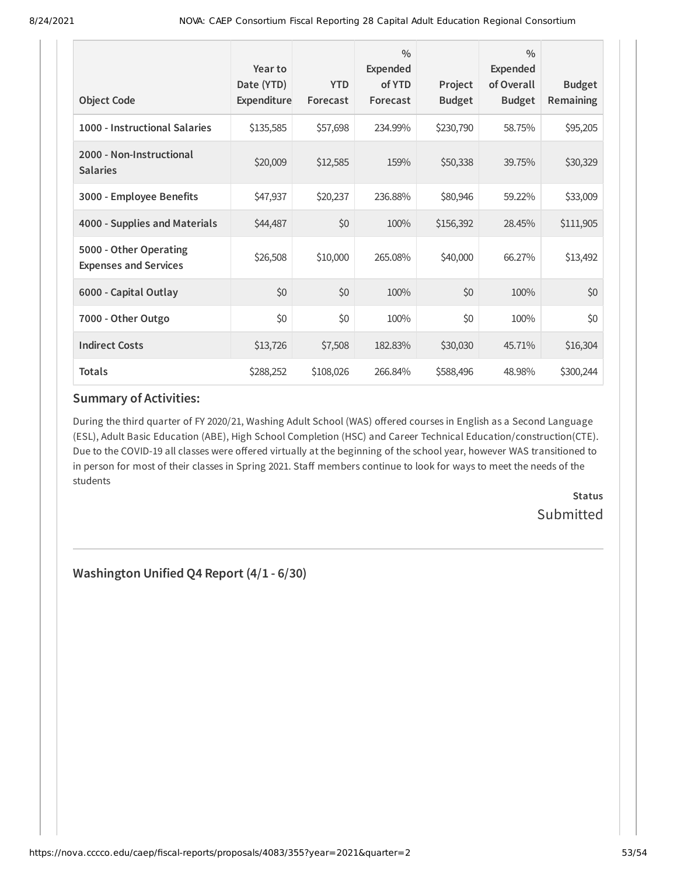| <b>Object Code</b>                                     | Year to<br>Date (YTD)<br>Expenditure | <b>YTD</b><br>Forecast | $\frac{0}{0}$<br><b>Expended</b><br>of YTD<br>Forecast | Project<br><b>Budget</b> | $\frac{0}{0}$<br><b>Expended</b><br>of Overall<br><b>Budget</b> | <b>Budget</b><br>Remaining |
|--------------------------------------------------------|--------------------------------------|------------------------|--------------------------------------------------------|--------------------------|-----------------------------------------------------------------|----------------------------|
|                                                        |                                      |                        |                                                        |                          |                                                                 |                            |
| 1000 - Instructional Salaries                          | \$135,585                            | \$57,698               | 234.99%                                                | \$230,790                | 58.75%                                                          | \$95,205                   |
| 2000 - Non-Instructional<br><b>Salaries</b>            | \$20,009                             | \$12,585               | 159%                                                   | \$50,338                 | 39.75%                                                          | \$30,329                   |
| 3000 - Employee Benefits                               | \$47,937                             | \$20,237               | 236.88%                                                | \$80,946                 | 59.22%                                                          | \$33,009                   |
| 4000 - Supplies and Materials                          | \$44,487                             | \$0                    | 100%                                                   | \$156,392                | 28.45%                                                          | \$111,905                  |
| 5000 - Other Operating<br><b>Expenses and Services</b> | \$26,508                             | \$10,000               | 265.08%                                                | \$40,000                 | 66.27%                                                          | \$13,492                   |
| 6000 - Capital Outlay                                  | \$0                                  | \$0                    | 100%                                                   | \$0                      | 100%                                                            | \$0                        |
| 7000 - Other Outgo                                     | \$0                                  | \$0                    | 100%                                                   | \$0                      | 100%                                                            | \$0                        |
| <b>Indirect Costs</b>                                  | \$13,726                             | \$7,508                | 182.83%                                                | \$30,030                 | 45.71%                                                          | \$16,304                   |
| <b>Totals</b>                                          | \$288,252                            | \$108,026              | 266.84%                                                | \$588,496                | 48.98%                                                          | \$300,244                  |

During the third quarter of FY 2020/21, Washing Adult School (WAS) offered courses in English as a Second Language (ESL), Adult Basic Education (ABE), High School Completion (HSC) and Career Technical Education/construction(CTE). Due to the COVID-19 all classes were offered virtually at the beginning of the school year, however WAS transitioned to in person for most of their classes in Spring 2021. Staff members continue to look for ways to meet the needs of the students

> **Status** Submitted

**Washington Unified Q4 Report (4/1 - 6/30)**